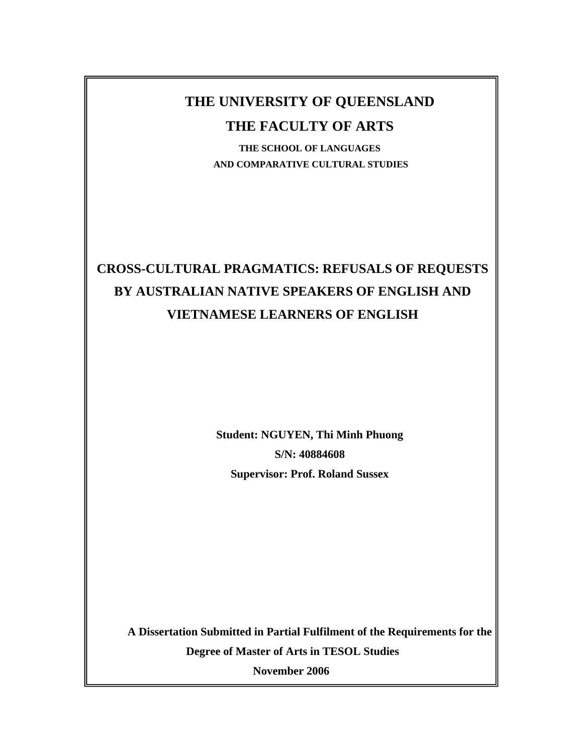# **THE UNIVERSITY OF QUEENSLAND**

## **THE FACULTY OF ARTS**

**THE SCHOOL OF LANGUAGES AND COMPARATIVE CULTURAL STUDIES** 

# **CROSS-CULTURAL PRAGMATICS: REFUSALS OF REQUESTS BY AUSTRALIAN NATIVE SPEAKERS OF ENGLISH AND VIETNAMESE LEARNERS OF ENGLISH**

**Student: NGUYEN, Thi Minh Phuong S/N: 40884608 Supervisor: Prof. Roland Sussex** 

**A Dissertation Submitted in Partial Fulfilment of the Requirements for the Degree of Master of Arts in TESOL Studies November 2006**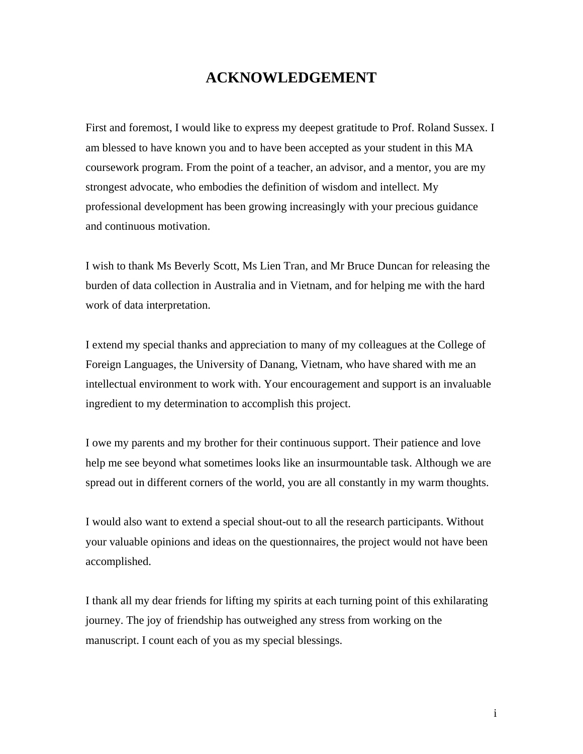# **ACKNOWLEDGEMENT**

First and foremost, I would like to express my deepest gratitude to Prof. Roland Sussex. I am blessed to have known you and to have been accepted as your student in this MA coursework program. From the point of a teacher, an advisor, and a mentor, you are my strongest advocate, who embodies the definition of wisdom and intellect. My professional development has been growing increasingly with your precious guidance and continuous motivation.

I wish to thank Ms Beverly Scott, Ms Lien Tran, and Mr Bruce Duncan for releasing the burden of data collection in Australia and in Vietnam, and for helping me with the hard work of data interpretation.

I extend my special thanks and appreciation to many of my colleagues at the College of Foreign Languages, the University of Danang, Vietnam, who have shared with me an intellectual environment to work with. Your encouragement and support is an invaluable ingredient to my determination to accomplish this project.

I owe my parents and my brother for their continuous support. Their patience and love help me see beyond what sometimes looks like an insurmountable task. Although we are spread out in different corners of the world, you are all constantly in my warm thoughts.

I would also want to extend a special shout-out to all the research participants. Without your valuable opinions and ideas on the questionnaires, the project would not have been accomplished.

I thank all my dear friends for lifting my spirits at each turning point of this exhilarating journey. The joy of friendship has outweighed any stress from working on the manuscript. I count each of you as my special blessings.

i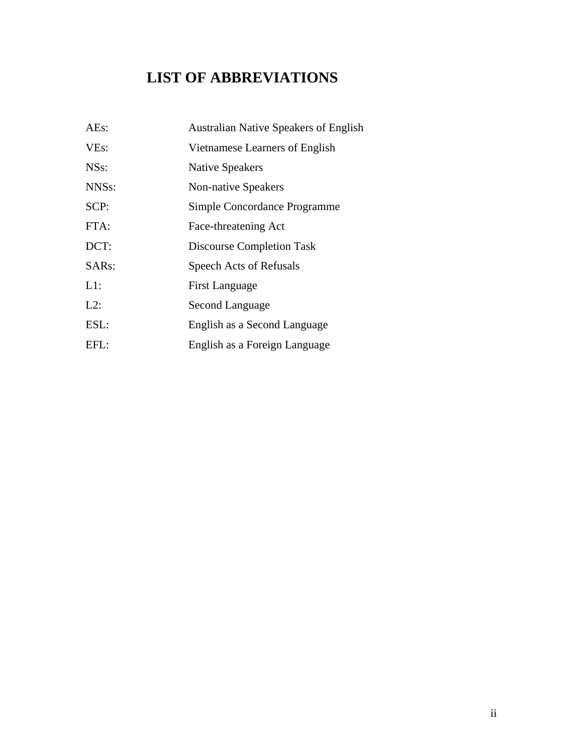# **LIST OF ABBREVIATIONS**

| AEs:               | <b>Australian Native Speakers of English</b> |
|--------------------|----------------------------------------------|
| VE <sub>s</sub> :  | Vietnamese Learners of English               |
| NS <sub>S</sub> :  | <b>Native Speakers</b>                       |
| NNS <sub>s</sub> : | <b>Non-native Speakers</b>                   |
| SCP:               | Simple Concordance Programme                 |
| FTA:               | Face-threatening Act                         |
| DCT:               | <b>Discourse Completion Task</b>             |
| SAR <sub>s</sub> : | Speech Acts of Refusals                      |
| $L1$ :             | <b>First Language</b>                        |
| $L2$ :             | Second Language                              |
| ESL:               | English as a Second Language                 |
| EFL:               | English as a Foreign Language                |
|                    |                                              |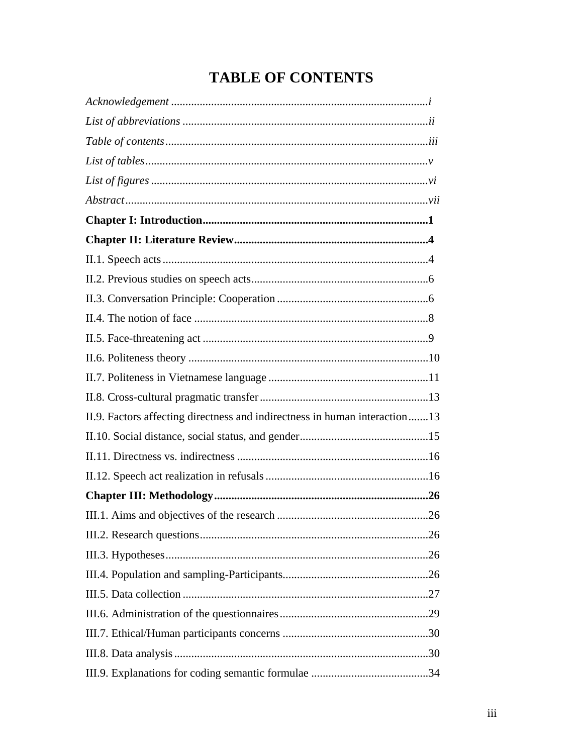# **TABLE OF CONTENTS**

| II.9. Factors affecting directness and indirectness in human interaction13 |
|----------------------------------------------------------------------------|
|                                                                            |
|                                                                            |
|                                                                            |
|                                                                            |
|                                                                            |
|                                                                            |
|                                                                            |
|                                                                            |
|                                                                            |
|                                                                            |
|                                                                            |
|                                                                            |
|                                                                            |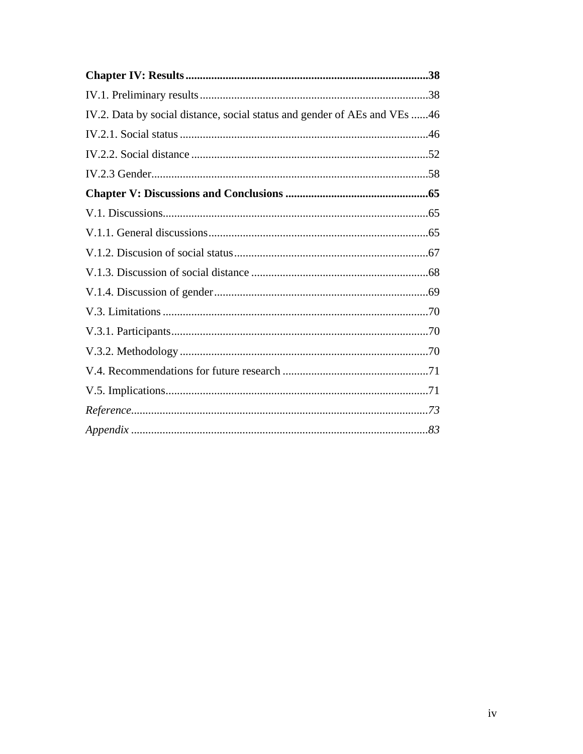| IV.2. Data by social distance, social status and gender of AEs and VEs 46 |  |
|---------------------------------------------------------------------------|--|
|                                                                           |  |
|                                                                           |  |
|                                                                           |  |
|                                                                           |  |
|                                                                           |  |
|                                                                           |  |
|                                                                           |  |
|                                                                           |  |
|                                                                           |  |
|                                                                           |  |
|                                                                           |  |
|                                                                           |  |
|                                                                           |  |
|                                                                           |  |
|                                                                           |  |
|                                                                           |  |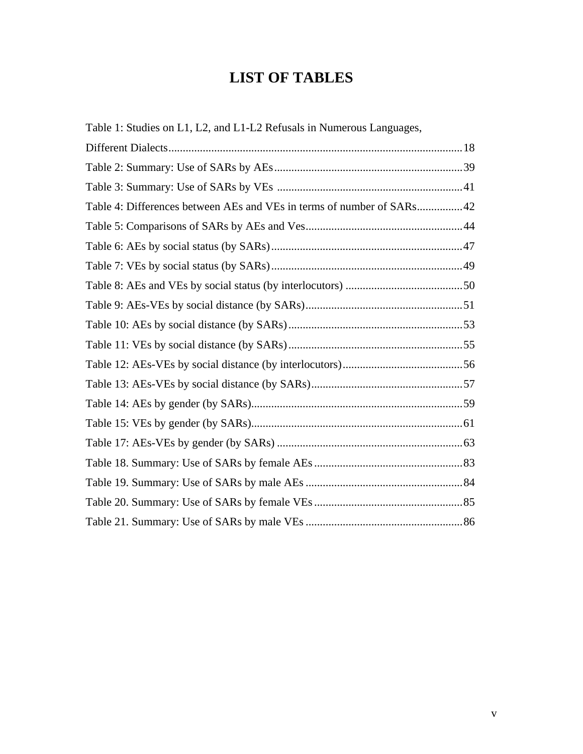# **LIST OF TABLES**

| Table 1: Studies on L1, L2, and L1-L2 Refusals in Numerous Languages, |  |
|-----------------------------------------------------------------------|--|
|                                                                       |  |
|                                                                       |  |
|                                                                       |  |
| Table 4: Differences between AEs and VEs in terms of number of SARs42 |  |
|                                                                       |  |
|                                                                       |  |
|                                                                       |  |
|                                                                       |  |
|                                                                       |  |
|                                                                       |  |
|                                                                       |  |
|                                                                       |  |
|                                                                       |  |
|                                                                       |  |
|                                                                       |  |
|                                                                       |  |
|                                                                       |  |
|                                                                       |  |
|                                                                       |  |
|                                                                       |  |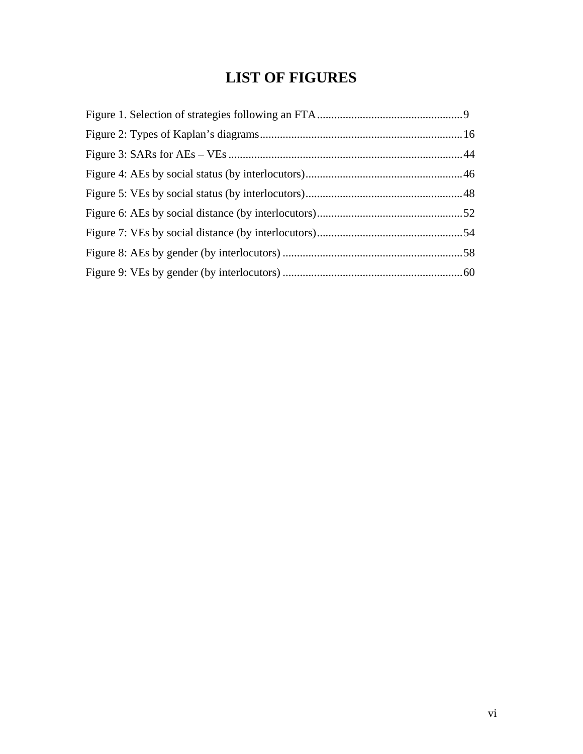# **LIST OF FIGURES**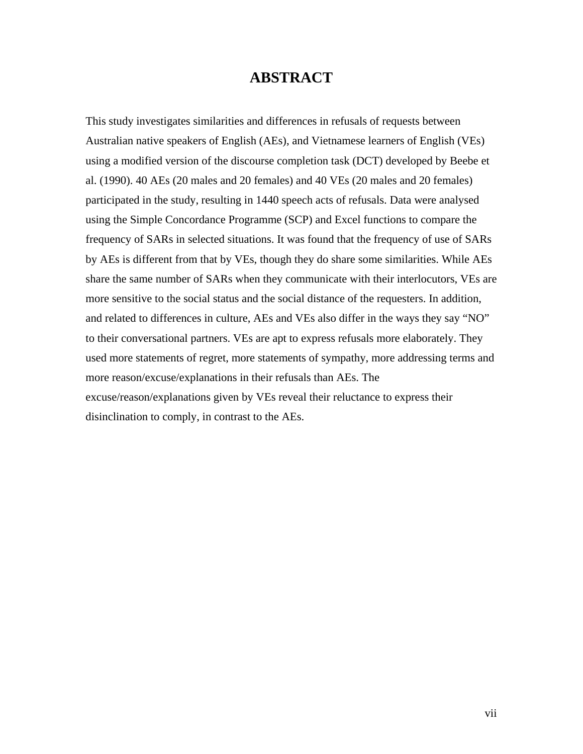## **ABSTRACT**

This study investigates similarities and differences in refusals of requests between Australian native speakers of English (AEs), and Vietnamese learners of English (VEs) using a modified version of the discourse completion task (DCT) developed by Beebe et al. (1990). 40 AEs (20 males and 20 females) and 40 VEs (20 males and 20 females) participated in the study, resulting in 1440 speech acts of refusals. Data were analysed using the Simple Concordance Programme (SCP) and Excel functions to compare the frequency of SARs in selected situations. It was found that the frequency of use of SARs by AEs is different from that by VEs, though they do share some similarities. While AEs share the same number of SARs when they communicate with their interlocutors, VEs are more sensitive to the social status and the social distance of the requesters. In addition, and related to differences in culture, AEs and VEs also differ in the ways they say "NO" to their conversational partners. VEs are apt to express refusals more elaborately. They used more statements of regret, more statements of sympathy, more addressing terms and more reason/excuse/explanations in their refusals than AEs. The excuse/reason/explanations given by VEs reveal their reluctance to express their disinclination to comply, in contrast to the AEs.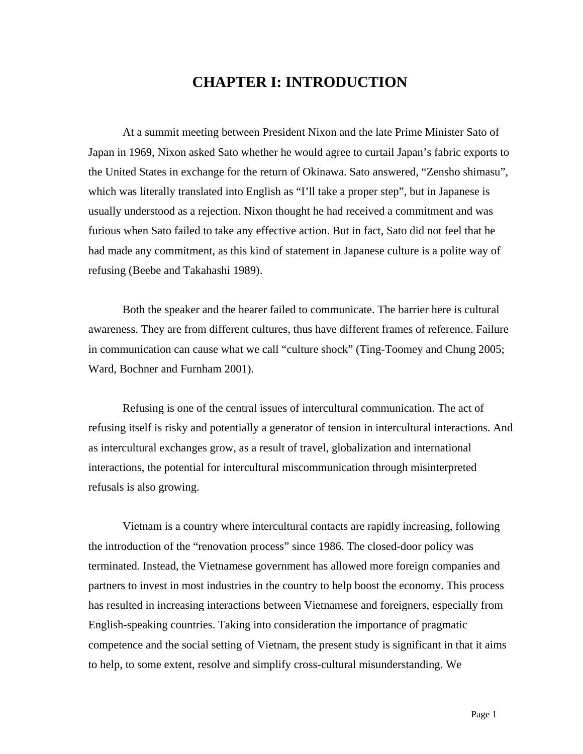# **CHAPTER I: INTRODUCTION**

At a summit meeting between President Nixon and the late Prime Minister Sato of Japan in 1969, Nixon asked Sato whether he would agree to curtail Japan's fabric exports to the United States in exchange for the return of Okinawa. Sato answered, "Zensho shimasu", which was literally translated into English as "I'll take a proper step", but in Japanese is usually understood as a rejection. Nixon thought he had received a commitment and was furious when Sato failed to take any effective action. But in fact, Sato did not feel that he had made any commitment, as this kind of statement in Japanese culture is a polite way of refusing (Beebe and Takahashi 1989).

Both the speaker and the hearer failed to communicate. The barrier here is cultural awareness. They are from different cultures, thus have different frames of reference. Failure in communication can cause what we call "culture shock" (Ting-Toomey and Chung 2005; Ward, Bochner and Furnham 2001).

Refusing is one of the central issues of intercultural communication. The act of refusing itself is risky and potentially a generator of tension in intercultural interactions. And as intercultural exchanges grow, as a result of travel, globalization and international interactions, the potential for intercultural miscommunication through misinterpreted refusals is also growing.

Vietnam is a country where intercultural contacts are rapidly increasing, following the introduction of the "renovation process" since 1986. The closed-door policy was terminated. Instead, the Vietnamese government has allowed more foreign companies and partners to invest in most industries in the country to help boost the economy. This process has resulted in increasing interactions between Vietnamese and foreigners, especially from English-speaking countries. Taking into consideration the importance of pragmatic competence and the social setting of Vietnam, the present study is significant in that it aims to help, to some extent, resolve and simplify cross-cultural misunderstanding. We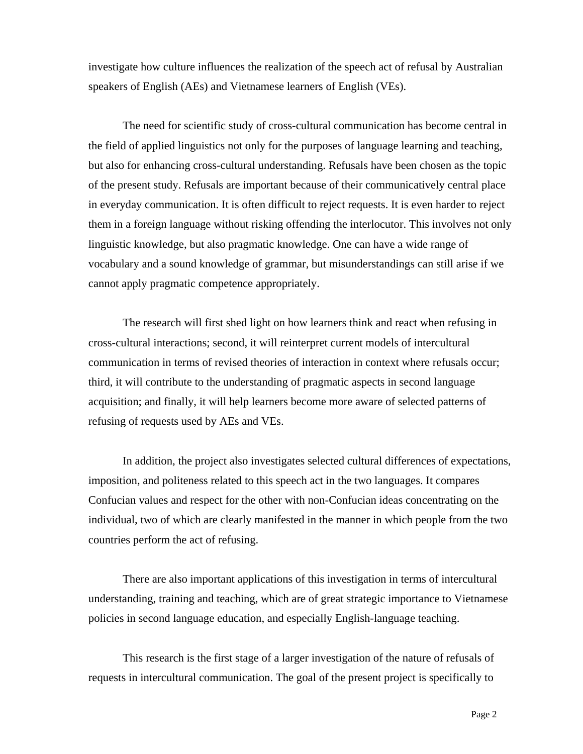investigate how culture influences the realization of the speech act of refusal by Australian speakers of English (AEs) and Vietnamese learners of English (VEs).

The need for scientific study of cross-cultural communication has become central in the field of applied linguistics not only for the purposes of language learning and teaching, but also for enhancing cross-cultural understanding. Refusals have been chosen as the topic of the present study. Refusals are important because of their communicatively central place in everyday communication. It is often difficult to reject requests. It is even harder to reject them in a foreign language without risking offending the interlocutor. This involves not only linguistic knowledge, but also pragmatic knowledge. One can have a wide range of vocabulary and a sound knowledge of grammar, but misunderstandings can still arise if we cannot apply pragmatic competence appropriately.

The research will first shed light on how learners think and react when refusing in cross-cultural interactions; second, it will reinterpret current models of intercultural communication in terms of revised theories of interaction in context where refusals occur; third, it will contribute to the understanding of pragmatic aspects in second language acquisition; and finally, it will help learners become more aware of selected patterns of refusing of requests used by AEs and VEs.

In addition, the project also investigates selected cultural differences of expectations, imposition, and politeness related to this speech act in the two languages. It compares Confucian values and respect for the other with non-Confucian ideas concentrating on the individual, two of which are clearly manifested in the manner in which people from the two countries perform the act of refusing.

There are also important applications of this investigation in terms of intercultural understanding, training and teaching, which are of great strategic importance to Vietnamese policies in second language education, and especially English-language teaching.

This research is the first stage of a larger investigation of the nature of refusals of requests in intercultural communication. The goal of the present project is specifically to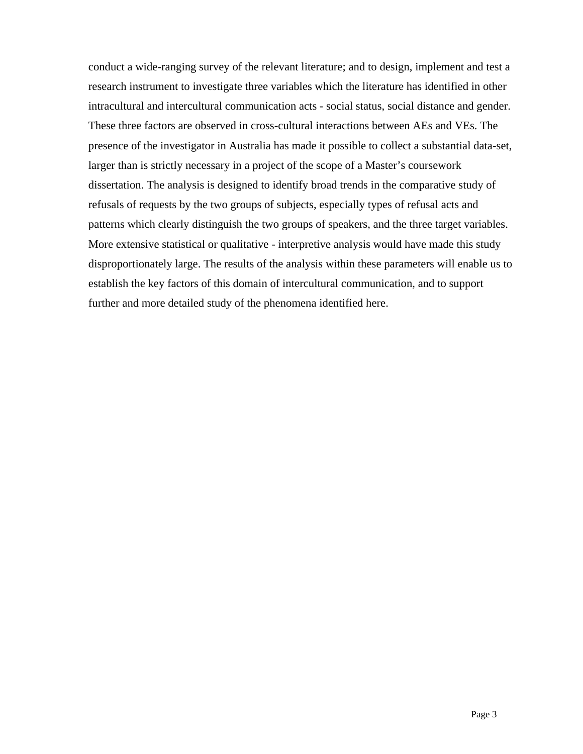conduct a wide-ranging survey of the relevant literature; and to design, implement and test a research instrument to investigate three variables which the literature has identified in other intracultural and intercultural communication acts - social status, social distance and gender. These three factors are observed in cross-cultural interactions between AEs and VEs. The presence of the investigator in Australia has made it possible to collect a substantial data-set, larger than is strictly necessary in a project of the scope of a Master's coursework dissertation. The analysis is designed to identify broad trends in the comparative study of refusals of requests by the two groups of subjects, especially types of refusal acts and patterns which clearly distinguish the two groups of speakers, and the three target variables. More extensive statistical or qualitative - interpretive analysis would have made this study disproportionately large. The results of the analysis within these parameters will enable us to establish the key factors of this domain of intercultural communication, and to support further and more detailed study of the phenomena identified here.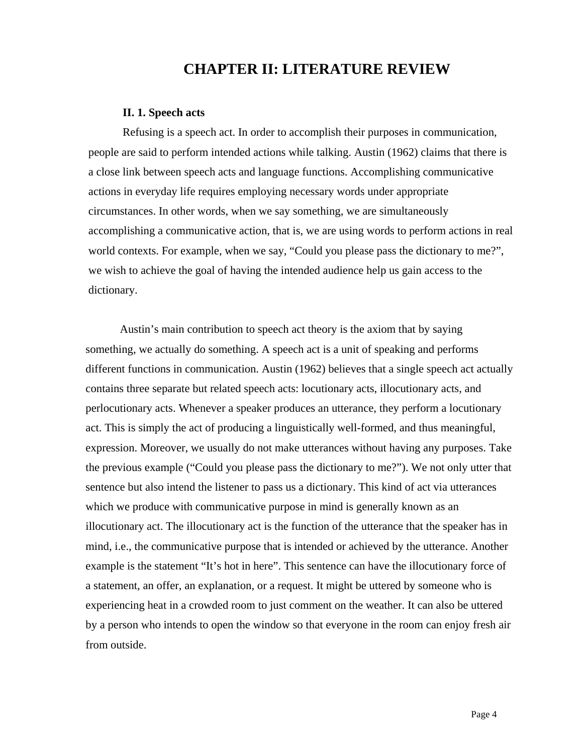## **CHAPTER II: LITERATURE REVIEW**

#### **II. 1. Speech acts**

Refusing is a speech act. In order to accomplish their purposes in communication, people are said to perform intended actions while talking. Austin (1962) claims that there is a close link between speech acts and language functions. Accomplishing communicative actions in everyday life requires employing necessary words under appropriate circumstances. In other words, when we say something, we are simultaneously accomplishing a communicative action, that is, we are using words to perform actions in real world contexts. For example, when we say, "Could you please pass the dictionary to me?", we wish to achieve the goal of having the intended audience help us gain access to the dictionary.

Austin's main contribution to speech act theory is the axiom that by saying something, we actually do something. A speech act is a unit of speaking and performs different functions in communication. Austin (1962) believes that a single speech act actually contains three separate but related speech acts: locutionary acts, illocutionary acts, and perlocutionary acts. Whenever a speaker produces an utterance, they perform a locutionary act. This is simply the act of producing a linguistically well-formed, and thus meaningful, expression. Moreover, we usually do not make utterances without having any purposes. Take the previous example ("Could you please pass the dictionary to me?"). We not only utter that sentence but also intend the listener to pass us a dictionary. This kind of act via utterances which we produce with communicative purpose in mind is generally known as an illocutionary act. The illocutionary act is the function of the utterance that the speaker has in mind, i.e., the communicative purpose that is intended or achieved by the utterance. Another example is the statement "It's hot in here". This sentence can have the illocutionary force of a statement, an offer, an explanation, or a request. It might be uttered by someone who is experiencing heat in a crowded room to just comment on the weather. It can also be uttered by a person who intends to open the window so that everyone in the room can enjoy fresh air from outside.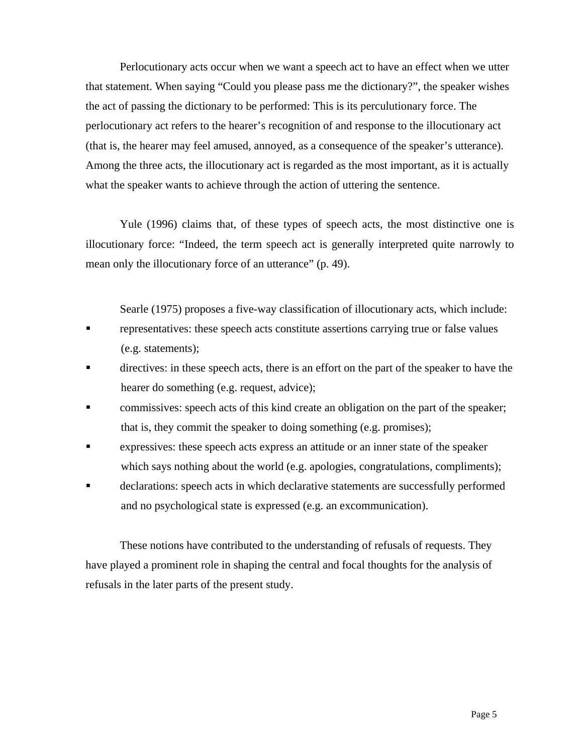Perlocutionary acts occur when we want a speech act to have an effect when we utter that statement. When saying "Could you please pass me the dictionary?", the speaker wishes the act of passing the dictionary to be performed: This is its perculutionary force. The perlocutionary act refers to the hearer's recognition of and response to the illocutionary act (that is, the hearer may feel amused, annoyed, as a consequence of the speaker's utterance). Among the three acts, the illocutionary act is regarded as the most important, as it is actually what the speaker wants to achieve through the action of uttering the sentence.

Yule (1996) claims that, of these types of speech acts, the most distinctive one is illocutionary force: "Indeed, the term speech act is generally interpreted quite narrowly to mean only the illocutionary force of an utterance" (p. 49).

Searle (1975) proposes a five-way classification of illocutionary acts, which include:

- **representatives:** these speech acts constitute assertions carrying true or false values (e.g. statements);
- **directives:** in these speech acts, there is an effort on the part of the speaker to have the hearer do something (e.g. request, advice);
- commissives: speech acts of this kind create an obligation on the part of the speaker; that is, they commit the speaker to doing something (e.g. promises);
- expressives: these speech acts express an attitude or an inner state of the speaker which says nothing about the world (e.g. apologies, congratulations, compliments);
- declarations: speech acts in which declarative statements are successfully performed and no psychological state is expressed (e.g. an excommunication).

These notions have contributed to the understanding of refusals of requests. They have played a prominent role in shaping the central and focal thoughts for the analysis of refusals in the later parts of the present study.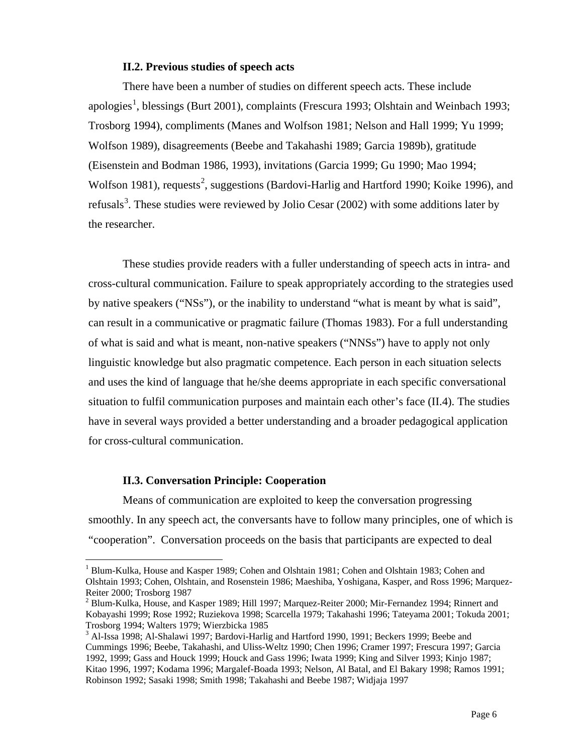#### **II.2. Previous studies of speech acts**

There have been a number of studies on different speech acts. These include apologies<sup>[1](#page-13-0)</sup>, blessings (Burt 2001), complaints (Frescura 1993; Olshtain and Weinbach 1993; Trosborg 1994), compliments (Manes and Wolfson 1981; Nelson and Hall 1999; Yu 1999; Wolfson 1989), disagreements (Beebe and Takahashi 1989; Garcia 1989b), gratitude (Eisenstein and Bodman 1986, 1993), invitations (Garcia 1999; Gu 1990; Mao 1994; Wolfson 1981), requests<sup>[2](#page-13-1)</sup>, suggestions (Bardovi-Harlig and Hartford 1990; Koike 1996), and refusals<sup>[3](#page-13-2)</sup>. These studies were reviewed by Jolio Cesar (2002) with some additions later by the researcher.

These studies provide readers with a fuller understanding of speech acts in intra- and cross-cultural communication. Failure to speak appropriately according to the strategies used by native speakers ("NSs"), or the inability to understand "what is meant by what is said", can result in a communicative or pragmatic failure (Thomas 1983). For a full understanding of what is said and what is meant, non-native speakers ("NNSs") have to apply not only linguistic knowledge but also pragmatic competence. Each person in each situation selects and uses the kind of language that he/she deems appropriate in each specific conversational situation to fulfil communication purposes and maintain each other's face (II.4). The studies have in several ways provided a better understanding and a broader pedagogical application for cross-cultural communication.

### **II.3. Conversation Principle: Cooperation**

 $\overline{a}$ 

Means of communication are exploited to keep the conversation progressing smoothly. In any speech act, the conversants have to follow many principles, one of which is "cooperation". Conversation proceeds on the basis that participants are expected to deal

<sup>&</sup>lt;sup>1</sup> Blum-Kulka, House and Kasper 1989; Cohen and Olshtain 1981; Cohen and Olshtain 1983; Cohen and Olshtain 1993; Cohen, Olshtain, and Rosenstein 1986; Maeshiba, Yoshigana, Kasper, and Ross 1996; Marquez-Reiter 2000; Trosborg 1987

 $2$  Blum-Kulka, House, and Kasper 1989; Hill 1997; Marquez-Reiter 2000; Mir-Fernandez 1994; Rinnert and Kobayashi 1999; Rose 1992; Ruziekova 1998; Scarcella 1979; Takahashi 1996; Tateyama 2001; Tokuda 2001; Trosborg 1994; Walters 1979; Wierzbicka 1985

<span id="page-13-2"></span><span id="page-13-1"></span><span id="page-13-0"></span><sup>&</sup>lt;sup>3</sup> Al-Issa 1998; Al-Shalawi 1997; Bardovi-Harlig and Hartford 1990, 1991; Beckers 1999; Beebe and Cummings 1996; Beebe, Takahashi, and Uliss-Weltz 1990; Chen 1996; Cramer 1997; Frescura 1997; Garcia 1992, 1999; Gass and Houck 1999; Houck and Gass 1996; Iwata 1999; King and Silver 1993; Kinjo 1987; Kitao 1996, 1997; Kodama 1996; Margalef-Boada 1993; Nelson, Al Batal, and El Bakary 1998; Ramos 1991; Robinson 1992; Sasaki 1998; Smith 1998; Takahashi and Beebe 1987; Widjaja 1997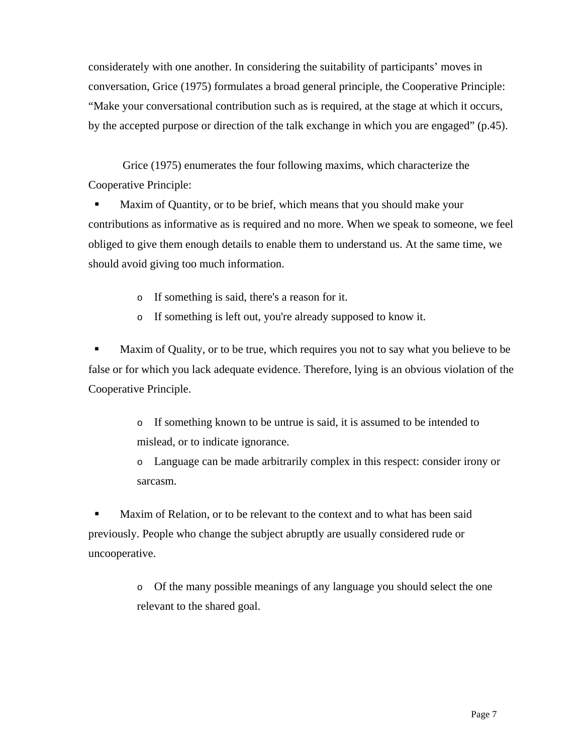considerately with one another. In considering the suitability of participants' moves in conversation, Grice (1975) formulates a broad general principle, the Cooperative Principle: "Make your conversational contribution such as is required, at the stage at which it occurs, by the accepted purpose or direction of the talk exchange in which you are engaged" (p.45).

Grice (1975) enumerates the four following maxims, which characterize the Cooperative Principle:

 Maxim of Quantity, or to be brief, which means that you should make your contributions as informative as is required and no more. When we speak to someone, we feel obliged to give them enough details to enable them to understand us. At the same time, we should avoid giving too much information.

o If something is said, there's a reason for it.

o If something is left out, you're already supposed to know it.

 Maxim of Quality, or to be true, which requires you not to say what you believe to be false or for which you lack adequate evidence. Therefore, lying is an obvious violation of the Cooperative Principle.

> o If something known to be untrue is said, it is assumed to be intended to mislead, or to indicate ignorance.

o Language can be made arbitrarily complex in this respect: consider irony or sarcasm.

 Maxim of Relation, or to be relevant to the context and to what has been said previously. People who change the subject abruptly are usually considered rude or uncooperative.

> o Of the many possible meanings of any language you should select the one relevant to the shared goal.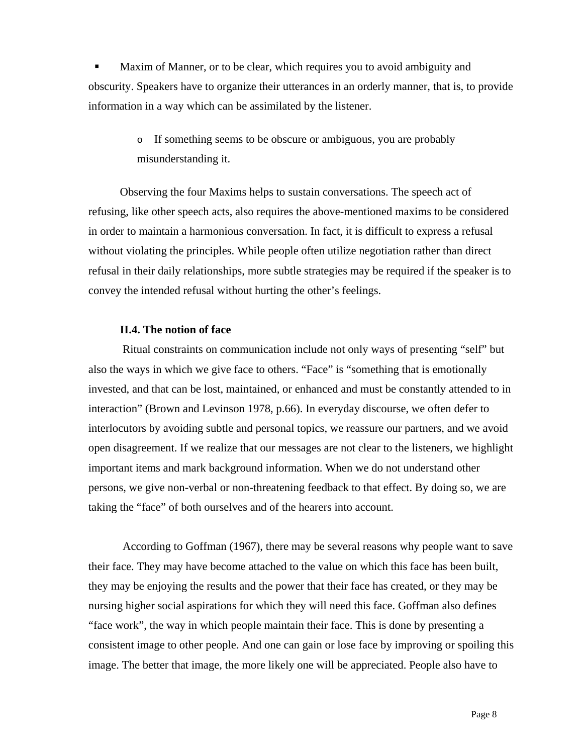Maxim of Manner, or to be clear, which requires you to avoid ambiguity and obscurity. Speakers have to organize their utterances in an orderly manner, that is, to provide information in a way which can be assimilated by the listener.

> o If something seems to be obscure or ambiguous, you are probably misunderstanding it.

Observing the four Maxims helps to sustain conversations. The speech act of refusing, like other speech acts, also requires the above-mentioned maxims to be considered in order to maintain a harmonious conversation. In fact, it is difficult to express a refusal without violating the principles. While people often utilize negotiation rather than direct refusal in their daily relationships, more subtle strategies may be required if the speaker is to convey the intended refusal without hurting the other's feelings.

### **II.4. The notion of face**

Ritual constraints on communication include not only ways of presenting "self" but also the ways in which we give face to others. "Face" is "something that is emotionally invested, and that can be lost, maintained, or enhanced and must be constantly attended to in interaction" (Brown and Levinson 1978, p.66). In everyday discourse, we often defer to interlocutors by avoiding subtle and personal topics, we reassure our partners, and we avoid open disagreement. If we realize that our messages are not clear to the listeners, we highlight important items and mark background information. When we do not understand other persons, we give non-verbal or non-threatening feedback to that effect. By doing so, we are taking the "face" of both ourselves and of the hearers into account.

According to Goffman (1967), there may be several reasons why people want to save their face. They may have become attached to the value on which this face has been built, they may be enjoying the results and the power that their face has created, or they may be nursing higher social aspirations for which they will need this face. Goffman also defines "face work", the way in which people maintain their face. This is done by presenting a consistent image to other people. And one can gain or lose face by improving or spoiling this image. The better that image, the more likely one will be appreciated. People also have to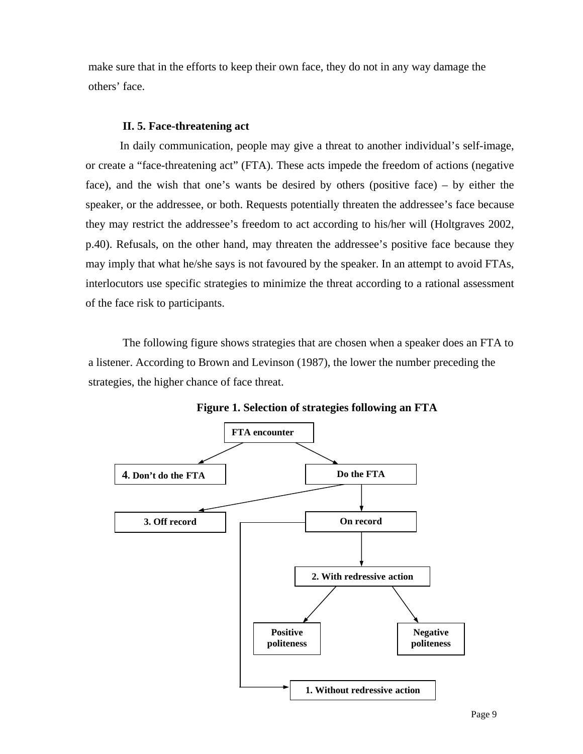make sure that in the efforts to keep their own face, they do not in any way damage the others' face.

## **II. 5. Face-threatening act**

In daily communication, people may give a threat to another individual's self-image, or create a "face-threatening act" (FTA). These acts impede the freedom of actions (negative face), and the wish that one's wants be desired by others (positive face) – by either the speaker, or the addressee, or both. Requests potentially threaten the addressee's face because they may restrict the addressee's freedom to act according to his/her will (Holtgraves 2002, p.40). Refusals, on the other hand, may threaten the addressee's positive face because they may imply that what he/she says is not favoured by the speaker. In an attempt to avoid FTAs, interlocutors use specific strategies to minimize the threat according to a rational assessment of the face risk to participants.

The following figure shows strategies that are chosen when a speaker does an FTA to a listener. According to Brown and Levinson (1987), the lower the number preceding the strategies, the higher chance of face threat.



**Figure 1. Selection of strategies following an FTA**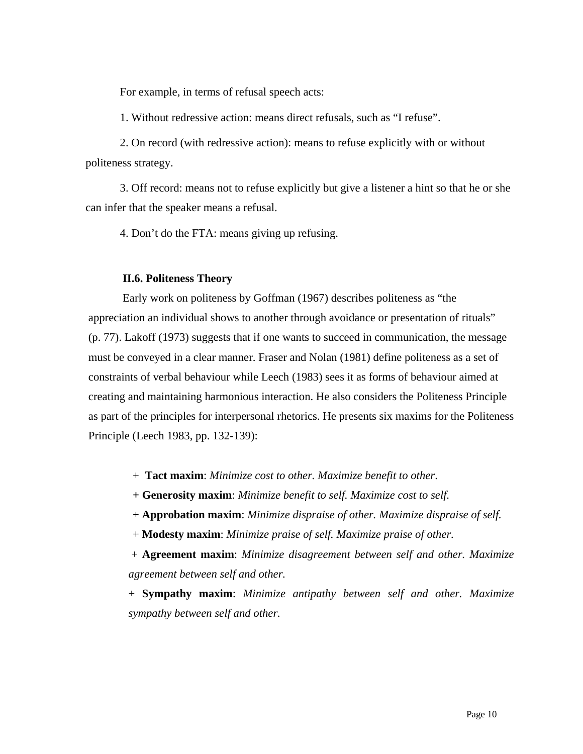For example, in terms of refusal speech acts:

1. Without redressive action: means direct refusals, such as "I refuse".

2. On record (with redressive action): means to refuse explicitly with or without politeness strategy.

3. Off record: means not to refuse explicitly but give a listener a hint so that he or she can infer that the speaker means a refusal.

4. Don't do the FTA: means giving up refusing.

#### **II.6. Politeness Theory**

Early work on politeness by Goffman (1967) describes politeness as "the appreciation an individual shows to another through avoidance or presentation of rituals" (p. 77). Lakoff (1973) suggests that if one wants to succeed in communication, the message must be conveyed in a clear manner. Fraser and Nolan (1981) define politeness as a set of constraints of verbal behaviour while Leech (1983) sees it as forms of behaviour aimed at creating and maintaining harmonious interaction. He also considers the Politeness Principle as part of the principles for interpersonal rhetorics. He presents six maxims for the Politeness Principle (Leech 1983, pp. 132-139):

+ **Tact maxim**: *Minimize cost to other. Maximize benefit to other*.

**+ Generosity maxim**: *Minimize benefit to self. Maximize cost to self.*

+ **Approbation maxim**: *Minimize dispraise of other. Maximize dispraise of self.*

+ **Modesty maxim**: *Minimize praise of self. Maximize praise of other.*

 + **Agreement maxim**: *Minimize disagreement between self and other. Maximize agreement between self and other.* 

+ **Sympathy maxim**: *Minimize antipathy between self and other. Maximize sympathy between self and other.*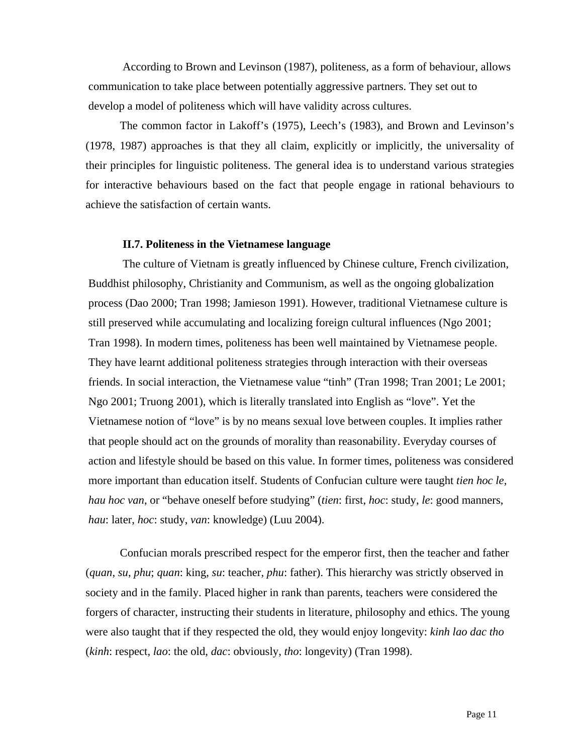According to Brown and Levinson (1987), politeness, as a form of behaviour, allows communication to take place between potentially aggressive partners. They set out to develop a model of politeness which will have validity across cultures.

The common factor in Lakoff's (1975), Leech's (1983), and Brown and Levinson's (1978, 1987) approaches is that they all claim, explicitly or implicitly, the universality of their principles for linguistic politeness. The general idea is to understand various strategies for interactive behaviours based on the fact that people engage in rational behaviours to achieve the satisfaction of certain wants.

#### **II.7. Politeness in the Vietnamese language**

The culture of Vietnam is greatly influenced by Chinese culture, French civilization, Buddhist philosophy, Christianity and Communism, as well as the ongoing globalization process (Dao 2000; Tran 1998; Jamieson 1991). However, traditional Vietnamese culture is still preserved while accumulating and localizing foreign cultural influences (Ngo 2001; Tran 1998). In modern times, politeness has been well maintained by Vietnamese people. They have learnt additional politeness strategies through interaction with their overseas friends. In social interaction, the Vietnamese value "tinh" (Tran 1998; Tran 2001; Le 2001; Ngo 2001; Truong 2001), which is literally translated into English as "love". Yet the Vietnamese notion of "love" is by no means sexual love between couples. It implies rather that people should act on the grounds of morality than reasonability. Everyday courses of action and lifestyle should be based on this value. In former times, politeness was considered more important than education itself. Students of Confucian culture were taught *tien hoc le, hau hoc van*, or "behave oneself before studying" (*tien*: first, *hoc*: study, *le*: good manners, *hau*: later, *hoc*: study, *van*: knowledge) (Luu 2004).

Confucian morals prescribed respect for the emperor first, then the teacher and father (*quan*, *su*, *phu*; *quan*: king, *su*: teacher, *phu*: father). This hierarchy was strictly observed in society and in the family. Placed higher in rank than parents, teachers were considered the forgers of character, instructing their students in literature, philosophy and ethics. The young were also taught that if they respected the old, they would enjoy longevity: *kinh lao dac tho* (*kinh*: respect, *lao*: the old, *dac*: obviously, *tho*: longevity) (Tran 1998).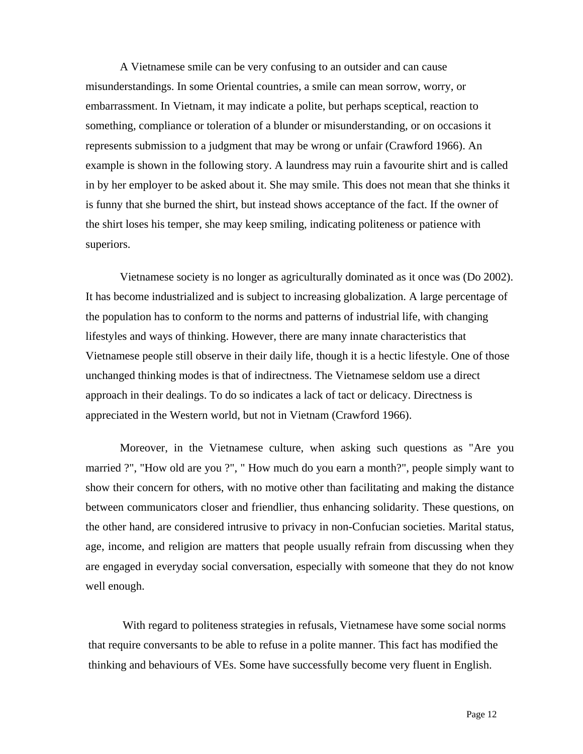A Vietnamese smile can be very confusing to an outsider and can cause misunderstandings. In some Oriental countries, a smile can mean sorrow, worry, or embarrassment. In Vietnam, it may indicate a polite, but perhaps sceptical, reaction to something, compliance or toleration of a blunder or misunderstanding, or on occasions it represents submission to a judgment that may be wrong or unfair (Crawford 1966). An example is shown in the following story. A laundress may ruin a favourite shirt and is called in by her employer to be asked about it. She may smile. This does not mean that she thinks it is funny that she burned the shirt, but instead shows acceptance of the fact. If the owner of the shirt loses his temper, she may keep smiling, indicating politeness or patience with superiors.

Vietnamese society is no longer as agriculturally dominated as it once was (Do 2002). It has become industrialized and is subject to increasing globalization. A large percentage of the population has to conform to the norms and patterns of industrial life, with changing lifestyles and ways of thinking. However, there are many innate characteristics that Vietnamese people still observe in their daily life, though it is a hectic lifestyle. One of those unchanged thinking modes is that of indirectness. The Vietnamese seldom use a direct approach in their dealings. To do so indicates a lack of tact or delicacy. Directness is appreciated in the Western world, but not in Vietnam (Crawford 1966).

Moreover, in the Vietnamese culture, when asking such questions as "Are you married ?", "How old are you ?", " How much do you earn a month?", people simply want to show their concern for others, with no motive other than facilitating and making the distance between communicators closer and friendlier, thus enhancing solidarity. These questions, on the other hand, are considered intrusive to privacy in non-Confucian societies. Marital status, age, income, and religion are matters that people usually refrain from discussing when they are engaged in everyday social conversation, especially with someone that they do not know well enough.

With regard to politeness strategies in refusals, Vietnamese have some social norms that require conversants to be able to refuse in a polite manner. This fact has modified the thinking and behaviours of VEs. Some have successfully become very fluent in English.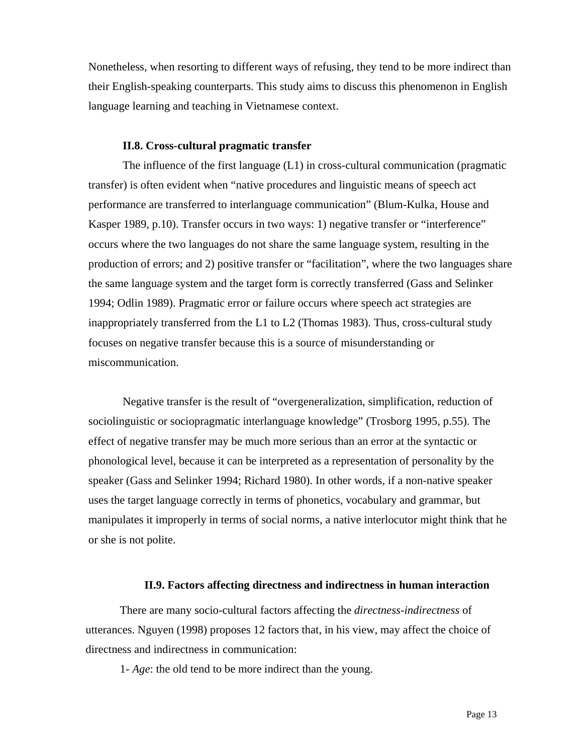Nonetheless, when resorting to different ways of refusing, they tend to be more indirect than their English-speaking counterparts. This study aims to discuss this phenomenon in English language learning and teaching in Vietnamese context.

#### **II.8. Cross-cultural pragmatic transfer**

The influence of the first language  $(L1)$  in cross-cultural communication (pragmatic transfer) is often evident when "native procedures and linguistic means of speech act performance are transferred to interlanguage communication" (Blum-Kulka, House and Kasper 1989, p.10). Transfer occurs in two ways: 1) negative transfer or "interference" occurs where the two languages do not share the same language system, resulting in the production of errors; and 2) positive transfer or "facilitation", where the two languages share the same language system and the target form is correctly transferred (Gass and Selinker 1994; Odlin 1989). Pragmatic error or failure occurs where speech act strategies are inappropriately transferred from the L1 to L2 (Thomas 1983). Thus, cross-cultural study focuses on negative transfer because this is a source of misunderstanding or miscommunication.

Negative transfer is the result of "overgeneralization, simplification, reduction of sociolinguistic or sociopragmatic interlanguage knowledge" (Trosborg 1995, p.55). The effect of negative transfer may be much more serious than an error at the syntactic or phonological level, because it can be interpreted as a representation of personality by the speaker (Gass and Selinker 1994; Richard 1980). In other words, if a non-native speaker uses the target language correctly in terms of phonetics, vocabulary and grammar, but manipulates it improperly in terms of social norms, a native interlocutor might think that he or she is not polite.

## **II.9. Factors affecting directness and indirectness in human interaction**

There are many socio-cultural factors affecting the *directness-indirectness* of utterances. Nguyen (1998) proposes 12 factors that, in his view, may affect the choice of directness and indirectness in communication:

1- *Age*: the old tend to be more indirect than the young.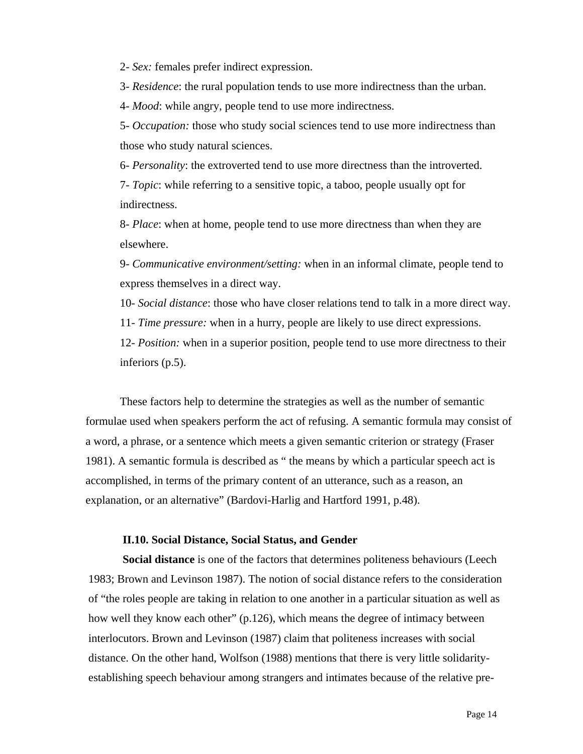2- *Sex:* females prefer indirect expression.

3- *Residence*: the rural population tends to use more indirectness than the urban.

4- *Mood*: while angry, people tend to use more indirectness.

5- *Occupation:* those who study social sciences tend to use more indirectness than those who study natural sciences.

 6- *Personality*: the extroverted tend to use more directness than the introverted. 7- *Topic*: while referring to a sensitive topic, a taboo, people usually opt for

indirectness.

8- *Place*: when at home, people tend to use more directness than when they are elsewhere.

9- *Communicative environment/setting:* when in an informal climate, people tend to express themselves in a direct way.

10- *Social distance*: those who have closer relations tend to talk in a more direct way.

11- *Time pressure:* when in a hurry, people are likely to use direct expressions.

12- *Position:* when in a superior position, people tend to use more directness to their inferiors (p.5).

 These factors help to determine the strategies as well as the number of semantic formulae used when speakers perform the act of refusing. A semantic formula may consist of a word, a phrase, or a sentence which meets a given semantic criterion or strategy (Fraser 1981). A semantic formula is described as " the means by which a particular speech act is accomplished, in terms of the primary content of an utterance, such as a reason, an explanation, or an alternative" (Bardovi-Harlig and Hartford 1991, p.48).

### **II.10. Social Distance, Social Status, and Gender**

**Social distance** is one of the factors that determines politeness behaviours (Leech 1983; Brown and Levinson 1987). The notion of social distance refers to the consideration of "the roles people are taking in relation to one another in a particular situation as well as how well they know each other" (p.126), which means the degree of intimacy between interlocutors. Brown and Levinson (1987) claim that politeness increases with social distance. On the other hand, Wolfson (1988) mentions that there is very little solidarityestablishing speech behaviour among strangers and intimates because of the relative pre-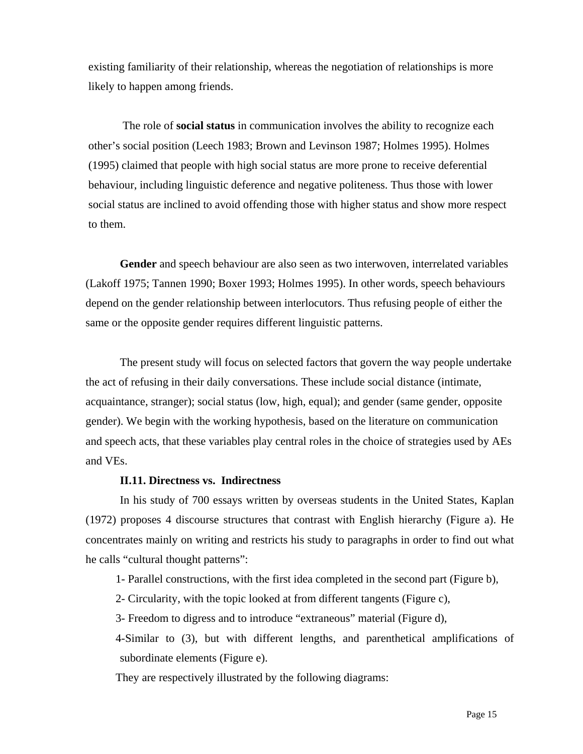existing familiarity of their relationship, whereas the negotiation of relationships is more likely to happen among friends.

The role of **social status** in communication involves the ability to recognize each other's social position (Leech 1983; Brown and Levinson 1987; Holmes 1995). Holmes (1995) claimed that people with high social status are more prone to receive deferential behaviour, including linguistic deference and negative politeness. Thus those with lower social status are inclined to avoid offending those with higher status and show more respect to them.

**Gender** and speech behaviour are also seen as two interwoven, interrelated variables (Lakoff 1975; Tannen 1990; Boxer 1993; Holmes 1995). In other words, speech behaviours depend on the gender relationship between interlocutors. Thus refusing people of either the same or the opposite gender requires different linguistic patterns.

The present study will focus on selected factors that govern the way people undertake the act of refusing in their daily conversations. These include social distance (intimate, acquaintance, stranger); social status (low, high, equal); and gender (same gender, opposite gender). We begin with the working hypothesis, based on the literature on communication and speech acts, that these variables play central roles in the choice of strategies used by AEs and VEs.

### **II.11. Directness vs. Indirectness**

In his study of 700 essays written by overseas students in the United States, Kaplan (1972) proposes 4 discourse structures that contrast with English hierarchy (Figure a). He concentrates mainly on writing and restricts his study to paragraphs in order to find out what he calls "cultural thought patterns":

1- Parallel constructions, with the first idea completed in the second part (Figure b),

2- Circularity, with the topic looked at from different tangents (Figure c),

3- Freedom to digress and to introduce "extraneous" material (Figure d),

4-Similar to (3), but with different lengths, and parenthetical amplifications of subordinate elements (Figure e).

They are respectively illustrated by the following diagrams: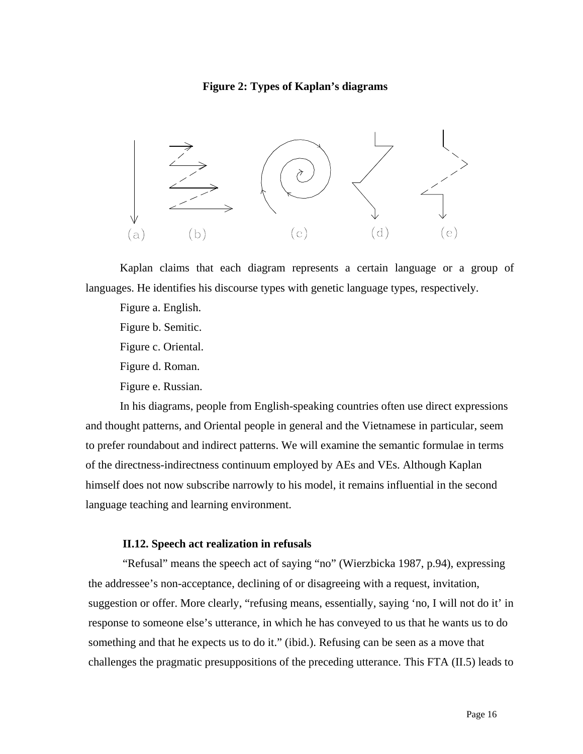#### **Figure 2: Types of Kaplan's diagrams**



Kaplan claims that each diagram represents a certain language or a group of languages. He identifies his discourse types with genetic language types, respectively.

Figure a. English. Figure b. Semitic. Figure c. Oriental. Figure d. Roman. Figure e. Russian.

In his diagrams, people from English-speaking countries often use direct expressions and thought patterns, and Oriental people in general and the Vietnamese in particular, seem to prefer roundabout and indirect patterns. We will examine the semantic formulae in terms of the directness-indirectness continuum employed by AEs and VEs. Although Kaplan himself does not now subscribe narrowly to his model, it remains influential in the second language teaching and learning environment.

### **II.12. Speech act realization in refusals**

"Refusal" means the speech act of saying "no" (Wierzbicka 1987, p.94), expressing the addressee's non-acceptance, declining of or disagreeing with a request, invitation, suggestion or offer. More clearly, "refusing means, essentially, saying 'no, I will not do it' in response to someone else's utterance, in which he has conveyed to us that he wants us to do something and that he expects us to do it." (ibid.). Refusing can be seen as a move that challenges the pragmatic presuppositions of the preceding utterance. This FTA (II.5) leads to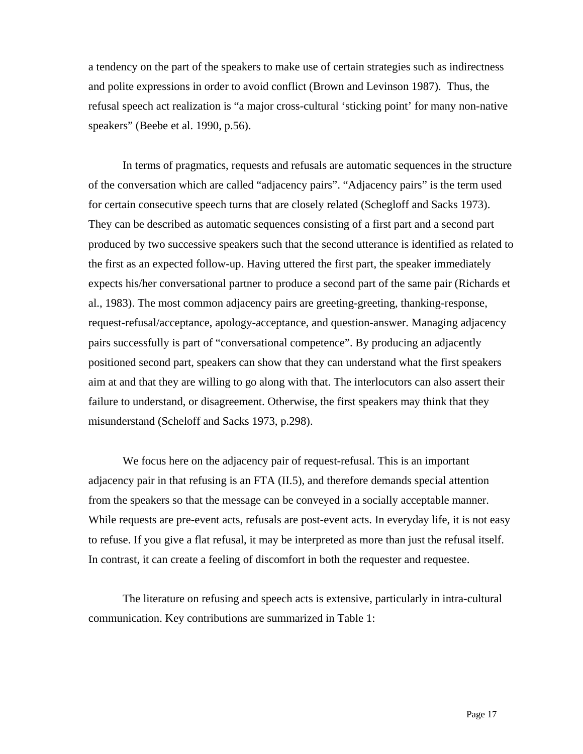a tendency on the part of the speakers to make use of certain strategies such as indirectness and polite expressions in order to avoid conflict (Brown and Levinson 1987). Thus, the refusal speech act realization is "a major cross-cultural 'sticking point' for many non-native speakers" (Beebe et al. 1990, p.56).

In terms of pragmatics, requests and refusals are automatic sequences in the structure of the conversation which are called "adjacency pairs". "Adjacency pairs" is the term used for certain consecutive speech turns that are closely related (Schegloff and Sacks 1973). They can be described as automatic sequences consisting of a first part and a second part produced by two successive speakers such that the second utterance is identified as related to the first as an expected follow-up. Having uttered the first part, the speaker immediately expects his/her conversational partner to produce a second part of the same pair (Richards et al., 1983). The most common adjacency pairs are greeting-greeting, thanking-response, request-refusal/acceptance, apology-acceptance, and question-answer. Managing adjacency pairs successfully is part of "conversational competence". By producing an adjacently positioned second part, speakers can show that they can understand what the first speakers aim at and that they are willing to go along with that. The interlocutors can also assert their failure to understand, or disagreement. Otherwise, the first speakers may think that they misunderstand (Scheloff and Sacks 1973, p.298).

We focus here on the adjacency pair of request-refusal. This is an important adjacency pair in that refusing is an FTA (II.5), and therefore demands special attention from the speakers so that the message can be conveyed in a socially acceptable manner. While requests are pre-event acts, refusals are post-event acts. In everyday life, it is not easy to refuse. If you give a flat refusal, it may be interpreted as more than just the refusal itself. In contrast, it can create a feeling of discomfort in both the requester and requestee.

The literature on refusing and speech acts is extensive, particularly in intra-cultural communication. Key contributions are summarized in Table 1: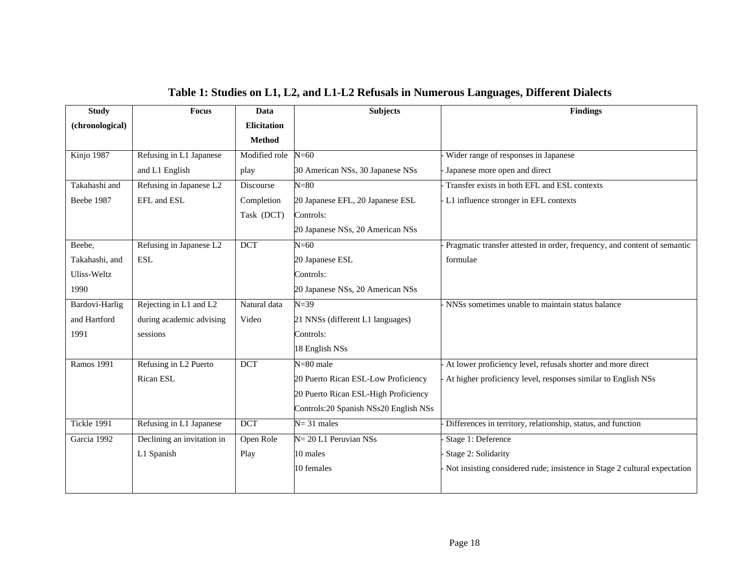| <b>Study</b>      | <b>Focus</b>               | Data               | <b>Subjects</b>                        | <b>Findings</b>                                                           |
|-------------------|----------------------------|--------------------|----------------------------------------|---------------------------------------------------------------------------|
| (chronological)   |                            | <b>Elicitation</b> |                                        |                                                                           |
|                   |                            | <b>Method</b>      |                                        |                                                                           |
| Kinjo 1987        | Refusing in L1 Japanese    | Modified role      | $N=60$                                 | Wider range of responses in Japanese                                      |
|                   | and L1 English             | play               | 30 American NSs, 30 Japanese NSs       | Japanese more open and direct                                             |
| Takahashi and     | Refusing in Japanese L2    | Discourse          | $N = 80$                               | Transfer exists in both EFL and ESL contexts                              |
| Beebe 1987        | EFL and ESL                | Completion         | 20 Japanese EFL, 20 Japanese ESL       | - L1 influence stronger in EFL contexts                                   |
|                   |                            | Task (DCT)         | Controls:                              |                                                                           |
|                   |                            |                    | 20 Japanese NSs, 20 American NSs       |                                                                           |
| Beebe,            | Refusing in Japanese L2    | <b>DCT</b>         | $N=60$                                 | Pragmatic transfer attested in order, frequency, and content of semantic  |
| Takahashi, and    | <b>ESL</b>                 |                    | 20 Japanese ESL                        | formulae                                                                  |
| Uliss-Weltz       |                            |                    | Controls:                              |                                                                           |
| 1990              |                            |                    | 20 Japanese NSs, 20 American NSs       |                                                                           |
| Bardovi-Harlig    | Rejecting in L1 and L2     | Natural data       | $N = 39$                               | NNSs sometimes unable to maintain status balance                          |
| and Hartford      | during academic advising   | Video              | 21 NNSs (different L1 languages)       |                                                                           |
| 1991              | sessions                   |                    | Controls:                              |                                                                           |
|                   |                            |                    | 18 English NSs                         |                                                                           |
| <b>Ramos 1991</b> | Refusing in L2 Puerto      | <b>DCT</b>         | $N = 80$ male                          | At lower proficiency level, refusals shorter and more direct              |
|                   | Rican ESL                  |                    | 20 Puerto Rican ESL-Low Proficiency    | At higher proficiency level, responses similar to English NSs             |
|                   |                            |                    | 20 Puerto Rican ESL-High Proficiency   |                                                                           |
|                   |                            |                    | Controls: 20 Spanish NSs20 English NSs |                                                                           |
| Tickle 1991       | Refusing in L1 Japanese    | <b>DCT</b>         | $N = 31$ males                         | Differences in territory, relationship, status, and function              |
| Garcia 1992       | Declining an invitation in | Open Role          | $N = 20 L1$ Peruvian NSs               | Stage 1: Deference                                                        |
|                   | L1 Spanish                 | Play               | 10 males                               | Stage 2: Solidarity                                                       |
|                   |                            |                    | 10 females                             | Not insisting considered rude; insistence in Stage 2 cultural expectation |

## **Table 1: Studies on L1, L2, and L1-L2 Refusals in Numerous Languages, Different Dialects**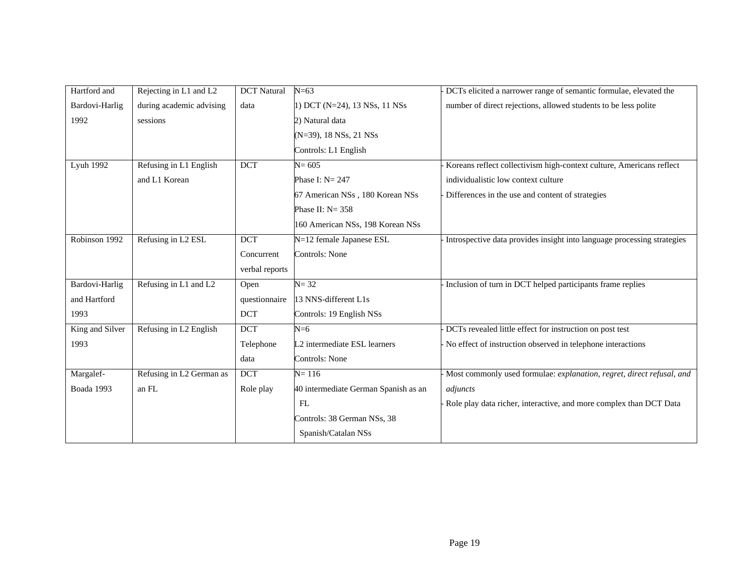| Hartford and    | Rejecting in L1 and L2   | <b>DCT</b> Natural | $N = 63$                             | DCTs elicited a narrower range of semantic formulae, elevated the       |
|-----------------|--------------------------|--------------------|--------------------------------------|-------------------------------------------------------------------------|
| Bardovi-Harlig  | during academic advising | data               | 1) DCT (N=24), 13 NSs, 11 NSs        | number of direct rejections, allowed students to be less polite         |
| 1992            | sessions                 |                    | 2) Natural data                      |                                                                         |
|                 |                          |                    | (N=39), 18 NSs, 21 NSs               |                                                                         |
|                 |                          |                    | Controls: L1 English                 |                                                                         |
| Lyuh 1992       | Refusing in L1 English   | <b>DCT</b>         | $N = 605$                            | Koreans reflect collectivism high-context culture, Americans reflect    |
|                 | and L1 Korean            |                    | Phase I: $N = 247$                   | individualistic low context culture                                     |
|                 |                          |                    | 67 American NSs, 180 Korean NSs      | Differences in the use and content of strategies                        |
|                 |                          |                    | Phase II: $N = 358$                  |                                                                         |
|                 |                          |                    | 160 American NSs, 198 Korean NSs     |                                                                         |
| Robinson 1992   | Refusing in L2 ESL       | <b>DCT</b>         | N=12 female Japanese ESL             | Introspective data provides insight into language processing strategies |
|                 |                          | Concurrent         | Controls: None                       |                                                                         |
|                 |                          | verbal reports     |                                      |                                                                         |
| Bardovi-Harlig  | Refusing in L1 and L2    | Open               | $N = 32$                             | Inclusion of turn in DCT helped participants frame replies              |
| and Hartford    |                          | questionnaire      | 13 NNS-different L1s                 |                                                                         |
| 1993            |                          | <b>DCT</b>         | Controls: 19 English NSs             |                                                                         |
| King and Silver | Refusing in L2 English   | <b>DCT</b>         | $N=6$                                | DCTs revealed little effect for instruction on post test                |
| 1993            |                          | Telephone          | L2 intermediate ESL learners         | No effect of instruction observed in telephone interactions             |
|                 |                          | data               | Controls: None                       |                                                                         |
| Margalef-       | Refusing in L2 German as | <b>DCT</b>         | $N = 116$                            | Most commonly used formulae: explanation, regret, direct refusal, and   |
| Boada 1993      | an FL                    | Role play          | 40 intermediate German Spanish as an | adjuncts                                                                |
|                 |                          |                    | FL                                   | Role play data richer, interactive, and more complex than DCT Data      |
|                 |                          |                    | Controls: 38 German NSs, 38          |                                                                         |
|                 |                          |                    | Spanish/Catalan NSs                  |                                                                         |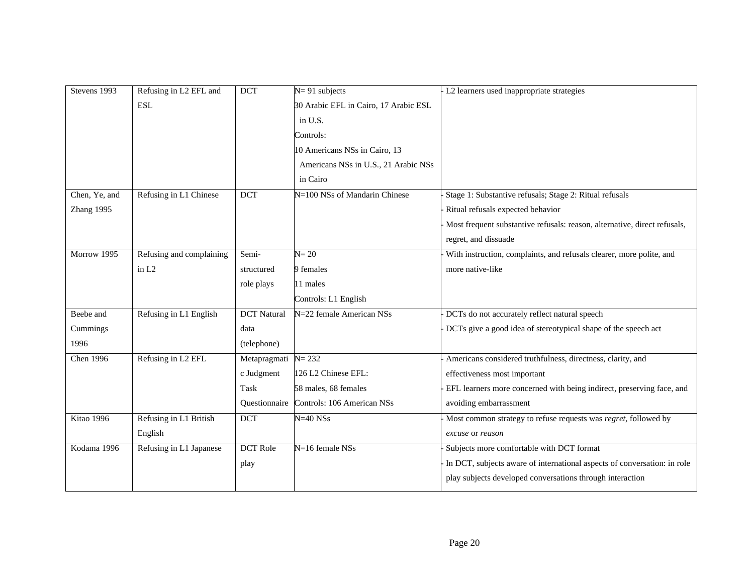| Stevens 1993  | Refusing in L2 EFL and   | <b>DCT</b>         | $N = 91$ subjects                     | L2 learners used inappropriate strategies                                 |
|---------------|--------------------------|--------------------|---------------------------------------|---------------------------------------------------------------------------|
|               | <b>ESL</b>               |                    | 30 Arabic EFL in Cairo, 17 Arabic ESL |                                                                           |
|               |                          |                    | in U.S.                               |                                                                           |
|               |                          |                    | Controls:                             |                                                                           |
|               |                          |                    | 10 Americans NSs in Cairo, 13         |                                                                           |
|               |                          |                    | Americans NSs in U.S., 21 Arabic NSs  |                                                                           |
|               |                          |                    | in Cairo                              |                                                                           |
| Chen, Ye, and | Refusing in L1 Chinese   | <b>DCT</b>         | N=100 NSs of Mandarin Chinese         | Stage 1: Substantive refusals; Stage 2: Ritual refusals                   |
| Zhang 1995    |                          |                    |                                       | Ritual refusals expected behavior                                         |
|               |                          |                    |                                       | Most frequent substantive refusals: reason, alternative, direct refusals, |
|               |                          |                    |                                       | regret, and dissuade                                                      |
| Morrow 1995   | Refusing and complaining | Semi-              | $N = 20$                              | With instruction, complaints, and refusals clearer, more polite, and      |
|               | in L <sub>2</sub>        | structured         | 9 females                             | more native-like                                                          |
|               |                          | role plays         | 11 males                              |                                                                           |
|               |                          |                    | Controls: L1 English                  |                                                                           |
| Beebe and     | Refusing in L1 English   | <b>DCT</b> Natural | N=22 female American NSs              | DCTs do not accurately reflect natural speech                             |
| Cummings      |                          | data               |                                       | DCTs give a good idea of stereotypical shape of the speech act            |
| 1996          |                          | (telephone)        |                                       |                                                                           |
| Chen 1996     | Refusing in L2 EFL       | Metapragmati       | $N = 232$                             | Americans considered truthfulness, directness, clarity, and               |
|               |                          | c Judgment         | 126 L2 Chinese EFL:                   | effectiveness most important                                              |
|               |                          | <b>Task</b>        | 58 males, 68 females                  | EFL learners more concerned with being indirect, preserving face, and     |
|               |                          | Ouestionnaire      | Controls: 106 American NSs            | avoiding embarrassment                                                    |
| Kitao 1996    | Refusing in L1 British   | $\overline{DCT}$   | $N=40$ $NSs$                          | Most common strategy to refuse requests was regret, followed by           |
|               | English                  |                    |                                       | excuse or reason                                                          |
| Kodama 1996   | Refusing in L1 Japanese  | <b>DCT</b> Role    | N=16 female NSs                       | Subjects more comfortable with DCT format                                 |
|               |                          | play               |                                       | In DCT, subjects aware of international aspects of conversation: in role  |
|               |                          |                    |                                       | play subjects developed conversations through interaction                 |
|               |                          |                    |                                       |                                                                           |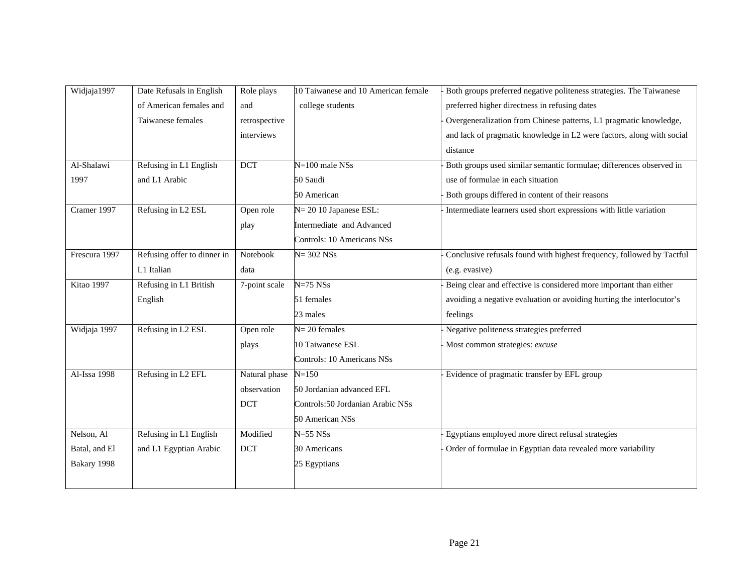| Widjaja1997   | Date Refusals in English    | Role plays    | 10 Taiwanese and 10 American female | Both groups preferred negative politeness strategies. The Taiwanese   |
|---------------|-----------------------------|---------------|-------------------------------------|-----------------------------------------------------------------------|
|               | of American females and     | and           | college students                    | preferred higher directness in refusing dates                         |
|               | Taiwanese females           | retrospective |                                     | Overgeneralization from Chinese patterns, L1 pragmatic knowledge,     |
|               |                             | interviews    |                                     | and lack of pragmatic knowledge in L2 were factors, along with social |
|               |                             |               |                                     | distance                                                              |
| Al-Shalawi    | Refusing in L1 English      | <b>DCT</b>    | $N=100$ male $\overline{NSs}$       | Both groups used similar semantic formulae; differences observed in   |
| 1997          | and L1 Arabic               |               | 50 Saudi                            | use of formulae in each situation                                     |
|               |                             |               | 50 American                         | Both groups differed in content of their reasons                      |
| Cramer 1997   | Refusing in L2 ESL          | Open role     | N= 20 10 Japanese ESL:              | Intermediate learners used short expressions with little variation    |
|               |                             | play          | Intermediate and Advanced           |                                                                       |
|               |                             |               | Controls: 10 Americans NSs          |                                                                       |
| Frescura 1997 | Refusing offer to dinner in | Notebook      | $N = 302$ $NSs$                     | Conclusive refusals found with highest frequency, followed by Tactful |
|               | L1 Italian                  | data          |                                     | (e.g. evasive)                                                        |
| Kitao 1997    | Refusing in L1 British      | 7-point scale | $N=75$ $NSs$                        | Being clear and effective is considered more important than either    |
|               | English                     |               | 51 females                          | avoiding a negative evaluation or avoiding hurting the interlocutor's |
|               |                             |               | 23 males                            | feelings                                                              |
| Widjaja 1997  | Refusing in L2 ESL          | Open role     | $N = 20$ females                    | Negative politeness strategies preferred                              |
|               |                             | plays         | 10 Taiwanese ESL                    | Most common strategies: excuse                                        |
|               |                             |               | Controls: 10 Americans NSs          |                                                                       |
| Al-Issa 1998  | Refusing in L2 EFL          | Natural phase | $N = 150$                           | Evidence of pragmatic transfer by EFL group                           |
|               |                             | observation   | 50 Jordanian advanced EFL           |                                                                       |
|               |                             | <b>DCT</b>    | Controls:50 Jordanian Arabic NSs    |                                                                       |
|               |                             |               | 50 American NSs                     |                                                                       |
| Nelson, Al    | Refusing in L1 English      | Modified      | $N=55$ $NSs$                        | Egyptians employed more direct refusal strategies                     |
| Batal, and El | and L1 Egyptian Arabic      | <b>DCT</b>    | 30 Americans                        | Order of formulae in Egyptian data revealed more variability          |
| Bakary 1998   |                             |               | 25 Egyptians                        |                                                                       |
|               |                             |               |                                     |                                                                       |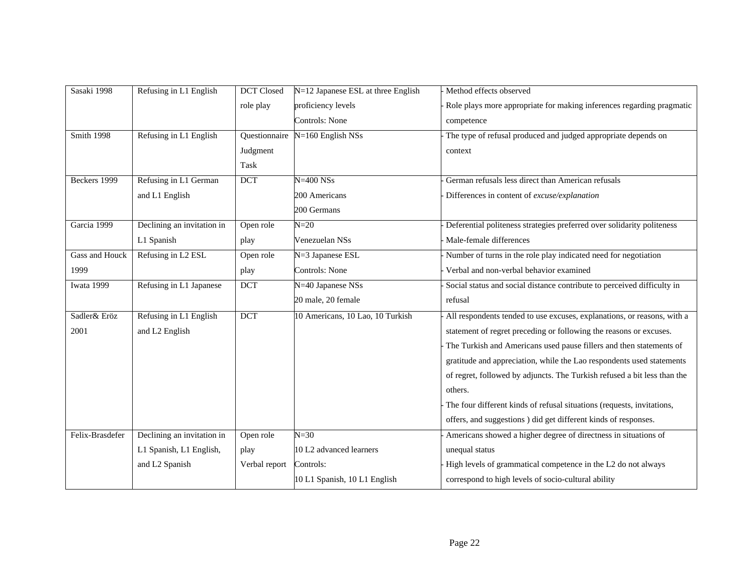| Sasaki 1998           | Refusing in L1 English     | <b>DCT</b> Closed | N=12 Japanese ESL at three English | Method effects observed                                                  |
|-----------------------|----------------------------|-------------------|------------------------------------|--------------------------------------------------------------------------|
|                       |                            | role play         | proficiency levels                 | Role plays more appropriate for making inferences regarding pragmatic    |
|                       |                            |                   | Controls: None                     | competence                                                               |
| <b>Smith 1998</b>     | Refusing in L1 English     | Questionnaire     | $N=160$ English NSs                | The type of refusal produced and judged appropriate depends on           |
|                       |                            | Judgment          |                                    | context                                                                  |
|                       |                            | Task              |                                    |                                                                          |
| Beckers 1999          | Refusing in L1 German      | DCT               | $N = 400$ $NSs$                    | German refusals less direct than American refusals                       |
|                       | and L1 English             |                   | 200 Americans                      | Differences in content of excuse/explanation                             |
|                       |                            |                   | 200 Germans                        |                                                                          |
| Garcia 1999           | Declining an invitation in | Open role         | $N=20$                             | Deferential politeness strategies preferred over solidarity politeness   |
|                       | L1 Spanish                 | play              | Venezuelan NSs                     | Male-female differences                                                  |
| <b>Gass and Houck</b> | Refusing in L2 ESL         | Open role         | N=3 Japanese ESL                   | Number of turns in the role play indicated need for negotiation          |
| 1999                  |                            | play              | Controls: None                     | Verbal and non-verbal behavior examined                                  |
| Iwata 1999            | Refusing in L1 Japanese    | DCT               | N=40 Japanese NSs                  | Social status and social distance contribute to perceived difficulty in  |
|                       |                            |                   | 20 male, 20 female                 | refusal                                                                  |
| Sadler& Eröz          | Refusing in L1 English     | <b>DCT</b>        | 10 Americans, 10 Lao, 10 Turkish   | All respondents tended to use excuses, explanations, or reasons, with a  |
| 2001                  | and L2 English             |                   |                                    | statement of regret preceding or following the reasons or excuses.       |
|                       |                            |                   |                                    | The Turkish and Americans used pause fillers and then statements of      |
|                       |                            |                   |                                    | gratitude and appreciation, while the Lao respondents used statements    |
|                       |                            |                   |                                    | of regret, followed by adjuncts. The Turkish refused a bit less than the |
|                       |                            |                   |                                    | others.                                                                  |
|                       |                            |                   |                                    | The four different kinds of refusal situations (requests, invitations,   |
|                       |                            |                   |                                    | offers, and suggestions ) did get different kinds of responses.          |
| Felix-Brasdefer       | Declining an invitation in | Open role         | $N = 30$                           | Americans showed a higher degree of directness in situations of          |
|                       | L1 Spanish, L1 English,    | play              | 10 L2 advanced learners            | unequal status                                                           |
|                       | and L2 Spanish             | Verbal report     | Controls:                          | High levels of grammatical competence in the L2 do not always            |
|                       |                            |                   | 10 L1 Spanish, 10 L1 English       | correspond to high levels of socio-cultural ability                      |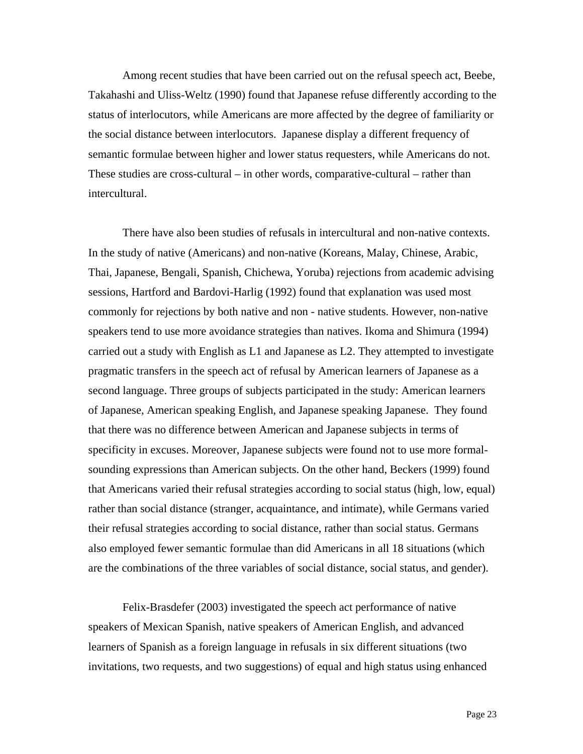Among recent studies that have been carried out on the refusal speech act, Beebe, Takahashi and Uliss-Weltz (1990) found that Japanese refuse differently according to the status of interlocutors, while Americans are more affected by the degree of familiarity or the social distance between interlocutors. Japanese display a different frequency of semantic formulae between higher and lower status requesters, while Americans do not. These studies are cross-cultural – in other words, comparative-cultural – rather than intercultural.

There have also been studies of refusals in intercultural and non-native contexts. In the study of native (Americans) and non-native (Koreans, Malay, Chinese, Arabic, Thai, Japanese, Bengali, Spanish, Chichewa, Yoruba) rejections from academic advising sessions, Hartford and Bardovi-Harlig (1992) found that explanation was used most commonly for rejections by both native and non - native students. However, non-native speakers tend to use more avoidance strategies than natives. Ikoma and Shimura (1994) carried out a study with English as L1 and Japanese as L2. They attempted to investigate pragmatic transfers in the speech act of refusal by American learners of Japanese as a second language. Three groups of subjects participated in the study: American learners of Japanese, American speaking English, and Japanese speaking Japanese. They found that there was no difference between American and Japanese subjects in terms of specificity in excuses. Moreover, Japanese subjects were found not to use more formalsounding expressions than American subjects. On the other hand, Beckers (1999) found that Americans varied their refusal strategies according to social status (high, low, equal) rather than social distance (stranger, acquaintance, and intimate), while Germans varied their refusal strategies according to social distance, rather than social status. Germans also employed fewer semantic formulae than did Americans in all 18 situations (which are the combinations of the three variables of social distance, social status, and gender).

Felix-Brasdefer (2003) investigated the speech act performance of native speakers of Mexican Spanish, native speakers of American English, and advanced learners of Spanish as a foreign language in refusals in six different situations (two invitations, two requests, and two suggestions) of equal and high status using enhanced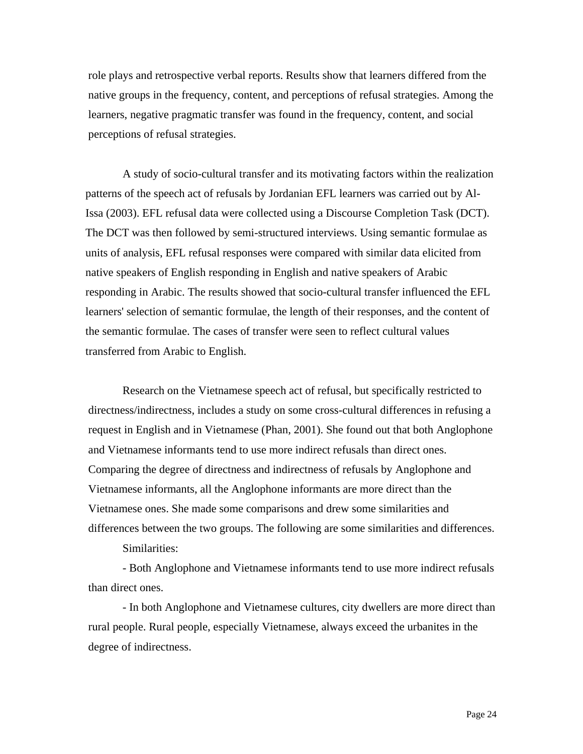role plays and retrospective verbal reports. Results show that learners differed from the native groups in the frequency, content, and perceptions of refusal strategies. Among the learners, negative pragmatic transfer was found in the frequency, content, and social perceptions of refusal strategies.

 A study of socio-cultural transfer and its motivating factors within the realization patterns of the speech act of refusals by Jordanian EFL learners was carried out by Al-Issa (2003). EFL refusal data were collected using a Discourse Completion Task (DCT). The DCT was then followed by semi-structured interviews. Using semantic formulae as units of analysis, EFL refusal responses were compared with similar data elicited from native speakers of English responding in English and native speakers of Arabic responding in Arabic. The results showed that socio-cultural transfer influenced the EFL learners' selection of semantic formulae, the length of their responses, and the content of the semantic formulae. The cases of transfer were seen to reflect cultural values transferred from Arabic to English.

Research on the Vietnamese speech act of refusal, but specifically restricted to directness/indirectness, includes a study on some cross-cultural differences in refusing a request in English and in Vietnamese (Phan, 2001). She found out that both Anglophone and Vietnamese informants tend to use more indirect refusals than direct ones. Comparing the degree of directness and indirectness of refusals by Anglophone and Vietnamese informants, all the Anglophone informants are more direct than the Vietnamese ones. She made some comparisons and drew some similarities and differences between the two groups. The following are some similarities and differences.

Similarities:

- Both Anglophone and Vietnamese informants tend to use more indirect refusals than direct ones.

- In both Anglophone and Vietnamese cultures, city dwellers are more direct than rural people. Rural people, especially Vietnamese, always exceed the urbanites in the degree of indirectness.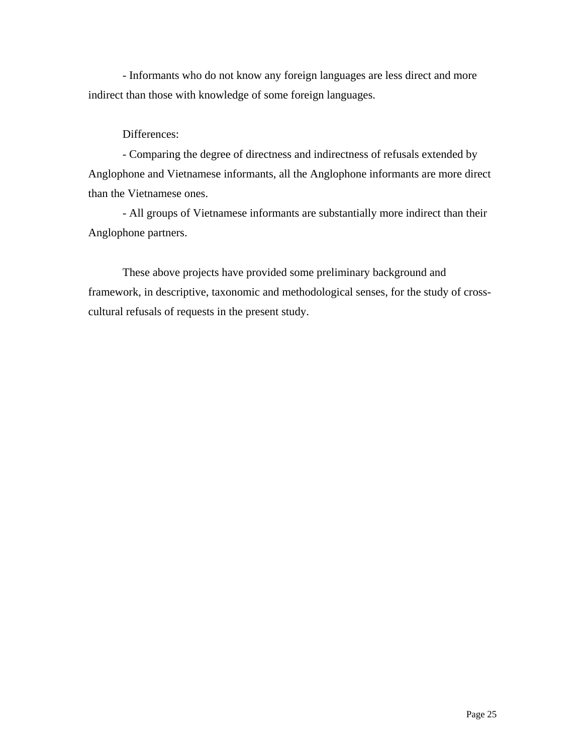- Informants who do not know any foreign languages are less direct and more indirect than those with knowledge of some foreign languages.

## Differences:

- Comparing the degree of directness and indirectness of refusals extended by Anglophone and Vietnamese informants, all the Anglophone informants are more direct than the Vietnamese ones.

- All groups of Vietnamese informants are substantially more indirect than their Anglophone partners.

These above projects have provided some preliminary background and framework, in descriptive, taxonomic and methodological senses, for the study of crosscultural refusals of requests in the present study.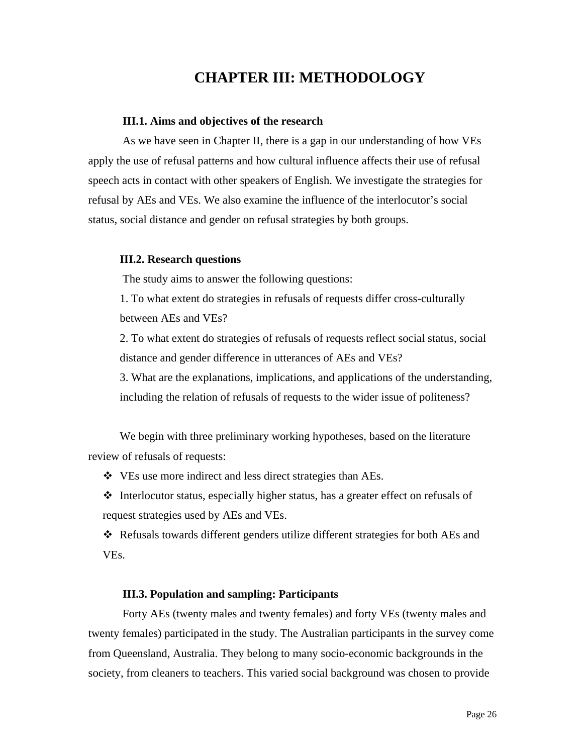## **CHAPTER III: METHODOLOGY**

#### **III.1. Aims and objectives of the research**

As we have seen in Chapter II, there is a gap in our understanding of how VEs apply the use of refusal patterns and how cultural influence affects their use of refusal speech acts in contact with other speakers of English. We investigate the strategies for refusal by AEs and VEs. We also examine the influence of the interlocutor's social status, social distance and gender on refusal strategies by both groups.

#### **III.2. Research questions**

The study aims to answer the following questions:

1. To what extent do strategies in refusals of requests differ cross-culturally between AEs and VEs?

2. To what extent do strategies of refusals of requests reflect social status, social distance and gender difference in utterances of AEs and VEs?

3. What are the explanations, implications, and applications of the understanding, including the relation of refusals of requests to the wider issue of politeness?

We begin with three preliminary working hypotheses, based on the literature review of refusals of requests:

VEs use more indirect and less direct strategies than AEs.

 Interlocutor status, especially higher status, has a greater effect on refusals of request strategies used by AEs and VEs.

 $\triangle$  Refusals towards different genders utilize different strategies for both AEs and VEs.

### **III.3. Population and sampling: Participants**

Forty AEs (twenty males and twenty females) and forty VEs (twenty males and twenty females) participated in the study. The Australian participants in the survey come from Queensland, Australia. They belong to many socio-economic backgrounds in the society, from cleaners to teachers. This varied social background was chosen to provide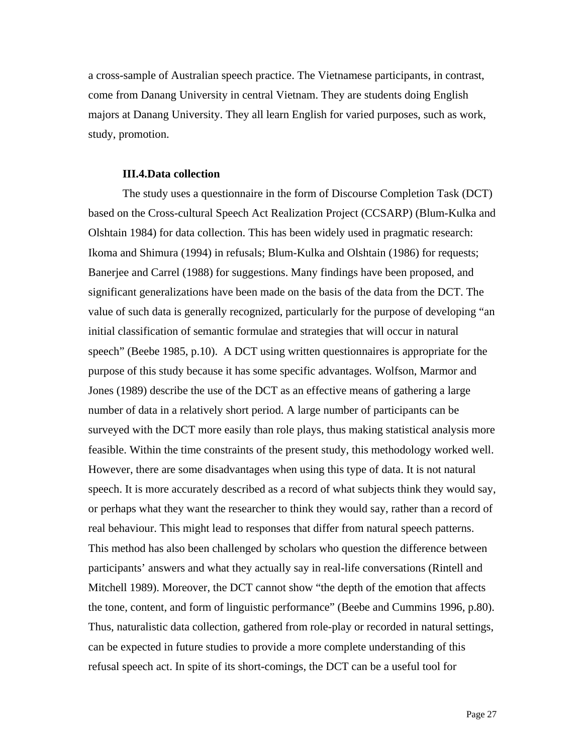a cross-sample of Australian speech practice. The Vietnamese participants, in contrast, come from Danang University in central Vietnam. They are students doing English majors at Danang University. They all learn English for varied purposes, such as work, study, promotion.

#### **III.4.Data collection**

The study uses a questionnaire in the form of Discourse Completion Task (DCT) based on the Cross-cultural Speech Act Realization Project (CCSARP) (Blum-Kulka and Olshtain 1984) for data collection. This has been widely used in pragmatic research: Ikoma and Shimura (1994) in refusals; Blum-Kulka and Olshtain (1986) for requests; Banerjee and Carrel (1988) for suggestions. Many findings have been proposed, and significant generalizations have been made on the basis of the data from the DCT. The value of such data is generally recognized, particularly for the purpose of developing "an initial classification of semantic formulae and strategies that will occur in natural speech" (Beebe 1985, p.10). A DCT using written questionnaires is appropriate for the purpose of this study because it has some specific advantages. Wolfson, Marmor and Jones (1989) describe the use of the DCT as an effective means of gathering a large number of data in a relatively short period. A large number of participants can be surveyed with the DCT more easily than role plays, thus making statistical analysis more feasible. Within the time constraints of the present study, this methodology worked well. However, there are some disadvantages when using this type of data. It is not natural speech. It is more accurately described as a record of what subjects think they would say, or perhaps what they want the researcher to think they would say, rather than a record of real behaviour. This might lead to responses that differ from natural speech patterns. This method has also been challenged by scholars who question the difference between participants' answers and what they actually say in real-life conversations (Rintell and Mitchell 1989). Moreover, the DCT cannot show "the depth of the emotion that affects the tone, content, and form of linguistic performance" (Beebe and Cummins 1996, p.80). Thus, naturalistic data collection, gathered from role-play or recorded in natural settings, can be expected in future studies to provide a more complete understanding of this refusal speech act. In spite of its short-comings, the DCT can be a useful tool for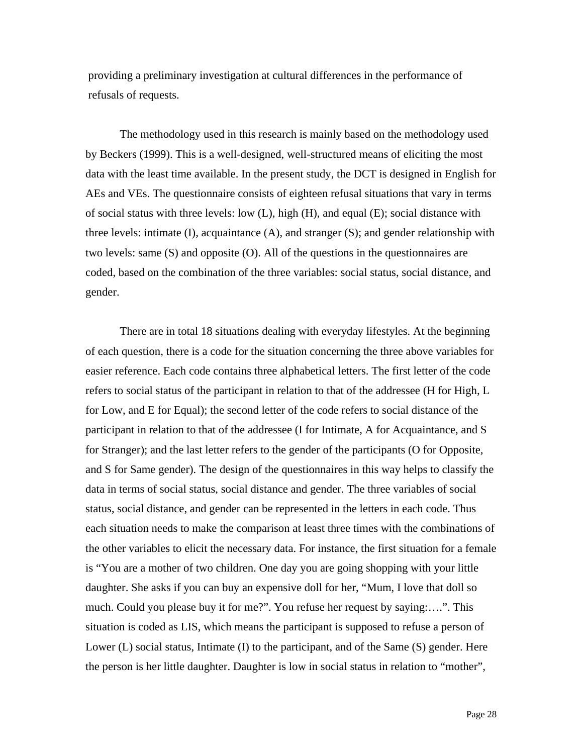providing a preliminary investigation at cultural differences in the performance of refusals of requests.

The methodology used in this research is mainly based on the methodology used by Beckers (1999). This is a well-designed, well-structured means of eliciting the most data with the least time available. In the present study, the DCT is designed in English for AEs and VEs. The questionnaire consists of eighteen refusal situations that vary in terms of social status with three levels: low  $(L)$ , high  $(H)$ , and equal  $(E)$ ; social distance with three levels: intimate  $(I)$ , acquaintance  $(A)$ , and stranger  $(S)$ ; and gender relationship with two levels: same (S) and opposite (O). All of the questions in the questionnaires are coded, based on the combination of the three variables: social status, social distance, and gender.

There are in total 18 situations dealing with everyday lifestyles. At the beginning of each question, there is a code for the situation concerning the three above variables for easier reference. Each code contains three alphabetical letters. The first letter of the code refers to social status of the participant in relation to that of the addressee (H for High, L for Low, and E for Equal); the second letter of the code refers to social distance of the participant in relation to that of the addressee (I for Intimate, A for Acquaintance, and S for Stranger); and the last letter refers to the gender of the participants (O for Opposite, and S for Same gender). The design of the questionnaires in this way helps to classify the data in terms of social status, social distance and gender. The three variables of social status, social distance, and gender can be represented in the letters in each code. Thus each situation needs to make the comparison at least three times with the combinations of the other variables to elicit the necessary data. For instance, the first situation for a female is "You are a mother of two children. One day you are going shopping with your little daughter. She asks if you can buy an expensive doll for her, "Mum, I love that doll so much. Could you please buy it for me?". You refuse her request by saying:….". This situation is coded as LIS, which means the participant is supposed to refuse a person of Lower (L) social status, Intimate (I) to the participant, and of the Same (S) gender. Here the person is her little daughter. Daughter is low in social status in relation to "mother",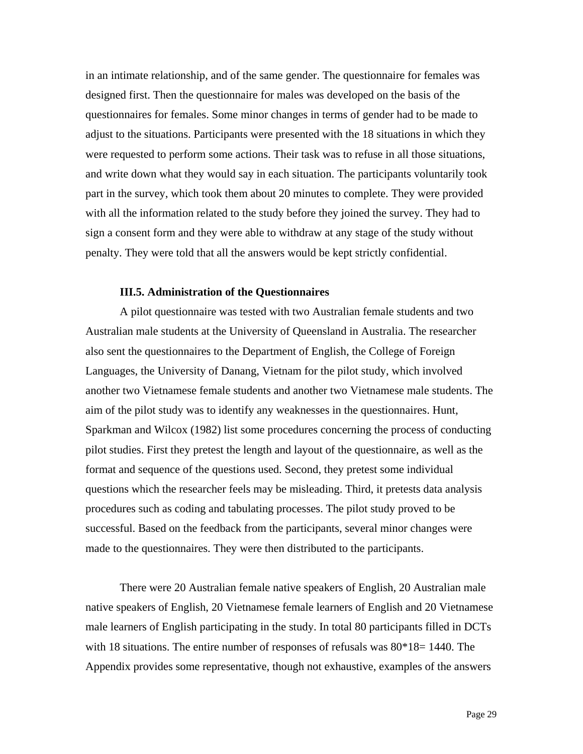in an intimate relationship, and of the same gender. The questionnaire for females was designed first. Then the questionnaire for males was developed on the basis of the questionnaires for females. Some minor changes in terms of gender had to be made to adjust to the situations. Participants were presented with the 18 situations in which they were requested to perform some actions. Their task was to refuse in all those situations, and write down what they would say in each situation. The participants voluntarily took part in the survey, which took them about 20 minutes to complete. They were provided with all the information related to the study before they joined the survey. They had to sign a consent form and they were able to withdraw at any stage of the study without penalty. They were told that all the answers would be kept strictly confidential.

#### **III.5. Administration of the Questionnaires**

A pilot questionnaire was tested with two Australian female students and two Australian male students at the University of Queensland in Australia. The researcher also sent the questionnaires to the Department of English, the College of Foreign Languages, the University of Danang, Vietnam for the pilot study, which involved another two Vietnamese female students and another two Vietnamese male students. The aim of the pilot study was to identify any weaknesses in the questionnaires. Hunt, Sparkman and Wilcox (1982) list some procedures concerning the process of conducting pilot studies. First they pretest the length and layout of the questionnaire, as well as the format and sequence of the questions used. Second, they pretest some individual questions which the researcher feels may be misleading. Third, it pretests data analysis procedures such as coding and tabulating processes. The pilot study proved to be successful. Based on the feedback from the participants, several minor changes were made to the questionnaires. They were then distributed to the participants.

There were 20 Australian female native speakers of English, 20 Australian male native speakers of English, 20 Vietnamese female learners of English and 20 Vietnamese male learners of English participating in the study. In total 80 participants filled in DCTs with 18 situations. The entire number of responses of refusals was  $80*18=1440$ . The Appendix provides some representative, though not exhaustive, examples of the answers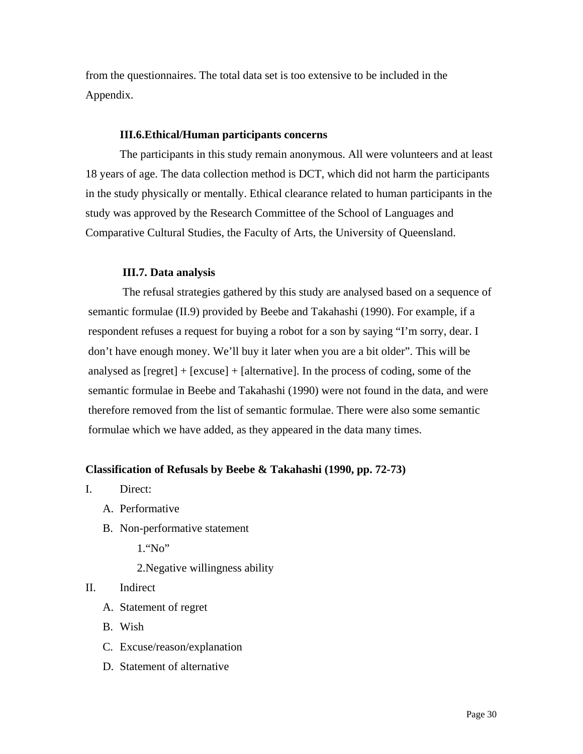from the questionnaires. The total data set is too extensive to be included in the Appendix.

#### **III.6.Ethical/Human participants concerns**

The participants in this study remain anonymous. All were volunteers and at least 18 years of age. The data collection method is DCT, which did not harm the participants in the study physically or mentally. Ethical clearance related to human participants in the study was approved by the Research Committee of the School of Languages and Comparative Cultural Studies, the Faculty of Arts, the University of Queensland.

#### **III.7. Data analysis**

The refusal strategies gathered by this study are analysed based on a sequence of semantic formulae (II.9) provided by Beebe and Takahashi (1990). For example, if a respondent refuses a request for buying a robot for a son by saying "I'm sorry, dear. I don't have enough money. We'll buy it later when you are a bit older". This will be analysed as [regret] + [excuse] + [alternative]. In the process of coding, some of the semantic formulae in Beebe and Takahashi (1990) were not found in the data, and were therefore removed from the list of semantic formulae. There were also some semantic formulae which we have added, as they appeared in the data many times.

#### **Classification of Refusals by Beebe & Takahashi (1990, pp. 72-73)**

- I. Direct:
	- A. Performative
	- B. Non-performative statement

1."No"

2.Negative willingness ability

### II. Indirect

- A. Statement of regret
- B. Wish
- C. Excuse/reason/explanation
- D. Statement of alternative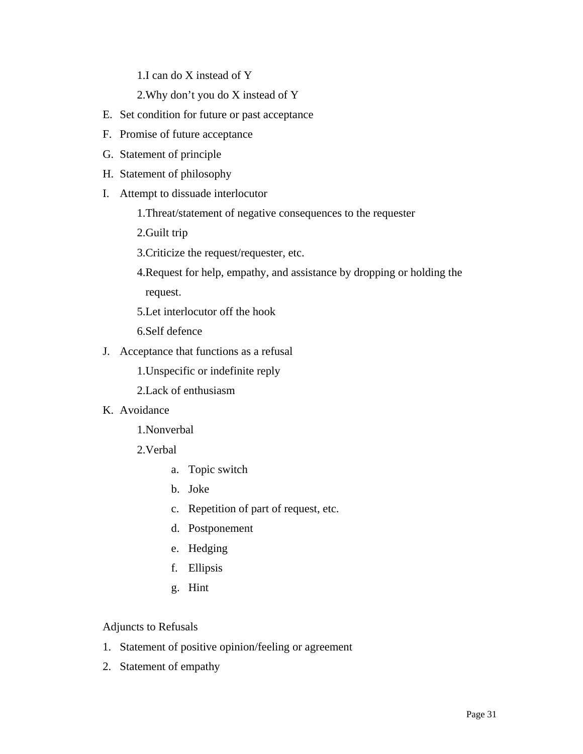1.I can do X instead of Y

2.Why don't you do X instead of Y

- E. Set condition for future or past acceptance
- F. Promise of future acceptance
- G. Statement of principle
- H. Statement of philosophy
- I. Attempt to dissuade interlocutor
	- 1.Threat/statement of negative consequences to the requester
	- 2.Guilt trip
	- 3.Criticize the request/requester, etc.
	- 4.Request for help, empathy, and assistance by dropping or holding the request.
	- 5.Let interlocutor off the hook
	- 6.Self defence
- J. Acceptance that functions as a refusal
	- 1.Unspecific or indefinite reply
	- 2.Lack of enthusiasm
- K. Avoidance
	- 1.Nonverbal
	- 2.Verbal
		- a. Topic switch
		- b. Joke
		- c. Repetition of part of request, etc.
		- d. Postponement
		- e. Hedging
		- f. Ellipsis
		- g. Hint

Adjuncts to Refusals

- 1. Statement of positive opinion/feeling or agreement
- 2. Statement of empathy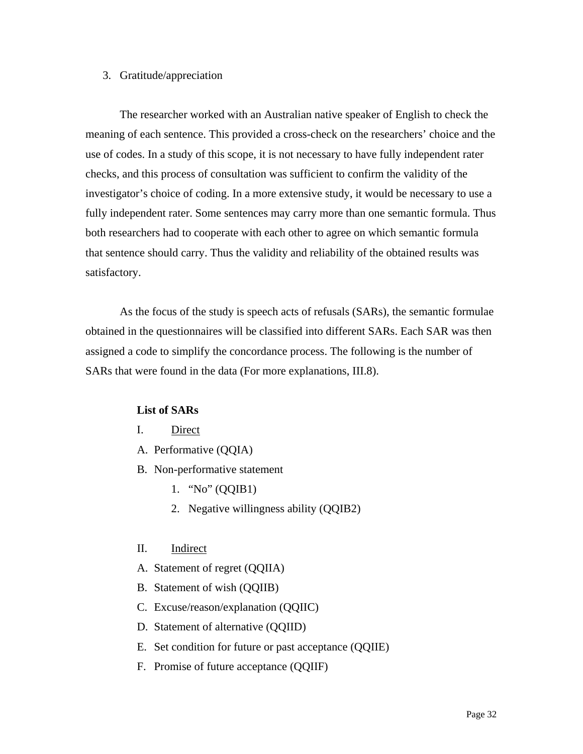#### 3. Gratitude/appreciation

The researcher worked with an Australian native speaker of English to check the meaning of each sentence. This provided a cross-check on the researchers' choice and the use of codes. In a study of this scope, it is not necessary to have fully independent rater checks, and this process of consultation was sufficient to confirm the validity of the investigator's choice of coding. In a more extensive study, it would be necessary to use a fully independent rater. Some sentences may carry more than one semantic formula. Thus both researchers had to cooperate with each other to agree on which semantic formula that sentence should carry. Thus the validity and reliability of the obtained results was satisfactory.

As the focus of the study is speech acts of refusals (SARs), the semantic formulae obtained in the questionnaires will be classified into different SARs. Each SAR was then assigned a code to simplify the concordance process. The following is the number of SARs that were found in the data (For more explanations, III.8).

#### **List of SARs**

- I. Direct
- A. Performative (QQIA)
- B. Non-performative statement
	- 1. "No" (QQIB1)
	- 2. Negative willingness ability (QQIB2)

#### II. Indirect

- A. Statement of regret (QQIIA)
- B. Statement of wish (QQIIB)
- C. Excuse/reason/explanation (QQIIC)
- D. Statement of alternative (QQIID)
- E. Set condition for future or past acceptance (QQIIE)
- F. Promise of future acceptance (QQIIF)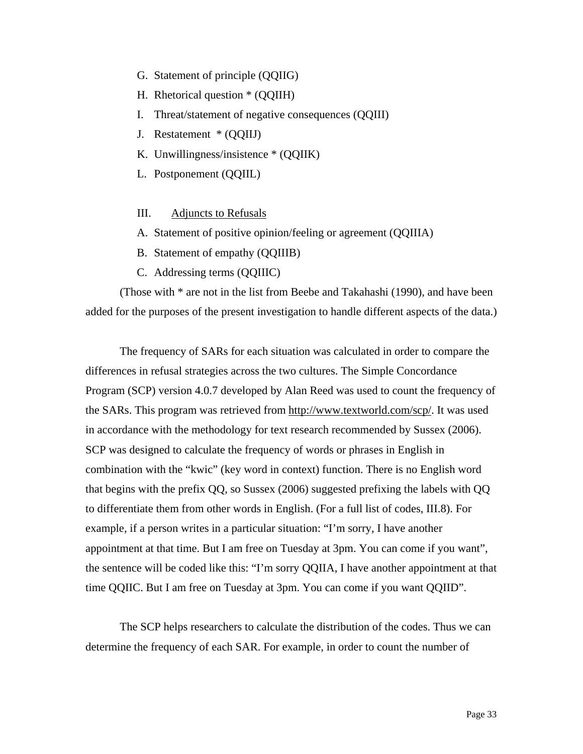- G. Statement of principle (QQIIG)
- H. Rhetorical question \* (QQIIH)
- I. Threat/statement of negative consequences (QQIII)
- J. Restatement \* (QQIIJ)
- K. Unwillingness/insistence \* (QQIIK)
- L. Postponement (QQIIL)

#### III. Adjuncts to Refusals

- A. Statement of positive opinion/feeling or agreement (QQIIIA)
- B. Statement of empathy (QQIIIB)
- C. Addressing terms (QQIIIC)

(Those with \* are not in the list from Beebe and Takahashi (1990), and have been added for the purposes of the present investigation to handle different aspects of the data.)

The frequency of SARs for each situation was calculated in order to compare the differences in refusal strategies across the two cultures. The Simple Concordance Program (SCP) version 4.0.7 developed by Alan Reed was used to count the frequency of the SARs. This program was retrieved from<http://www.textworld.com/scp/>. It was used in accordance with the methodology for text research recommended by Sussex (2006). SCP was designed to calculate the frequency of words or phrases in English in combination with the "kwic" (key word in context) function. There is no English word that begins with the prefix QQ, so Sussex (2006) suggested prefixing the labels with QQ to differentiate them from other words in English. (For a full list of codes, III.8). For example, if a person writes in a particular situation: "I'm sorry, I have another appointment at that time. But I am free on Tuesday at 3pm. You can come if you want", the sentence will be coded like this: "I'm sorry QQIIA, I have another appointment at that time QQIIC. But I am free on Tuesday at 3pm. You can come if you want QQIID".

The SCP helps researchers to calculate the distribution of the codes. Thus we can determine the frequency of each SAR. For example, in order to count the number of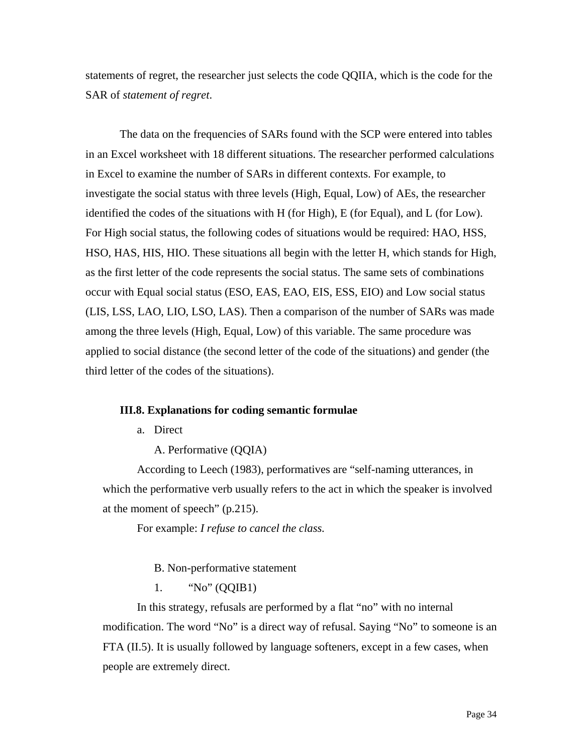statements of regret, the researcher just selects the code QQIIA, which is the code for the SAR of *statement of regret*.

The data on the frequencies of SARs found with the SCP were entered into tables in an Excel worksheet with 18 different situations. The researcher performed calculations in Excel to examine the number of SARs in different contexts. For example, to investigate the social status with three levels (High, Equal, Low) of AEs, the researcher identified the codes of the situations with H (for High), E (for Equal), and L (for Low). For High social status, the following codes of situations would be required: HAO, HSS, HSO, HAS, HIS, HIO. These situations all begin with the letter H, which stands for High, as the first letter of the code represents the social status. The same sets of combinations occur with Equal social status (ESO, EAS, EAO, EIS, ESS, EIO) and Low social status (LIS, LSS, LAO, LIO, LSO, LAS). Then a comparison of the number of SARs was made among the three levels (High, Equal, Low) of this variable. The same procedure was applied to social distance (the second letter of the code of the situations) and gender (the third letter of the codes of the situations).

#### **III.8. Explanations for coding semantic formulae**

a. Direct

A. Performative (QQIA)

According to Leech (1983), performatives are "self-naming utterances, in which the performative verb usually refers to the act in which the speaker is involved at the moment of speech" (p.215).

For example: *I refuse to cancel the class.* 

B. Non-performative statement

1. "No" (QQIB1)

In this strategy, refusals are performed by a flat "no" with no internal modification. The word "No" is a direct way of refusal. Saying "No" to someone is an FTA (II.5). It is usually followed by language softeners, except in a few cases, when people are extremely direct.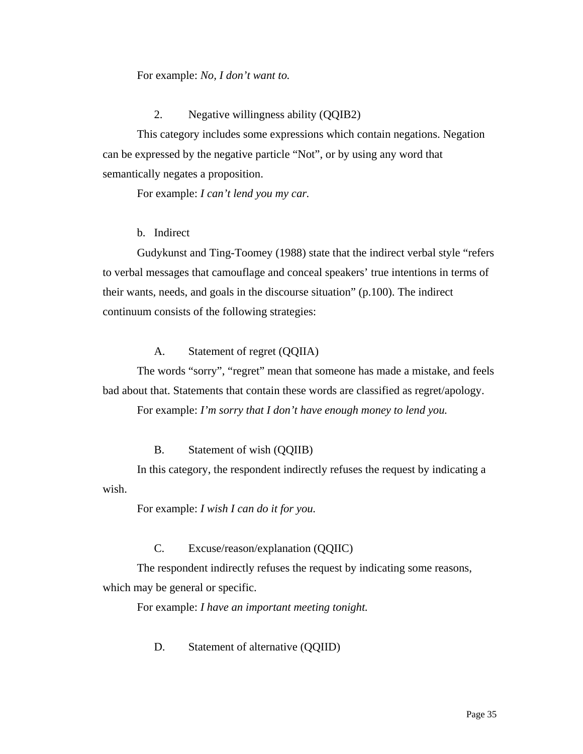#### For example: *No, I don't want to.*

#### 2. Negative willingness ability (QQIB2)

This category includes some expressions which contain negations. Negation can be expressed by the negative particle "Not", or by using any word that semantically negates a proposition.

For example: *I can't lend you my car.*

#### b. Indirect

Gudykunst and Ting-Toomey (1988) state that the indirect verbal style "refers to verbal messages that camouflage and conceal speakers' true intentions in terms of their wants, needs, and goals in the discourse situation" (p.100). The indirect continuum consists of the following strategies:

#### A. Statement of regret (QQIIA)

The words "sorry", "regret" mean that someone has made a mistake, and feels bad about that. Statements that contain these words are classified as regret/apology.

For example: *I'm sorry that I don't have enough money to lend you.*

#### B. Statement of wish (QQIIB)

In this category, the respondent indirectly refuses the request by indicating a wish.

For example: *I wish I can do it for you.*

#### C. Excuse/reason/explanation (QQIIC)

The respondent indirectly refuses the request by indicating some reasons, which may be general or specific.

For example: *I have an important meeting tonight.*

#### D. Statement of alternative (QQIID)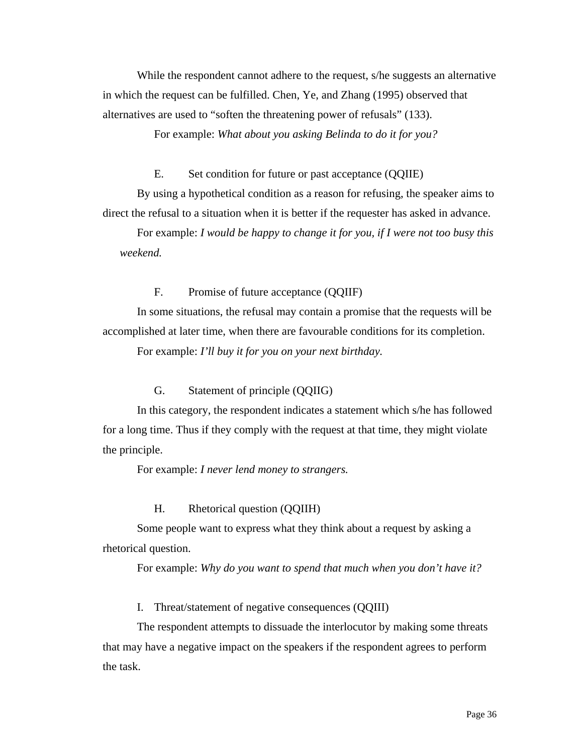While the respondent cannot adhere to the request, s/he suggests an alternative in which the request can be fulfilled. Chen, Ye, and Zhang (1995) observed that alternatives are used to "soften the threatening power of refusals" (133).

For example: *What about you asking Belinda to do it for you?* 

E. Set condition for future or past acceptance (QQIIE)

By using a hypothetical condition as a reason for refusing, the speaker aims to direct the refusal to a situation when it is better if the requester has asked in advance.

For example: *I would be happy to change it for you, if I were not too busy this weekend.* 

F. Promise of future acceptance (QQIIF)

In some situations, the refusal may contain a promise that the requests will be accomplished at later time, when there are favourable conditions for its completion.

For example: *I'll buy it for you on your next birthday.*

G. Statement of principle (QQIIG)

In this category, the respondent indicates a statement which s/he has followed for a long time. Thus if they comply with the request at that time, they might violate the principle.

For example: *I never lend money to strangers.*

H. Rhetorical question (QQIIH)

Some people want to express what they think about a request by asking a rhetorical question.

For example: *Why do you want to spend that much when you don't have it?* 

I. Threat/statement of negative consequences (QQIII)

The respondent attempts to dissuade the interlocutor by making some threats that may have a negative impact on the speakers if the respondent agrees to perform the task.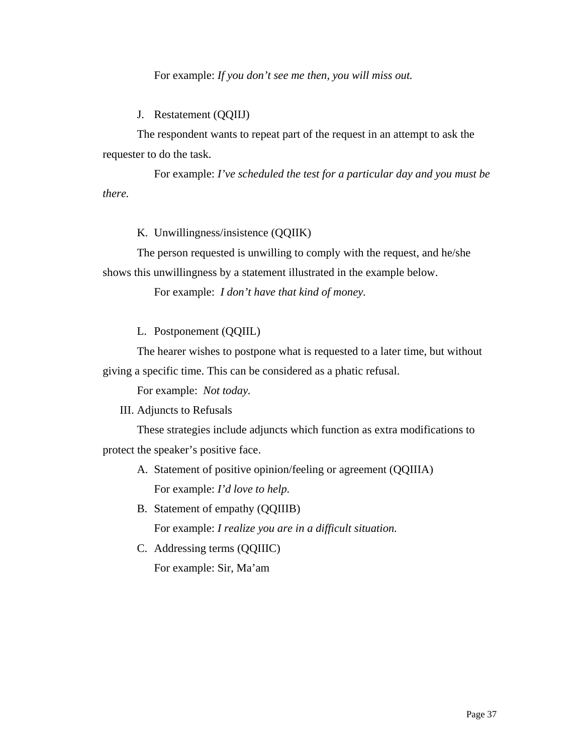For example: *If you don't see me then, you will miss out.* 

J. Restatement (QQIIJ)

The respondent wants to repeat part of the request in an attempt to ask the requester to do the task.

 For example: *I've scheduled the test for a particular day and you must be there.* 

K. Unwillingness/insistence (QQIIK)

The person requested is unwilling to comply with the request, and he/she shows this unwillingness by a statement illustrated in the example below.

For example: *I don't have that kind of money.*

L. Postponement (QQIIL)

The hearer wishes to postpone what is requested to a later time, but without giving a specific time. This can be considered as a phatic refusal.

For example: *Not today.* 

III. Adjuncts to Refusals

These strategies include adjuncts which function as extra modifications to protect the speaker's positive face.

- A. Statement of positive opinion/feeling or agreement (QQIIIA) For example: *I'd love to help.*
- B. Statement of empathy (QQIIIB) For example: *I realize you are in a difficult situation.*
- C. Addressing terms (QQIIIC)

For example: Sir, Ma'am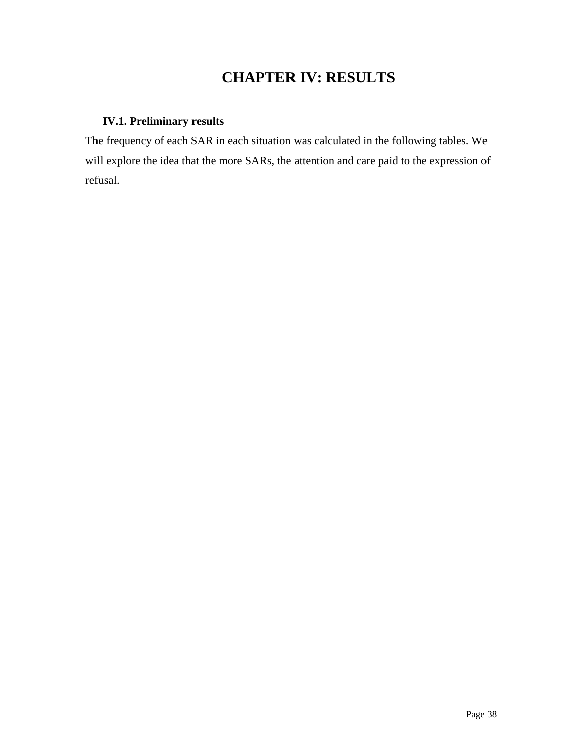# **CHAPTER IV: RESULTS**

## **IV.1. Preliminary results**

The frequency of each SAR in each situation was calculated in the following tables. We will explore the idea that the more SARs, the attention and care paid to the expression of refusal.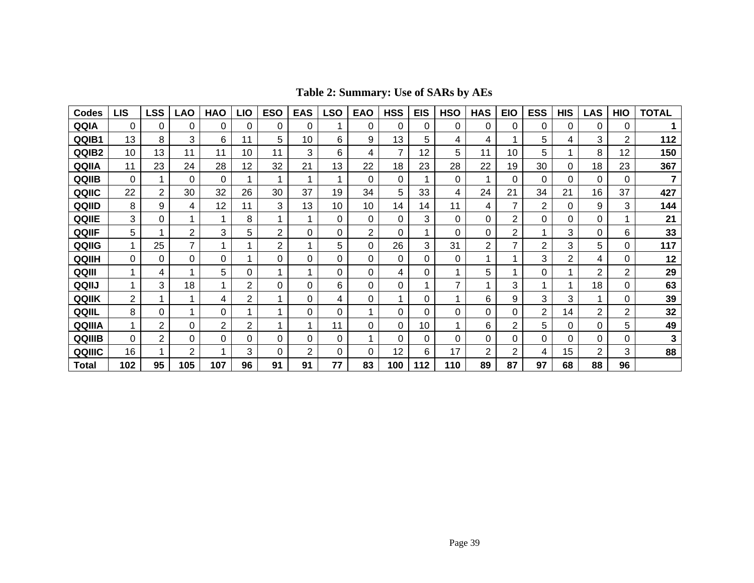|  | Table 2: Summary: Use of SARs by AEs |
|--|--------------------------------------|
|--|--------------------------------------|

| <b>Codes</b> | LIS | LSS | LAO            | <b>HAO</b> | LIO | <b>ESO</b> | <b>EAS</b> | LSO | <b>EAO</b> | <b>HSS</b> | <b>EIS</b> | <b>HSO</b> | <b>HAS</b> | <b>EIO</b>     | <b>ESS</b> | <b>HIS</b> | LAS            | <b>HIO</b> | <b>TOTAL</b> |
|--------------|-----|-----|----------------|------------|-----|------------|------------|-----|------------|------------|------------|------------|------------|----------------|------------|------------|----------------|------------|--------------|
| QQIA         | 0   | 0   | 0              | 0          | 0   | 0          | 0          |     | 0          | 0          | 0          | 0          | 0          | 0              | 0          | 0          | 0              |            |              |
| QQIB1        | 13  | 8   | 3              | 6          | 11  | 5          | 10         | 6   | 9          | 13         | 5          | 4          | 4          |                | 5          | 4          | 3              | 2          | 112          |
| QQIB2        | 10  | 13  | 11             | 11         | 10  | 11         | 3          | 6   | 4          | 7          | 12         | 5          | 11         | 10             | 5          |            | 8              | 12         | 150          |
| QQIIA        | 11  | 23  | 24             | 28         | 12  | 32         | 21         | 13  | 22         | 18         | 23         | 28         | 22         | 19             | 30         | 0          | 18             | 23         | 367          |
| QQIIB        | 0   |     | 0              | 0          |     |            |            |     | 0          | 0          |            | 0          |            | 0              | 0          | 0          | 0              | 0          | 7            |
| QQIIC        | 22  | 2   | 30             | 32         | 26  | 30         | 37         | 19  | 34         | 5          | 33         | 4          | 24         | 21             | 34         | 21         | 16             | 37         | 427          |
| QQIID        | 8   | 9   | 4              | 12         | 11  | 3          | 13         | 10  | 10         | 14         | 14         | 11         | 4          | 7              | 2          | 0          | 9              | 3          | 144          |
| QQIIE        | 3   | 0   |                | 1          | 8   |            |            | 0   | 0          | 0          | 3          | 0          | 0          | 2              | 0          | 0          | 0              |            | 21           |
| QQIIF        | 5   |     | 2              | 3          | 5   | 2          | $\Omega$   | 0   | 2          | $\Omega$   |            | $\Omega$   | 0          | $\overline{2}$ |            | 3          | 0              | 6          | 33           |
| QQIIG        |     | 25  | $\overline{ }$ | 4          |     | 2          | 4          | 5   | 0          | 26         | 3          | 31         | 2          | 7              | 2          | 3          | 5              | 0          | 117          |
| QQIIH        | 0   | 0   | 0              | 0          |     | 0          | 0          | 0   | 0          | 0          | 0          | 0          |            |                | 3          | 2          | 4              | 0          | 12           |
| QQIII        |     | 4   |                | 5          | 0   |            |            | 0   | 0          | 4          | 0          |            | 5          |                | 0          |            | 2              | 2          | 29           |
| QQIIJ        |     | 3   | 18             | 1          | 2   | 0          | 0          | 6   | 0          | 0          | 1          | 7          |            | 3              | 4          |            | 18             | 0          | 63           |
| QQIIK        | 2   |     |                | 4          | 2   |            | 0          | 4   | 0          | 1          | 0          |            | 6          | 9              | 3          | 3          | 1              | 0          | 39           |
| QQIIL        | 8   | 0   |                | 0          |     |            | 0          | 0   |            | 0          | 0          | 0          | 0          | 0              | 2          | 14         | $\overline{2}$ | 2          | 32           |
| QQIIIA       |     | 2   | 0              | 2          | 2   |            | 1          | 11  | 0          | $\Omega$   | 10         | 4          | 6          | $\overline{2}$ | 5          | 0          | 0              | 5          | 49           |
| QQIIIB       | 0   | 2   | 0              | 0          | 0   | 0          | 0          | 0   |            | 0          | 0          | 0          | 0          | 0              | 0          | 0          | 0              | 0          | 3            |
| QQIIIC       | 16  |     | 2              |            | 3   | 0          | 2          | 0   | 0          | 12         | 6          | 17         | 2          | 2              | 4          | 15         | 2              | 3          | 88           |
| <b>Total</b> | 102 | 95  | 105            | 107        | 96  | 91         | 91         | 77  | 83         | 100        | 112        | 110        | 89         | 87             | 97         | 68         | 88             | 96         |              |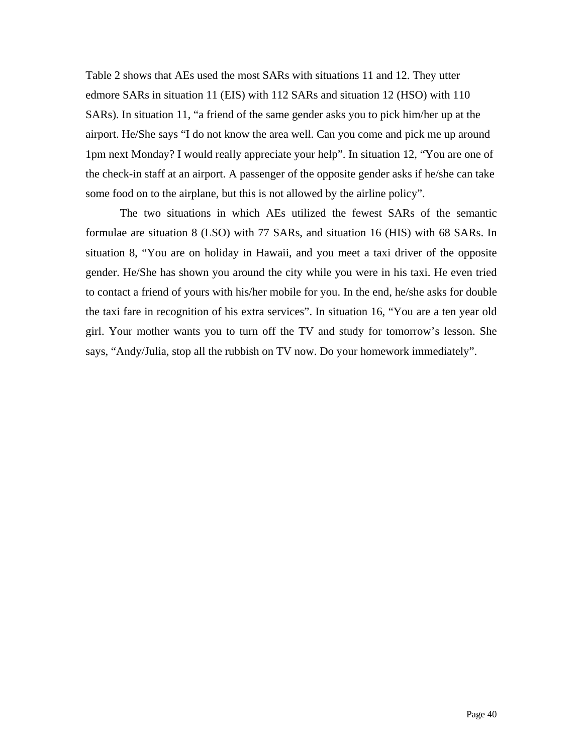Table 2 shows that AEs used the most SARs with situations 11 and 12. They utter edmore SARs in situation 11 (EIS) with 112 SARs and situation 12 (HSO) with 110 SARs). In situation 11, "a friend of the same gender asks you to pick him/her up at the airport. He/She says "I do not know the area well. Can you come and pick me up around 1pm next Monday? I would really appreciate your help". In situation 12, "You are one of the check-in staff at an airport. A passenger of the opposite gender asks if he/she can take some food on to the airplane, but this is not allowed by the airline policy".

The two situations in which AEs utilized the fewest SARs of the semantic formulae are situation 8 (LSO) with 77 SARs, and situation 16 (HIS) with 68 SARs. In situation 8, "You are on holiday in Hawaii, and you meet a taxi driver of the opposite gender. He/She has shown you around the city while you were in his taxi. He even tried to contact a friend of yours with his/her mobile for you. In the end, he/she asks for double the taxi fare in recognition of his extra services". In situation 16, "You are a ten year old girl. Your mother wants you to turn off the TV and study for tomorrow's lesson. She says, "Andy/Julia, stop all the rubbish on TV now. Do your homework immediately".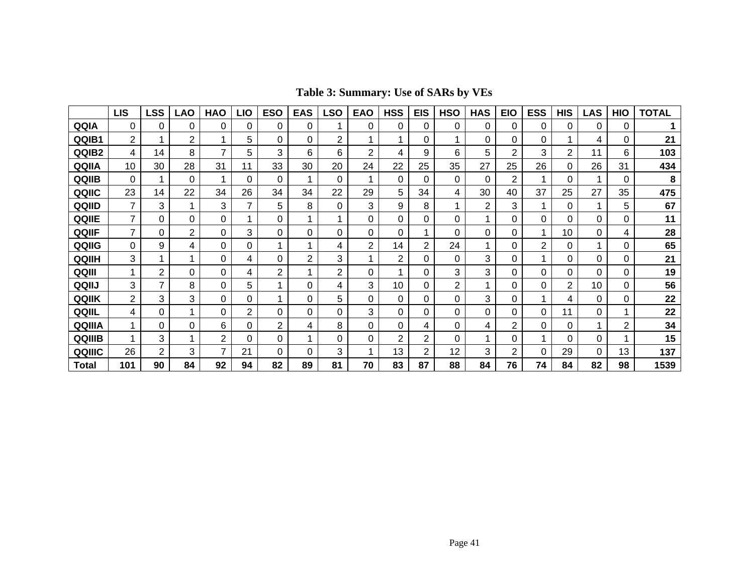|        | <b>LIS</b>     | LSS | LAO | <b>HAO</b> | LIO | <b>ESO</b> | <b>EAS</b> | SO- | <b>EAO</b> | <b>HSS</b>     | <b>EIS</b>     | <b>HSO</b> | <b>HAS</b> | <b>EIO</b>     | <b>ESS</b> | <b>HIS</b> | <b>LAS</b> | HIO | <b>TOTAL</b> |
|--------|----------------|-----|-----|------------|-----|------------|------------|-----|------------|----------------|----------------|------------|------------|----------------|------------|------------|------------|-----|--------------|
| QQIA   | 0              | 0   | 0   | 0          | 0   | 0          | 0          |     | 0          | 0              | 0              | 0          | 0          | 0              | 0          | 0          | 0          | 0   |              |
| QQIB1  | 2              |     | 2   |            | 5   | 0          | 0          | 2   |            | 1              | 0              |            | 0          | 0              | 0          |            | 4          | 0   | 21           |
| QQIB2  | 4              | 14  | 8   | 7          | 5   | 3          | 6          | 6   | 2          | 4              | 9              | 6          | 5          | $\overline{c}$ | 3          | 2          | 11         | 6   | 103          |
| QQIIA  | 10             | 30  | 28  | 31         | 11  | 33         | 30         | 20  | 24         | 22             | 25             | 35         | 27         | 25             | 26         | 0          | 26         | 31  | 434          |
| QQIIB  | 0              |     | 0   |            | 0   | 0          |            | 0   |            | 0              | 0              | 0          | 0          | $\overline{2}$ |            | 0          |            | 0   | 8            |
| QQIIC  | 23             | 14  | 22  | 34         | 26  | 34         | 34         | 22  | 29         | 5              | 34             | 4          | 30         | 40             | 37         | 25         | 27         | 35  | 475          |
| QQIID  |                | 3   |     | 3          | 7   | 5          | 8          | 0   | 3          | 9              | 8              |            | 2          | 3              |            | 0          |            | 5   | 67           |
| QQIIE  |                | 0   | 0   | 0          | 1   | 0          |            |     | $\Omega$   | 0              | 0              | 0          | 1          | 0              | 0          | 0          | 0          | 0   | 11           |
| QQIIF  | $\overline{ }$ | 0   | 2   | 0          | 3   | 0          | 0          | 0   | 0          | 0              |                | 0          | 0          | 0              |            | 10         | 0          | 4   | 28           |
| QQIIG  | 0              | 9   | 4   | $\Omega$   | 0   |            |            | 4   | 2          | 14             | 2              | 24         |            | 0              | 2          | 0          |            | 0   | 65           |
| QQIIH  | 3              |     |     | 0          | 4   | 0          | 2          | 3   |            | $\overline{2}$ | 0              | 0          | 3          | 0              |            | 0          | 0          | 0   | 21           |
| QQIII  |                | 2   | 0   | 0          | 4   | 2          |            | 2   | 0          |                | 0              | 3          | 3          | 0              | 0          | 0          | 0          | 0   | 19           |
| QQIIJ  | 3              |     | 8   | 0          | 5   |            | 0          | 4   | 3          | 10             | 0              | 2          |            | 0              | 0          | 2          | 10         | 0   | 56           |
| QQIIK  | $\overline{2}$ | 3   | 3   | 0          | 0   |            | 0          | 5   | 0          | 0              | 0              | 0          | 3          | 0              |            | 4          | 0          | 0   | 22           |
| QQIIL  | 4              | 0   |     | 0          | 2   | 0          | 0          | 0   | 3          | 0              | 0              | 0          | 0          | 0              | 0          | 11         | 0          | 1   | 22           |
| QQIIIA |                | 0   | 0   | 6          | 0   | 2          | 4          | 8   | 0          | 0              | 4              | 0          | 4          | 2              | 0          | 0          |            | 2   | 34           |
| QQIIIB |                | 3   |     | 2          | 0   | 0          |            | 0   | 0          | 2              | 2              | 0          |            | 0              |            | 0          | 0          | 1   | 15           |
| QQIIIC | 26             | 2   | 3   | 7          | 21  | 0          | 0          | 3   |            | 13             | $\overline{2}$ | 12         | 3          | $\overline{2}$ | 0          | 29         | 0          | 13  | 137          |
| Total  | 101            | 90  | 84  | 92         | 94  | 82         | 89         | 81  | 70         | 83             | 87             | 88         | 84         | 76             | 74         | 84         | 82         | 98  | 1539         |

**Table 3: Summary: Use of SARs by VEs**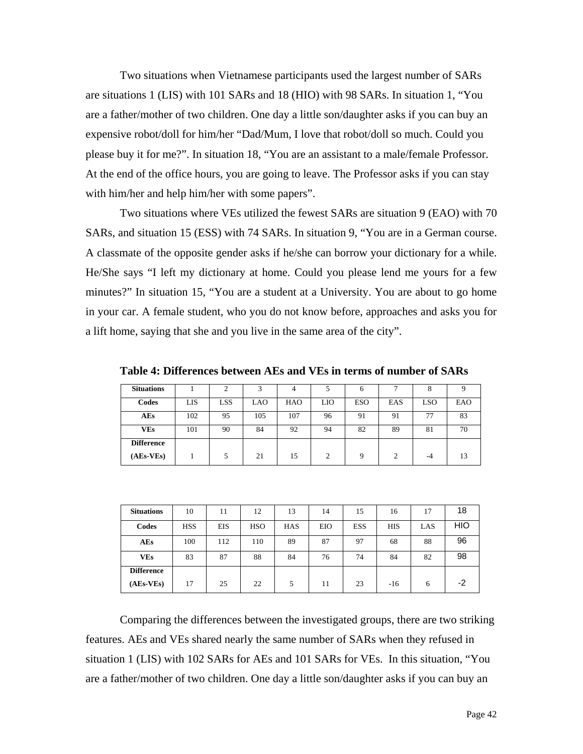Two situations when Vietnamese participants used the largest number of SARs are situations 1 (LIS) with 101 SARs and 18 (HIO) with 98 SARs. In situation 1, "You are a father/mother of two children. One day a little son/daughter asks if you can buy an expensive robot/doll for him/her "Dad/Mum, I love that robot/doll so much. Could you please buy it for me?". In situation 18, "You are an assistant to a male/female Professor. At the end of the office hours, you are going to leave. The Professor asks if you can stay with him/her and help him/her with some papers".

Two situations where VEs utilized the fewest SARs are situation 9 (EAO) with 70 SARs, and situation 15 (ESS) with 74 SARs. In situation 9, "You are in a German course. A classmate of the opposite gender asks if he/she can borrow your dictionary for a while. He/She says "I left my dictionary at home. Could you please lend me yours for a few minutes?" In situation 15, "You are a student at a University. You are about to go home in your car. A female student, who you do not know before, approaches and asks you for a lift home, saying that she and you live in the same area of the city".

| <b>Situations</b> |     | $\sim$     |     |            |     | 6          |     | ō   |     |
|-------------------|-----|------------|-----|------------|-----|------------|-----|-----|-----|
| Codes             | LIS | <b>LSS</b> | LAO | <b>HAO</b> | LIO | <b>ESO</b> | EAS | LSO | EAO |
| <b>AEs</b>        | 102 | 95         | 105 | 107        | 96  | 91         | 91  | 77  | 83  |
| VEs               | 101 | 90         | 84  | 92         | 94  | 82         | 89  | 81  | 70  |
| <b>Difference</b> |     |            |     |            |     |            |     |     |     |
| $(AEs-VEs)$       |     |            | 21  | 15         | ↑   | a          | ◠   | -4  |     |

**Table 4: Differences between AEs and VEs in terms of number of SARs** 

| <b>Situations</b> | 10         | 11         | 12         | 13         | 14  | 15         | 16         | 17  | 18   |
|-------------------|------------|------------|------------|------------|-----|------------|------------|-----|------|
| Codes             | <b>HSS</b> | <b>EIS</b> | <b>HSO</b> | <b>HAS</b> | EIO | <b>ESS</b> | <b>HIS</b> | LAS | HIO  |
| <b>AEs</b>        | 100        | 112        | 110        | 89         | 87  | 97         | 68         | 88  | 96   |
| <b>VEs</b>        | 83         | 87         | 88         | 84         | 76  | 74         | 84         | 82  | 98   |
| <b>Difference</b> |            |            |            |            |     |            |            |     |      |
| $(AEs-VEs)$       | 17         | 25         | 22         | 5          | 11  | 23         | $-16$      | 6   | $-2$ |

Comparing the differences between the investigated groups, there are two striking features. AEs and VEs shared nearly the same number of SARs when they refused in situation 1 (LIS) with 102 SARs for AEs and 101 SARs for VEs. In this situation, "You are a father/mother of two children. One day a little son/daughter asks if you can buy an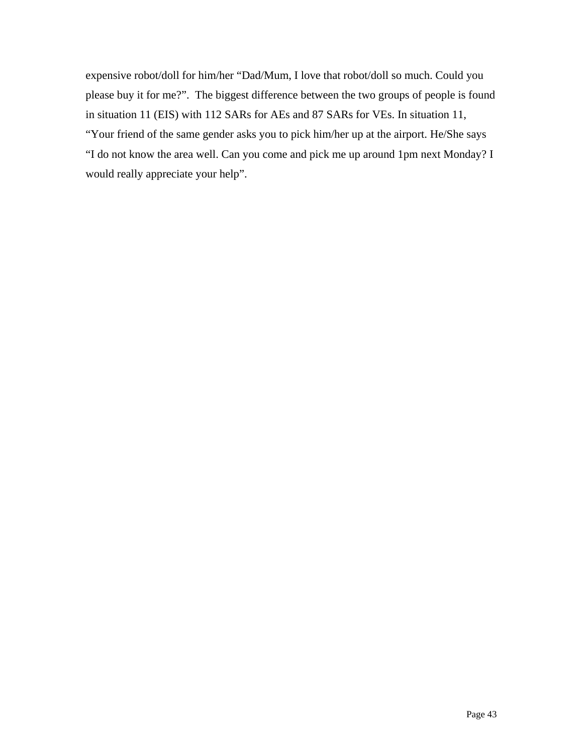expensive robot/doll for him/her "Dad/Mum, I love that robot/doll so much. Could you please buy it for me?". The biggest difference between the two groups of people is found in situation 11 (EIS) with 112 SARs for AEs and 87 SARs for VEs. In situation 11, "Your friend of the same gender asks you to pick him/her up at the airport. He/She says "I do not know the area well. Can you come and pick me up around 1pm next Monday? I would really appreciate your help".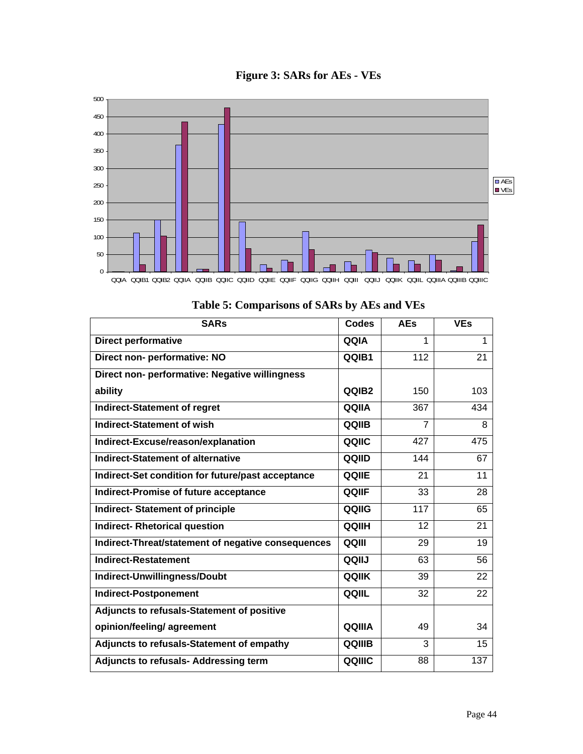



| <b>SARs</b>                                        | <b>Codes</b> | <b>AEs</b>     | <b>VEs</b> |
|----------------------------------------------------|--------------|----------------|------------|
| <b>Direct performative</b>                         | QQIA         | 1              | 1          |
| Direct non- performative: NO                       | QQIB1        | 112            | 21         |
| Direct non- performative: Negative willingness     |              |                |            |
| ability                                            | QQIB2        | 150            | 103        |
| <b>Indirect-Statement of regret</b>                | QQIIA        | 367            | 434        |
| <b>Indirect-Statement of wish</b>                  | QQIIB        | $\overline{7}$ | 8          |
| Indirect-Excuse/reason/explanation                 | QQIIC        | 427            | 475        |
| <b>Indirect-Statement of alternative</b>           | QQIID        | 144            | 67         |
| Indirect-Set condition for future/past acceptance  | QQIIE        | 21             | 11         |
| <b>Indirect-Promise of future acceptance</b>       | QQIIF        | 33             | 28         |
| <b>Indirect-Statement of principle</b>             | QQIIG        | 117            | 65         |
| <b>Indirect- Rhetorical question</b>               | QQIIH        | 12             | 21         |
| Indirect-Threat/statement of negative consequences | QQIII        | 29             | 19         |
| <b>Indirect-Restatement</b>                        | <b>QQIIJ</b> | 63             | 56         |
| Indirect-Unwillingness/Doubt                       | <b>QQIIK</b> | 39             | 22         |
| <b>Indirect-Postponement</b>                       | QQIIL        | 32             | 22         |
| Adjuncts to refusals-Statement of positive         |              |                |            |
| opinion/feeling/ agreement                         | QQIIIA       | 49             | 34         |
| Adjuncts to refusals-Statement of empathy          | QQIIIB       | 3              | 15         |
| <b>Adjuncts to refusals- Addressing term</b>       | QQIIIC       | 88             | 137        |

**Table 5: Comparisons of SARs by AEs and VEs**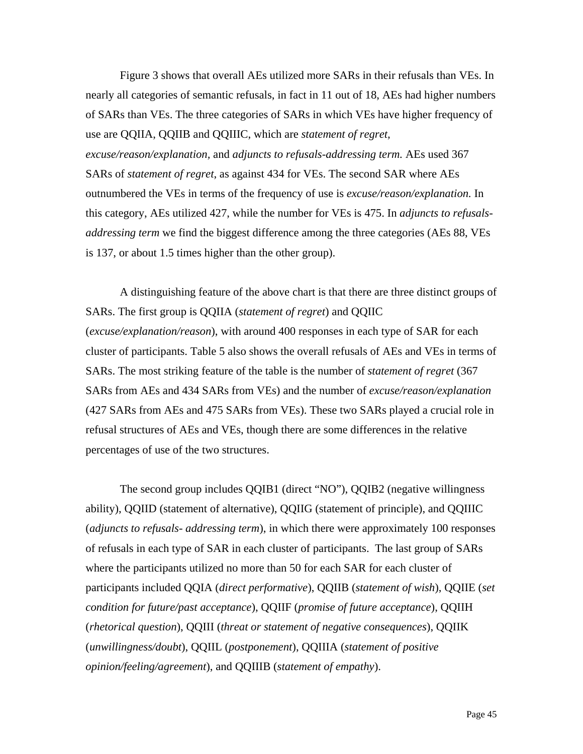Figure 3 shows that overall AEs utilized more SARs in their refusals than VEs. In nearly all categories of semantic refusals, in fact in 11 out of 18, AEs had higher numbers of SARs than VEs. The three categories of SARs in which VEs have higher frequency of use are QQIIA, QQIIB and QQIIIC, which are *statement of regret, excuse/reason/explanation,* and *adjuncts to refusals-addressing term.* AEs used 367 SARs of *statement of regret*, as against 434 for VEs. The second SAR where AEs outnumbered the VEs in terms of the frequency of use is *excuse/reason/explanation.* In this category, AEs utilized 427, while the number for VEs is 475. In *adjuncts to refusalsaddressing term* we find the biggest difference among the three categories (AEs 88, VEs is 137, or about 1.5 times higher than the other group).

A distinguishing feature of the above chart is that there are three distinct groups of SARs. The first group is QQIIA (*statement of regret*) and QQIIC (*excuse/explanation/reason*), with around 400 responses in each type of SAR for each cluster of participants. Table 5 also shows the overall refusals of AEs and VEs in terms of SARs. The most striking feature of the table is the number of *statement of regret* (367 SARs from AEs and 434 SARs from VEs) and the number of *excuse/reason/explanation* (427 SARs from AEs and 475 SARs from VEs). These two SARs played a crucial role in refusal structures of AEs and VEs, though there are some differences in the relative percentages of use of the two structures.

The second group includes QQIB1 (direct "NO"), QQIB2 (negative willingness ability), QQIID (statement of alternative), QQIIG (statement of principle), and QQIIIC (*adjuncts to refusals- addressing term*), in which there were approximately 100 responses of refusals in each type of SAR in each cluster of participants. The last group of SARs where the participants utilized no more than 50 for each SAR for each cluster of participants included QQIA (*direct performative*), QQIIB (*statement of wish*), QQIIE (*set condition for future/past acceptance*), QQIIF (*promise of future acceptance*), QQIIH (*rhetorical question*), QQIII (*threat or statement of negative consequences*), QQIIK (*unwillingness/doubt*), QQIIL (*postponement*), QQIIIA (*statement of positive opinion/feeling/agreement*), and QQIIIB (*statement of empathy*).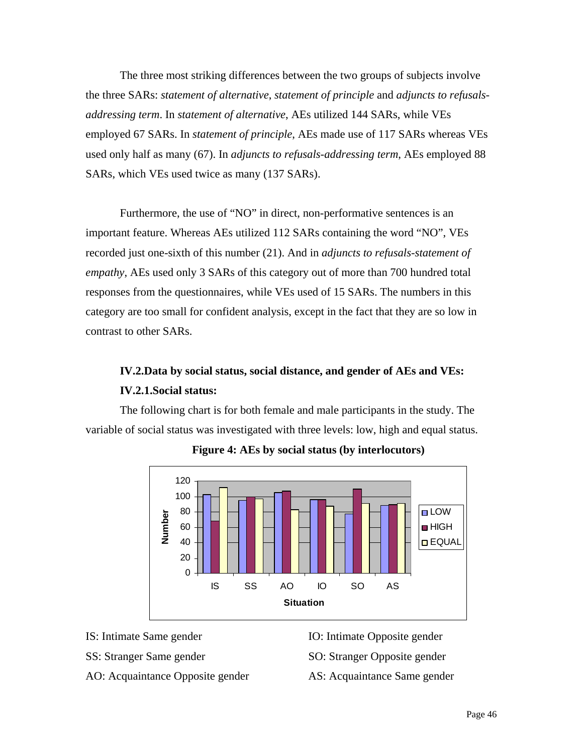The three most striking differences between the two groups of subjects involve the three SARs: *statement of alternative*, *statement of principle* and *adjuncts to refusalsaddressing term*. In *statement of alternative*, AEs utilized 144 SARs, while VEs employed 67 SARs. In *statement of principle*, AEs made use of 117 SARs whereas VEs used only half as many (67). In *adjuncts to refusals-addressing term*, AEs employed 88 SARs, which VEs used twice as many (137 SARs).

Furthermore, the use of "NO" in direct, non-performative sentences is an important feature. Whereas AEs utilized 112 SARs containing the word "NO", VEs recorded just one-sixth of this number (21). And in *adjuncts to refusals-statement of empathy*, AEs used only 3 SARs of this category out of more than 700 hundred total responses from the questionnaires, while VEs used of 15 SARs. The numbers in this category are too small for confident analysis, except in the fact that they are so low in contrast to other SARs.

## **IV.2.Data by social status, social distance, and gender of AEs and VEs: IV.2.1.Social status:**

The following chart is for both female and male participants in the study. The variable of social status was investigated with three levels: low, high and equal status.



**Figure 4: AEs by social status (by interlocutors)** 

- IS: Intimate Same gender
- SS: Stranger Same gender
- AO: Acquaintance Opposite gender
- IO: Intimate Opposite gender
- SO: Stranger Opposite gender
- AS: Acquaintance Same gender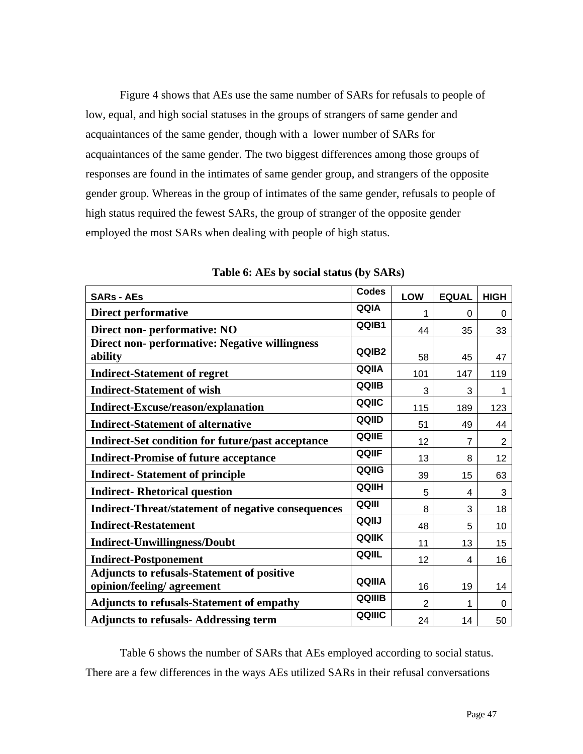Figure 4 shows that AEs use the same number of SARs for refusals to people of low, equal, and high social statuses in the groups of strangers of same gender and acquaintances of the same gender, though with a lower number of SARs for acquaintances of the same gender. The two biggest differences among those groups of responses are found in the intimates of same gender group, and strangers of the opposite gender group. Whereas in the group of intimates of the same gender, refusals to people of high status required the fewest SARs, the group of stranger of the opposite gender employed the most SARs when dealing with people of high status.

| <b>SARs - AEs</b>                                                | <b>Codes</b> | LOW            | <b>EQUAL</b> | <b>HIGH</b> |
|------------------------------------------------------------------|--------------|----------------|--------------|-------------|
| <b>Direct performative</b>                                       | QQIA         | 1              | 0            | 0           |
| Direct non- performative: NO                                     | QQIB1        | 44             | 35           | 33          |
| <b>Direct non- performative: Negative willingness</b><br>ability | QQIB2        | 58             | 45           | 47          |
| <b>Indirect-Statement of regret</b>                              | QQIIA        | 101            | 147          | 119         |
| <b>Indirect-Statement of wish</b>                                | QQIIB        | 3              | 3            | 1           |
| <b>Indirect-Excuse/reason/explanation</b>                        | QQIIC        | 115            | 189          | 123         |
| <b>Indirect-Statement of alternative</b>                         | QQIID        | 51             | 49           | 44          |
| <b>Indirect-Set condition for future/past acceptance</b>         | QQIIE        | 12             | 7            | 2           |
| <b>Indirect-Promise of future acceptance</b>                     | QQIIF        | 13             | 8            | 12          |
| <b>Indirect-Statement of principle</b>                           | QQIIG        | 39             | 15           | 63          |
| <b>Indirect-Rhetorical question</b>                              | QQIIH        | 5              | 4            | 3           |
| <b>Indirect-Threat/statement of negative consequences</b>        | QQIII        | 8              | 3            | 18          |
| <b>Indirect-Restatement</b>                                      | QQIIJ        | 48             | 5            | 10          |
| <b>Indirect-Unwillingness/Doubt</b>                              | QQIIK        | 11             | 13           | 15          |
| <b>Indirect-Postponement</b>                                     | QQIIL        | 12             | 4            | 16          |
| <b>Adjuncts to refusals-Statement of positive</b>                | QQIIIA       |                |              |             |
| opinion/feeling/ agreement                                       | QQIIIB       | 16             | 19           | 14          |
| <b>Adjuncts to refusals-Statement of empathy</b>                 |              | $\overline{2}$ | 1            | 0           |
| <b>Adjuncts to refusals- Addressing term</b>                     | QQIIIC       | 24             | 14           | 50          |

**Table 6: AEs by social status (by SARs)** 

Table 6 shows the number of SARs that AEs employed according to social status. There are a few differences in the ways AEs utilized SARs in their refusal conversations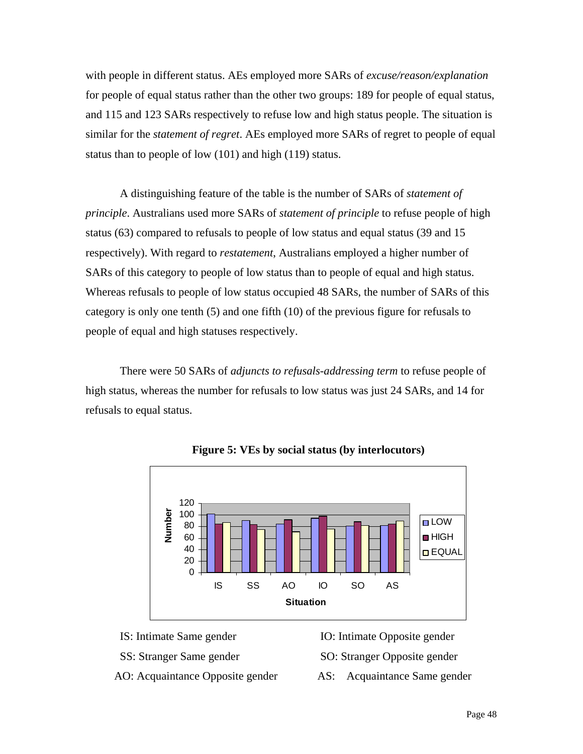with people in different status. AEs employed more SARs of *excuse/reason/explanation* for people of equal status rather than the other two groups: 189 for people of equal status, and 115 and 123 SARs respectively to refuse low and high status people. The situation is similar for the *statement of regret*. AEs employed more SARs of regret to people of equal status than to people of low (101) and high (119) status.

A distinguishing feature of the table is the number of SARs of *statement of principle*. Australians used more SARs of *statement of principle* to refuse people of high status (63) compared to refusals to people of low status and equal status (39 and 15 respectively). With regard to *restatement*, Australians employed a higher number of SARs of this category to people of low status than to people of equal and high status. Whereas refusals to people of low status occupied 48 SARs, the number of SARs of this category is only one tenth (5) and one fifth (10) of the previous figure for refusals to people of equal and high statuses respectively.

There were 50 SARs of *adjuncts to refusals-addressing term* to refuse people of high status, whereas the number for refusals to low status was just 24 SARs, and 14 for refusals to equal status.



**Figure 5: VEs by social status (by interlocutors)** 

- IS: Intimate Same gender
- SS: Stranger Same gender
- AO: Acquaintance Opposite gender
- IO: Intimate Opposite gender
- SO: Stranger Opposite gender
- AS: Acquaintance Same gender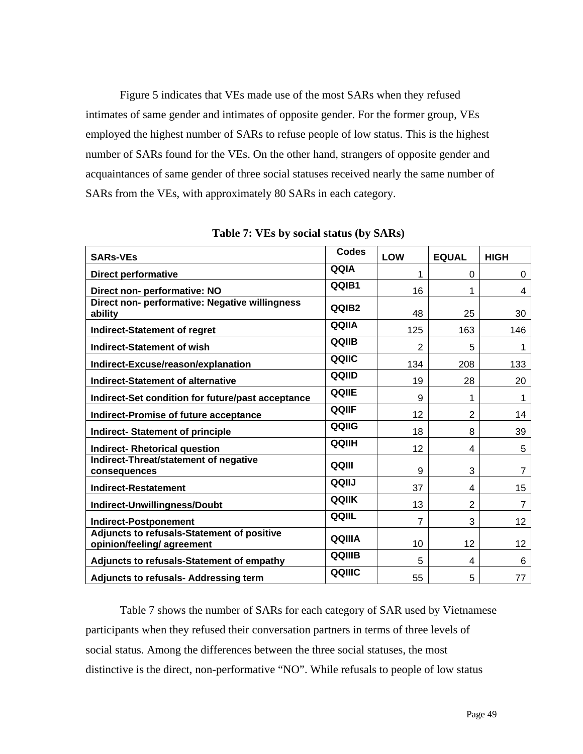Figure 5 indicates that VEs made use of the most SARs when they refused intimates of same gender and intimates of opposite gender. For the former group, VEs employed the highest number of SARs to refuse people of low status. This is the highest number of SARs found for the VEs. On the other hand, strangers of opposite gender and acquaintances of same gender of three social statuses received nearly the same number of SARs from the VEs, with approximately 80 SARs in each category.

| <b>SARs-VEs</b>                                                          | <b>Codes</b> | LOW | <b>EQUAL</b>   | <b>HIGH</b> |
|--------------------------------------------------------------------------|--------------|-----|----------------|-------------|
| <b>Direct performative</b>                                               | QQIA         | 1   | $\Omega$       | $\Omega$    |
| Direct non- performative: NO                                             | QQIB1        | 16  |                | 4           |
| Direct non- performative: Negative willingness<br>ability                | QQIB2        | 48  | 25             | 30          |
| <b>Indirect-Statement of regret</b>                                      | QQIIA        | 125 | 163            | 146         |
| <b>Indirect-Statement of wish</b>                                        | QQIIB        | 2   | 5              | 1           |
| Indirect-Excuse/reason/explanation                                       | QQIIC        | 134 | 208            | 133         |
| <b>Indirect-Statement of alternative</b>                                 | QQIID        | 19  | 28             | 20          |
| Indirect-Set condition for future/past acceptance                        | QQIIE        | 9   | 1              | 1           |
| <b>Indirect-Promise of future acceptance</b>                             | QQIIF        | 12  | $\overline{2}$ | 14          |
| <b>Indirect-Statement of principle</b>                                   | QQIIG        | 18  | 8              | 39          |
| <b>Indirect- Rhetorical question</b>                                     | QQIIH        | 12  | 4              | 5           |
| Indirect-Threat/statement of negative<br>consequences                    | QQIII        | 9   | 3              | 7           |
| <b>Indirect-Restatement</b>                                              | QQIIJ        | 37  | 4              | 15          |
| Indirect-Unwillingness/Doubt                                             | <b>QQIIK</b> | 13  | $\overline{2}$ | 7           |
| <b>Indirect-Postponement</b>                                             | QQIIL        | 7   | 3              | 12          |
| Adjuncts to refusals-Statement of positive<br>opinion/feeling/ agreement | QQIIIA       | 10  | 12             | 12          |
| Adjuncts to refusals-Statement of empathy                                | QQIIIB       | 5   | 4              | 6           |
| Adjuncts to refusals- Addressing term                                    | QQIIIC       | 55  | 5              | 77          |

**Table 7: VEs by social status (by SARs)** 

Table 7 shows the number of SARs for each category of SAR used by Vietnamese participants when they refused their conversation partners in terms of three levels of social status. Among the differences between the three social statuses, the most distinctive is the direct, non-performative "NO". While refusals to people of low status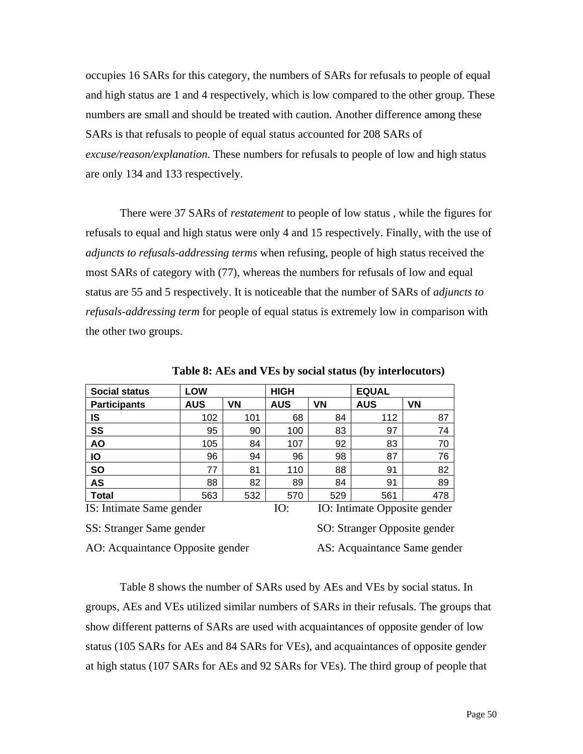occupies 16 SARs for this category, the numbers of SARs for refusals to people of equal and high status are 1 and 4 respectively, which is low compared to the other group. These numbers are small and should be treated with caution. Another difference among these SARs is that refusals to people of equal status accounted for 208 SARs of *excuse/reason/explanation*. These numbers for refusals to people of low and high status are only 134 and 133 respectively.

There were 37 SARs of *restatement* to people of low status , while the figures for refusals to equal and high status were only 4 and 15 respectively. Finally, with the use of *adjuncts to refusals-addressing terms* when refusing, people of high status received the most SARs of category with (77), whereas the numbers for refusals of low and equal status are 55 and 5 respectively. It is noticeable that the number of SARs of *adjuncts to refusals-addressing term* for people of equal status is extremely low in comparison with the other two groups.

| <b>Social status</b>     | <b>LOW</b> |     | <b>HIGH</b> |           | <b>EQUAL</b>                 |           |
|--------------------------|------------|-----|-------------|-----------|------------------------------|-----------|
| <b>Participants</b>      | <b>AUS</b> | VN  | <b>AUS</b>  | <b>VN</b> | <b>AUS</b>                   | <b>VN</b> |
| IS                       | 102        | 101 | 68          | 84        | 112                          | 87        |
| SS                       | 95         | 90  | 100         | 83        | 97                           | 74        |
| <b>AO</b>                | 105        | 84  | 107         | 92        | 83                           | 70        |
| IО                       | 96         | 94  | 96          | 98        | 87                           | 76        |
| <b>SO</b>                | 77         | 81  | 110         | 88        | 91                           | 82        |
| <b>AS</b>                | 88         | 82  | 89          | 84        | 91                           | 89        |
| <b>Total</b>             | 563        | 532 | 570         | 529       | 561                          | 478       |
| IS: Intimate Same gender |            |     | IO:         |           | IO: Intimate Opposite gender |           |

**Table 8: AEs and VEs by social status (by interlocutors)** 

SS: Stranger Same gender

SO: Stranger Opposite gender

AO: Acquaintance Opposite gender

AS: Acquaintance Same gender

Table 8 shows the number of SARs used by AEs and VEs by social status. In groups, AEs and VEs utilized similar numbers of SARs in their refusals. The groups that show different patterns of SARs are used with acquaintances of opposite gender of low status (105 SARs for AEs and 84 SARs for VEs), and acquaintances of opposite gender at high status (107 SARs for AEs and 92 SARs for VEs). The third group of people that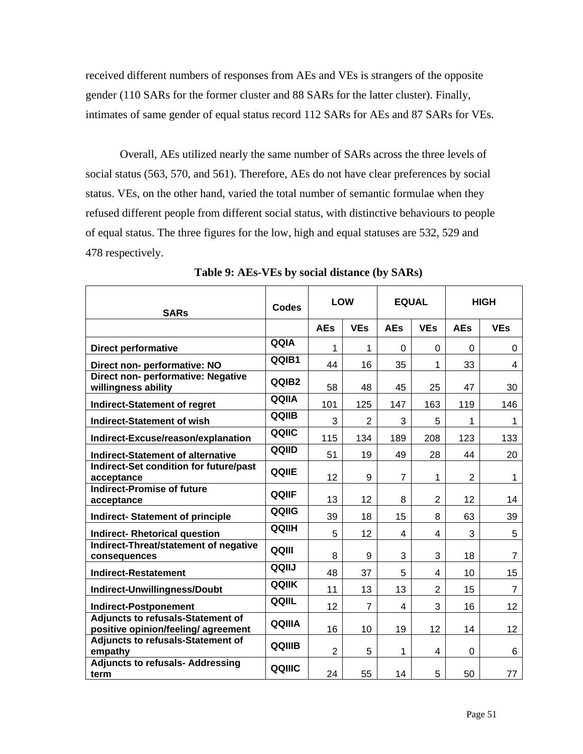received different numbers of responses from AEs and VEs is strangers of the opposite gender (110 SARs for the former cluster and 88 SARs for the latter cluster). Finally, intimates of same gender of equal status record 112 SARs for AEs and 87 SARs for VEs.

Overall, AEs utilized nearly the same number of SARs across the three levels of social status (563, 570, and 561). Therefore, AEs do not have clear preferences by social status. VEs, on the other hand, varied the total number of semantic formulae when they refused different people from different social status, with distinctive behaviours to people of equal status. The three figures for the low, high and equal statuses are 532, 529 and 478 respectively.

| <b>SARs</b>                                                                     | <b>Codes</b>  | <b>LOW</b>     |                | <b>EQUAL</b>   |                | <b>HIGH</b>    |                |  |
|---------------------------------------------------------------------------------|---------------|----------------|----------------|----------------|----------------|----------------|----------------|--|
|                                                                                 |               | <b>AEs</b>     | <b>VEs</b>     | <b>AEs</b>     | <b>VEs</b>     | <b>AEs</b>     | <b>VEs</b>     |  |
| <b>Direct performative</b>                                                      | QQIA          | 1              | 1              | $\Omega$       | 0              | $\Omega$       | 0              |  |
| Direct non- performative: NO                                                    | QQIB1         | 44             | 16             | 35             | 1              | 33             | 4              |  |
| Direct non- performative: Negative<br>willingness ability                       | QQIB2         | 58             | 48             | 45             | 25             | 47             | 30             |  |
| <b>Indirect-Statement of regret</b>                                             | QQIIA         | 101            | 125            | 147            | 163            | 119            | 146            |  |
| <b>Indirect-Statement of wish</b>                                               | QQIIB         | 3              | $\overline{2}$ | 3              | 5              | 1              | 1              |  |
| Indirect-Excuse/reason/explanation                                              | QQIIC         | 115            | 134            | 189            | 208            | 123            | 133            |  |
| <b>Indirect-Statement of alternative</b>                                        | QQIID         | 51             | 19             | 49             | 28             | 44             | 20             |  |
| Indirect-Set condition for future/past<br>acceptance                            | QQIIE         | 12             | 9              | $\overline{7}$ | 1              | $\overline{2}$ | 1              |  |
| <b>Indirect-Promise of future</b><br>acceptance                                 | QQIIF         | 13             | 12             | 8              | $\overline{2}$ | 12             | 14             |  |
| <b>Indirect- Statement of principle</b>                                         | QQIIG         | 39             | 18             | 15             | 8              | 63             | 39             |  |
| <b>Indirect- Rhetorical question</b>                                            | QQIIH         | 5              | 12             | 4              | 4              | 3              | 5              |  |
| Indirect-Threat/statement of negative<br>consequences                           | QQIII         | 8              | 9              | 3              | 3              | 18             | $\overline{7}$ |  |
| <b>Indirect-Restatement</b>                                                     | QQIIJ         | 48             | 37             | 5              | 4              | 10             | 15             |  |
| Indirect-Unwillingness/Doubt                                                    | QQIIK         | 11             | 13             | 13             | $\overline{2}$ | 15             | $\overline{7}$ |  |
| <b>Indirect-Postponement</b>                                                    | QQIIL         | 12             | $\overline{7}$ | 4              | 3              | 16             | 12             |  |
| <b>Adjuncts to refusals-Statement of</b><br>positive opinion/feeling/ agreement | QQIIIA        | 16             | 10             | 19             | 12             | 14             | 12             |  |
| <b>Adjuncts to refusals-Statement of</b><br>empathy                             | <b>QQIIIB</b> | $\overline{2}$ | 5              | 1              | 4              | $\Omega$       | 6              |  |
| <b>Adjuncts to refusals- Addressing</b><br>term                                 | QQIIIC        | 24             | 55             | 14             | 5              | 50             | 77             |  |

**Table 9: AEs-VEs by social distance (by SARs)**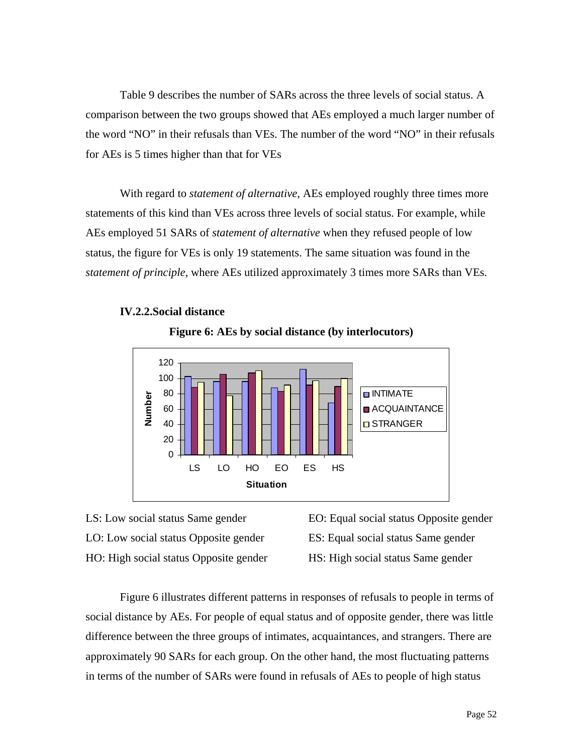Table 9 describes the number of SARs across the three levels of social status. A comparison between the two groups showed that AEs employed a much larger number of the word "NO" in their refusals than VEs. The number of the word "NO" in their refusals for AEs is 5 times higher than that for VEs

With regard to *statement of alternative*, AEs employed roughly three times more statements of this kind than VEs across three levels of social status. For example, while AEs employed 51 SARs of *statement of alternative* when they refused people of low status, the figure for VEs is only 19 statements. The same situation was found in the *statement of principle*, where AEs utilized approximately 3 times more SARs than VEs.







EO: Equal social status Opposite gender ES: Equal social status Same gender HS: High social status Same gender

Figure 6 illustrates different patterns in responses of refusals to people in terms of social distance by AEs. For people of equal status and of opposite gender, there was little difference between the three groups of intimates, acquaintances, and strangers. There are approximately 90 SARs for each group. On the other hand, the most fluctuating patterns in terms of the number of SARs were found in refusals of AEs to people of high status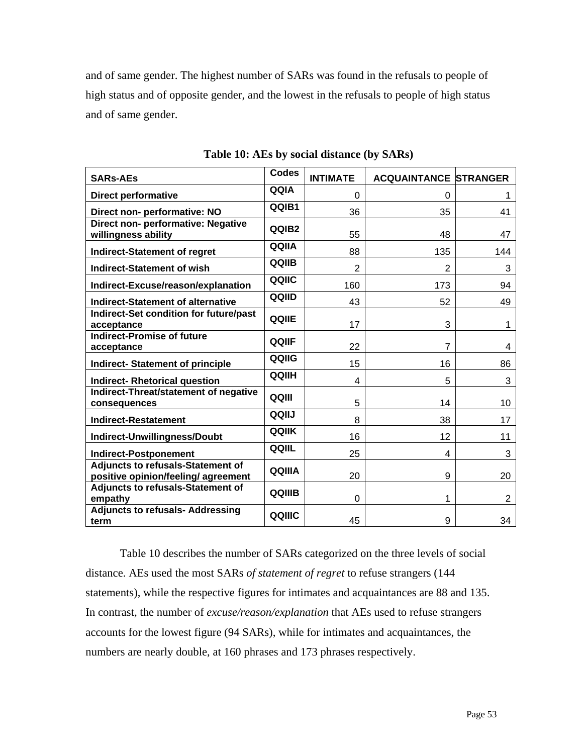and of same gender. The highest number of SARs was found in the refusals to people of high status and of opposite gender, and the lowest in the refusals to people of high status and of same gender.

| <b>SARs-AEs</b>                                                                 | <b>Codes</b> | <b>INTIMATE</b> | <b>ACQUAINTANCE STRANGER</b> |                |
|---------------------------------------------------------------------------------|--------------|-----------------|------------------------------|----------------|
| <b>Direct performative</b>                                                      | QQIA         | 0               | 0                            | 1              |
| Direct non- performative: NO                                                    | QQIB1        | 36              | 35                           | 41             |
| Direct non- performative: Negative<br>willingness ability                       | QQIB2        | 55              | 48                           | 47             |
| <b>Indirect-Statement of regret</b>                                             | QQIIA        | 88              | 135                          | 144            |
| <b>Indirect-Statement of wish</b>                                               | QQIIB        | $\overline{2}$  | $\overline{2}$               | 3              |
| Indirect-Excuse/reason/explanation                                              | QQIIC        | 160             | 173                          | 94             |
| <b>Indirect-Statement of alternative</b>                                        | QQIID        | 43              | 52                           | 49             |
| Indirect-Set condition for future/past<br>acceptance                            | <b>QQIIE</b> | 17              | 3                            | $\mathbf 1$    |
| <b>Indirect-Promise of future</b><br>acceptance                                 | QQIIF        | 22              | 7                            | 4              |
| <b>Indirect- Statement of principle</b>                                         | QQIIG        | 15              | 16                           | 86             |
| <b>Indirect- Rhetorical question</b>                                            | QQIIH        | 4               | 5                            | 3              |
| Indirect-Threat/statement of negative<br>consequences                           | QQIII        | 5               | 14                           | 10             |
| <b>Indirect-Restatement</b>                                                     | QQIIJ        | 8               | 38                           | 17             |
| Indirect-Unwillingness/Doubt                                                    | QQIIK        | 16              | 12                           | 11             |
| <b>Indirect-Postponement</b>                                                    | QQIIL        | 25              | 4                            | 3              |
| <b>Adjuncts to refusals-Statement of</b><br>positive opinion/feeling/ agreement | QQIIIA       | 20              | 9                            | 20             |
| <b>Adjuncts to refusals-Statement of</b><br>empathy                             | QQIIIB       | 0               | 1                            | $\overline{2}$ |
| <b>Adjuncts to refusals- Addressing</b><br>term                                 | QQIIIC       | 45              | 9                            | 34             |

**Table 10: AEs by social distance (by SARs)** 

Table 10 describes the number of SARs categorized on the three levels of social distance. AEs used the most SARs *of statement of regret* to refuse strangers (144 statements), while the respective figures for intimates and acquaintances are 88 and 135. In contrast, the number of *excuse/reason/explanation* that AEs used to refuse strangers accounts for the lowest figure (94 SARs), while for intimates and acquaintances, the numbers are nearly double, at 160 phrases and 173 phrases respectively.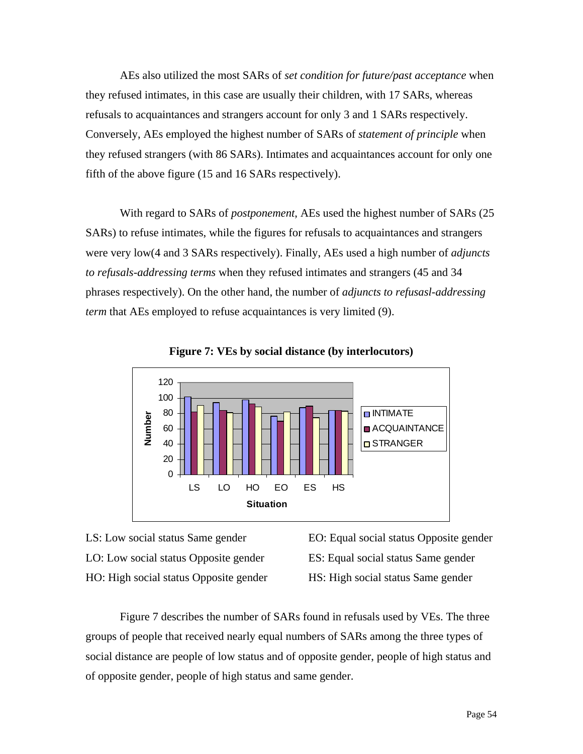AEs also utilized the most SARs of *set condition for future/past acceptance* when they refused intimates, in this case are usually their children, with 17 SARs, whereas refusals to acquaintances and strangers account for only 3 and 1 SARs respectively. Conversely, AEs employed the highest number of SARs of *statement of principle* when they refused strangers (with 86 SARs). Intimates and acquaintances account for only one fifth of the above figure (15 and 16 SARs respectively).

With regard to SARs of *postponement*, AEs used the highest number of SARs (25 SARs) to refuse intimates, while the figures for refusals to acquaintances and strangers were very low(4 and 3 SARs respectively). Finally, AEs used a high number of *adjuncts to refusals-addressing terms* when they refused intimates and strangers (45 and 34 phrases respectively). On the other hand, the number of *adjuncts to refusasl-addressing term* that AEs employed to refuse acquaintances is very limited (9).



**Figure 7: VEs by social distance (by interlocutors)** 

- LS: Low social status Same gender LO: Low social status Opposite gender HO: High social status Opposite gender
- EO: Equal social status Opposite gender

ES: Equal social status Same gender

HS: High social status Same gender

Figure 7 describes the number of SARs found in refusals used by VEs. The three groups of people that received nearly equal numbers of SARs among the three types of social distance are people of low status and of opposite gender, people of high status and of opposite gender, people of high status and same gender.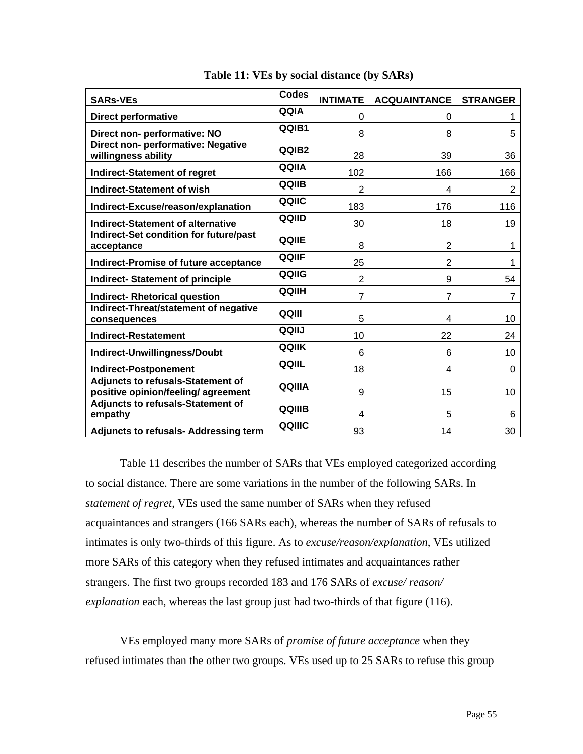| <b>SARs-VEs</b>                                                                 | <b>Codes</b>      | <b>INTIMATE</b> | <b>ACQUAINTANCE</b> | <b>STRANGER</b> |
|---------------------------------------------------------------------------------|-------------------|-----------------|---------------------|-----------------|
| <b>Direct performative</b>                                                      | QQIA              | $\Omega$        | 0                   |                 |
| Direct non- performative: NO                                                    | QQIB1             | 8               | 8                   | 5               |
| Direct non- performative: Negative<br>willingness ability                       | QQIB <sub>2</sub> | 28              | 39                  | 36              |
| <b>Indirect-Statement of regret</b>                                             | QQIIA             | 102             | 166                 | 166             |
| <b>Indirect-Statement of wish</b>                                               | QQIIB             | $\overline{2}$  | 4                   | $\overline{2}$  |
| Indirect-Excuse/reason/explanation                                              | QQIIC             | 183             | 176                 | 116             |
| <b>Indirect-Statement of alternative</b>                                        | QQIID             | 30              | 18                  | 19              |
| Indirect-Set condition for future/past<br>acceptance                            | QQIIE             | 8               | $\overline{2}$      | 1               |
| <b>Indirect-Promise of future acceptance</b>                                    | QQIIF             | 25              | $\overline{2}$      | 1               |
| <b>Indirect- Statement of principle</b>                                         | QQIIG             | $\overline{2}$  | 9                   | 54              |
| <b>Indirect- Rhetorical question</b>                                            | <b>QQIIH</b>      | $\overline{7}$  | $\overline{7}$      | 7               |
| Indirect-Threat/statement of negative<br>consequences                           | QQIII             | 5               | 4                   | 10              |
| <b>Indirect-Restatement</b>                                                     | QQIIJ             | 10              | 22                  | 24              |
| Indirect-Unwillingness/Doubt                                                    | QQIIK             | 6               | 6                   | 10              |
| <b>Indirect-Postponement</b>                                                    | QQIIL             | 18              | 4                   | 0               |
| <b>Adjuncts to refusals-Statement of</b><br>positive opinion/feeling/ agreement | QQIIIA            | 9               | 15                  | 10              |
| <b>Adjuncts to refusals-Statement of</b><br>empathy                             | QQIIIB            | 4               | 5                   | 6               |
| <b>Adjuncts to refusals- Addressing term</b>                                    | QQIIIC            | 93              | 14                  | 30              |

#### **Table 11: VEs by social distance (by SARs)**

Table 11 describes the number of SARs that VEs employed categorized according to social distance. There are some variations in the number of the following SARs. In *statement of regret*, VEs used the same number of SARs when they refused acquaintances and strangers (166 SARs each), whereas the number of SARs of refusals to intimates is only two-thirds of this figure. As to *excuse/reason/explanation*, VEs utilized more SARs of this category when they refused intimates and acquaintances rather strangers. The first two groups recorded 183 and 176 SARs of *excuse/ reason/ explanation* each, whereas the last group just had two-thirds of that figure (116).

VEs employed many more SARs of *promise of future acceptance* when they refused intimates than the other two groups. VEs used up to 25 SARs to refuse this group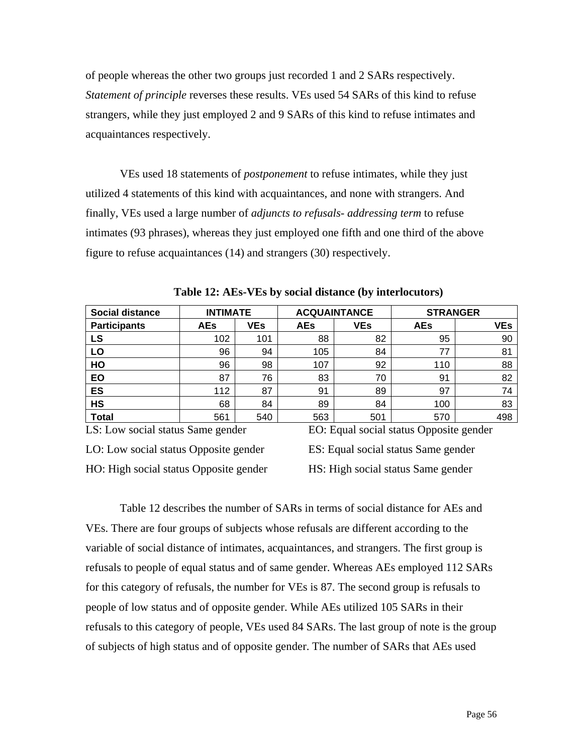of people whereas the other two groups just recorded 1 and 2 SARs respectively. *Statement of principle* reverses these results. VEs used 54 SARs of this kind to refuse strangers, while they just employed 2 and 9 SARs of this kind to refuse intimates and acquaintances respectively.

VEs used 18 statements of *postponement* to refuse intimates, while they just utilized 4 statements of this kind with acquaintances, and none with strangers. And finally, VEs used a large number of *adjuncts to refusals- addressing term* to refuse intimates (93 phrases), whereas they just employed one fifth and one third of the above figure to refuse acquaintances (14) and strangers (30) respectively.

| <b>Social distance</b> | <b>INTIMATE</b> |            |            | <b>ACQUAINTANCE</b> | <b>STRANGER</b> |            |  |
|------------------------|-----------------|------------|------------|---------------------|-----------------|------------|--|
| <b>Participants</b>    | <b>AEs</b>      | <b>VEs</b> | <b>AEs</b> | <b>VEs</b>          | <b>AEs</b>      | <b>VEs</b> |  |
| LS                     | 102             | 101        | 88         | 82                  | 95              | 90         |  |
| LO                     | 96              | 94         | 105        | 84                  | 77              | 81         |  |
| HO                     | 96              | 98         | 107        | 92                  | 110             | 88         |  |
| EO                     | 87              | 76         | 83         | 70                  | 91              | 82         |  |
| <b>ES</b>              | 112             | 87         | 91         | 89                  | 97              | 74         |  |
| <b>HS</b>              | 68              | 84         | 89         | 84                  | 100             | 83         |  |
| <b>Total</b>           | 561             | 540        | 563        | 501                 | 570             | 498        |  |

**Table 12: AEs-VEs by social distance (by interlocutors)** 

LS: Low social status Same gender

EO: Equal social status Opposite gender

LO: Low social status Opposite gender HO: High social status Opposite gender ES: Equal social status Same gender HS: High social status Same gender

Table 12 describes the number of SARs in terms of social distance for AEs and VEs. There are four groups of subjects whose refusals are different according to the variable of social distance of intimates, acquaintances, and strangers. The first group is refusals to people of equal status and of same gender. Whereas AEs employed 112 SARs for this category of refusals, the number for VEs is 87. The second group is refusals to people of low status and of opposite gender. While AEs utilized 105 SARs in their refusals to this category of people, VEs used 84 SARs. The last group of note is the group of subjects of high status and of opposite gender. The number of SARs that AEs used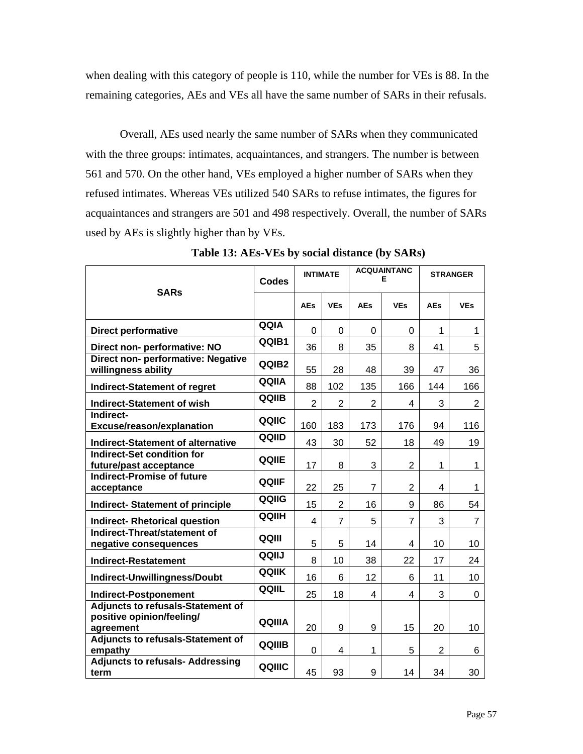when dealing with this category of people is 110, while the number for VEs is 88. In the remaining categories, AEs and VEs all have the same number of SARs in their refusals.

Overall, AEs used nearly the same number of SARs when they communicated with the three groups: intimates, acquaintances, and strangers. The number is between 561 and 570. On the other hand, VEs employed a higher number of SARs when they refused intimates. Whereas VEs utilized 540 SARs to refuse intimates, the figures for acquaintances and strangers are 501 and 498 respectively. Overall, the number of SARs used by AEs is slightly higher than by VEs.

| <b>SARs</b>                                                                        | Codes        | <b>INTIMATE</b> |                | <b>ACQUAINTANC</b><br>Е |                | <b>STRANGER</b> |                |
|------------------------------------------------------------------------------------|--------------|-----------------|----------------|-------------------------|----------------|-----------------|----------------|
|                                                                                    |              | <b>AEs</b>      | <b>VEs</b>     | <b>AEs</b>              | <b>VEs</b>     | <b>AEs</b>      | <b>VEs</b>     |
| <b>Direct performative</b>                                                         | QQIA         | $\Omega$        | $\Omega$       | $\Omega$                | 0              | 1               | 1              |
| Direct non- performative: NO                                                       | QQIB1        | 36              | 8              | 35                      | 8              | 41              | 5              |
| Direct non- performative: Negative<br>willingness ability                          | QQIB2        | 55              | 28             | 48                      | 39             | 47              | 36             |
| <b>Indirect-Statement of regret</b>                                                | QQIIA        | 88              | 102            | 135                     | 166            | 144             | 166            |
| <b>Indirect-Statement of wish</b>                                                  | QQIIB        | $\overline{2}$  | $\overline{2}$ | $\overline{2}$          | 4              | 3               | $\overline{2}$ |
| Indirect-<br><b>Excuse/reason/explanation</b>                                      | QQIIC        | 160             | 183            | 173                     | 176            | 94              | 116            |
| <b>Indirect-Statement of alternative</b>                                           | QQIID        | 43              | 30             | 52                      | 18             | 49              | 19             |
| <b>Indirect-Set condition for</b><br>future/past acceptance                        | QQIIE        | 17              | 8              | 3                       | 2              | 1               | 1              |
| <b>Indirect-Promise of future</b><br>acceptance                                    | <b>QQIIF</b> | 22              | 25             | $\overline{7}$          | $\overline{2}$ | 4               | 1              |
| <b>Indirect- Statement of principle</b>                                            | QQIIG        | 15              | $\overline{2}$ | 16                      | 9              | 86              | 54             |
| <b>Indirect- Rhetorical question</b>                                               | QQIIH        | 4               | $\overline{7}$ | 5                       | 7              | 3               | $\overline{7}$ |
| Indirect-Threat/statement of<br>negative consequences                              | QQIII        | 5               | 5              | 14                      | 4              | 10              | 10             |
| <b>Indirect-Restatement</b>                                                        | QQIIJ        | 8               | 10             | 38                      | 22             | 17              | 24             |
| Indirect-Unwillingness/Doubt                                                       | QQIIK        | 16              | 6              | 12                      | 6              | 11              | 10             |
| <b>Indirect-Postponement</b>                                                       | QQIIL        | 25              | 18             | 4                       | 4              | 3               | 0              |
| <b>Adjuncts to refusals-Statement of</b><br>positive opinion/feeling/<br>agreement | QQIIIA       | 20              | 9              | 9                       | 15             | 20              | 10             |
| <b>Adjuncts to refusals-Statement of</b><br>empathy                                | QQIIIB       | 0               | 4              | $\mathbf{1}$            | 5              | $\overline{2}$  | 6              |
| <b>Adjuncts to refusals- Addressing</b><br>term                                    | QQIIIC       | 45              | 93             | 9                       | 14             | 34              | 30             |

**Table 13: AEs-VEs by social distance (by SARs)**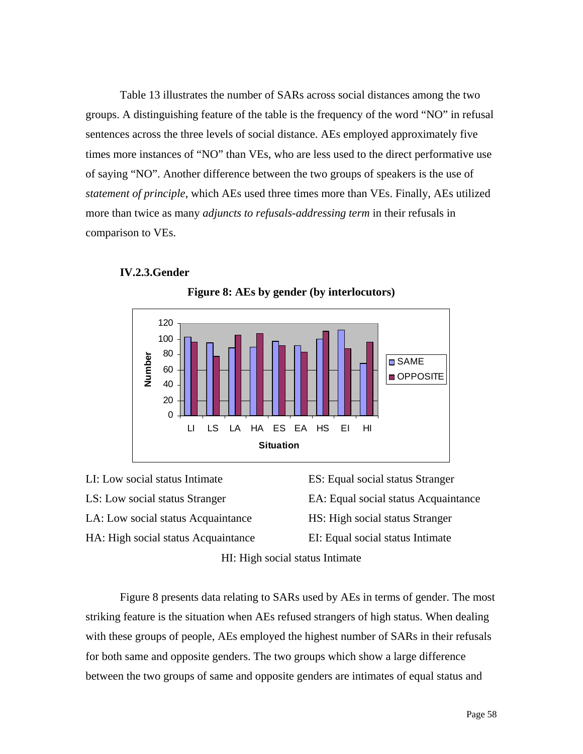Table 13 illustrates the number of SARs across social distances among the two groups. A distinguishing feature of the table is the frequency of the word "NO" in refusal sentences across the three levels of social distance. AEs employed approximately five times more instances of "NO" than VEs, who are less used to the direct performative use of saying "NO". Another difference between the two groups of speakers is the use of *statement of principle*, which AEs used three times more than VEs. Finally, AEs utilized more than twice as many *adjuncts to refusals-addressing term* in their refusals in comparison to VEs.

#### **IV.2.3.Gender**



**Figure 8: AEs by gender (by interlocutors)** 

LI: Low social status Intimate LS: Low social status Stranger LA: Low social status Acquaintance HA: High social status Acquaintance

ES: Equal social status Stranger EA: Equal social status Acquaintance HS: High social status Stranger EI: Equal social status Intimate

HI: High social status Intimate

Figure 8 presents data relating to SARs used by AEs in terms of gender. The most striking feature is the situation when AEs refused strangers of high status. When dealing with these groups of people, AEs employed the highest number of SARs in their refusals for both same and opposite genders. The two groups which show a large difference between the two groups of same and opposite genders are intimates of equal status and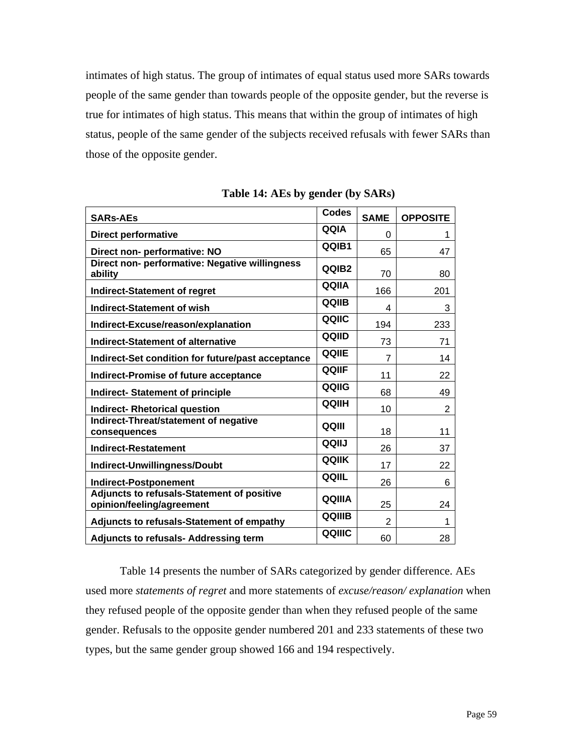intimates of high status. The group of intimates of equal status used more SARs towards people of the same gender than towards people of the opposite gender, but the reverse is true for intimates of high status. This means that within the group of intimates of high status, people of the same gender of the subjects received refusals with fewer SARs than those of the opposite gender.

| <b>SARs-AEs</b>                                                         | <b>Codes</b>      | <b>SAME</b>    | <b>OPPOSITE</b> |
|-------------------------------------------------------------------------|-------------------|----------------|-----------------|
| <b>Direct performative</b>                                              | QQIA              | 0              | 1               |
| Direct non- performative: NO                                            | QQIB1             | 65             | 47              |
| Direct non- performative: Negative willingness<br>ability               | QQIB <sub>2</sub> | 70             | 80              |
| <b>Indirect-Statement of regret</b>                                     | QQIIA             | 166            | 201             |
| Indirect-Statement of wish                                              | QQIIB             | 4              | 3               |
| Indirect-Excuse/reason/explanation                                      | QQIIC             | 194            | 233             |
| <b>Indirect-Statement of alternative</b>                                | QQIID             | 73             | 71              |
| Indirect-Set condition for future/past acceptance                       | QQIIE             | $\overline{7}$ | 14              |
| <b>Indirect-Promise of future acceptance</b>                            | QQIIF             | 11             | 22              |
| <b>Indirect- Statement of principle</b>                                 | QQIIG             | 68             | 49              |
| <b>Indirect- Rhetorical question</b>                                    | QQIIH             | 10             | $\overline{2}$  |
| Indirect-Threat/statement of negative<br>consequences                   | QQIII             | 18             | 11              |
| <b>Indirect-Restatement</b>                                             | QQIIJ             | 26             | 37              |
| Indirect-Unwillingness/Doubt                                            | <b>QQIIK</b>      | 17             | 22              |
| <b>Indirect-Postponement</b>                                            | QQIIL             | 26             | 6               |
| Adjuncts to refusals-Statement of positive<br>opinion/feeling/agreement | QQIIIA            | 25             | 24              |
| Adjuncts to refusals-Statement of empathy                               | <b>QQIIIB</b>     | 2              | 1               |
| <b>Adjuncts to refusals- Addressing term</b>                            | QQIIIC            | 60             | 28              |

**Table 14: AEs by gender (by SARs)** 

Table 14 presents the number of SARs categorized by gender difference. AEs used more *statements of regret* and more statements of *excuse/reason/ explanation* when they refused people of the opposite gender than when they refused people of the same gender. Refusals to the opposite gender numbered 201 and 233 statements of these two types, but the same gender group showed 166 and 194 respectively.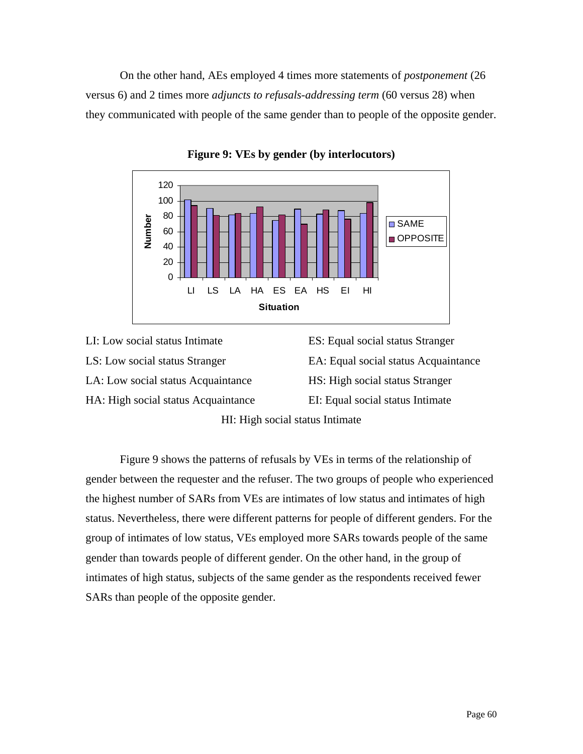On the other hand, AEs employed 4 times more statements of *postponement* (26 versus 6) and 2 times more *adjuncts to refusals-addressing term* (60 versus 28) when they communicated with people of the same gender than to people of the opposite gender.



**Figure 9: VEs by gender (by interlocutors)** 

LI: Low social status Intimate LS: Low social status Stranger LA: Low social status Acquaintance HA: High social status Acquaintance ES: Equal social status Stranger EA: Equal social status Acquaintance HS: High social status Stranger EI: Equal social status Intimate

HI: High social status Intimate

Figure 9 shows the patterns of refusals by VEs in terms of the relationship of gender between the requester and the refuser. The two groups of people who experienced the highest number of SARs from VEs are intimates of low status and intimates of high status. Nevertheless, there were different patterns for people of different genders. For the group of intimates of low status, VEs employed more SARs towards people of the same gender than towards people of different gender. On the other hand, in the group of intimates of high status, subjects of the same gender as the respondents received fewer SARs than people of the opposite gender.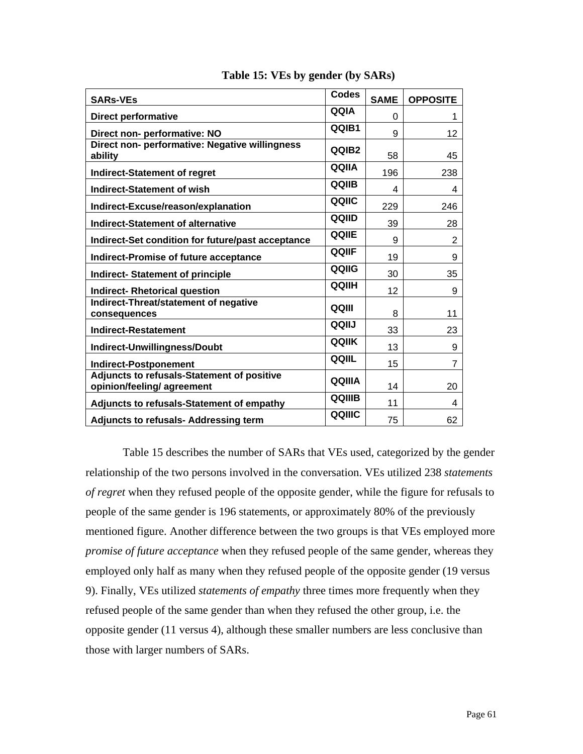| <b>SARs-VEs</b>                                                          | <b>Codes</b> | <b>SAME</b> | <b>OPPOSITE</b> |
|--------------------------------------------------------------------------|--------------|-------------|-----------------|
| <b>Direct performative</b>                                               | QQIA         | 0           | 1               |
| Direct non- performative: NO                                             | QQIB1        | 9           | 12              |
| Direct non- performative: Negative willingness<br>ability                | QQIB2        | 58          | 45              |
| <b>Indirect-Statement of regret</b>                                      | QQIIA        | 196         | 238             |
| <b>Indirect-Statement of wish</b>                                        | QQIIB        | 4           | 4               |
| Indirect-Excuse/reason/explanation                                       | QQIIC        | 229         | 246             |
| <b>Indirect-Statement of alternative</b>                                 | QQIID        | 39          | 28              |
| Indirect-Set condition for future/past acceptance                        | <b>QQIIE</b> | 9           | 2               |
| <b>Indirect-Promise of future acceptance</b>                             | <b>QQIIF</b> | 19          | 9               |
| <b>Indirect- Statement of principle</b>                                  | QQIIG        | 30          | 35              |
| <b>Indirect- Rhetorical question</b>                                     | <b>QQIIH</b> | 12          | 9               |
| Indirect-Threat/statement of negative<br>consequences                    | QQIII        | 8           | 11              |
| <b>Indirect-Restatement</b>                                              | QQIIJ        | 33          | 23              |
| Indirect-Unwillingness/Doubt                                             | QQIIK        | 13          | 9               |
| <b>Indirect-Postponement</b>                                             | QQIIL        | 15          | 7               |
| Adjuncts to refusals-Statement of positive<br>opinion/feeling/ agreement | QQIIIA       | 14          | 20              |
| Adjuncts to refusals-Statement of empathy                                | QQIIIB       | 11          | 4               |
| <b>Adjuncts to refusals- Addressing term</b>                             | QQIIIC       | 75          | 62              |

#### **Table 15: VEs by gender (by SARs)**

 Table 15 describes the number of SARs that VEs used, categorized by the gender relationship of the two persons involved in the conversation. VEs utilized 238 *statements of regret* when they refused people of the opposite gender, while the figure for refusals to people of the same gender is 196 statements, or approximately 80% of the previously mentioned figure. Another difference between the two groups is that VEs employed more *promise of future acceptance* when they refused people of the same gender, whereas they employed only half as many when they refused people of the opposite gender (19 versus 9). Finally, VEs utilized *statements of empathy* three times more frequently when they refused people of the same gender than when they refused the other group, i.e. the opposite gender (11 versus 4), although these smaller numbers are less conclusive than those with larger numbers of SARs.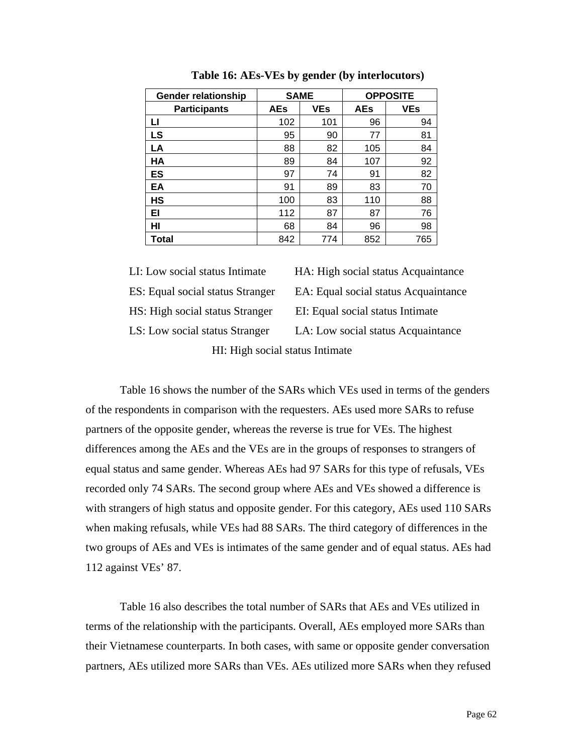| <b>Gender relationship</b> | <b>SAME</b> |            | <b>OPPOSITE</b> |            |  |
|----------------------------|-------------|------------|-----------------|------------|--|
| <b>Participants</b>        | <b>AEs</b>  | <b>VEs</b> | <b>AEs</b>      | <b>VEs</b> |  |
| LI                         | 102         | 101        | 96              | 94         |  |
| LS                         | 95          | 90         | 77              | 81         |  |
| LA                         | 88          | 82         | 105             | 84         |  |
| <b>HA</b>                  | 89          | 84         | 107             | 92         |  |
| ES                         | 97          | 74         | 91              | 82         |  |
| EA                         | 91          | 89         | 83              | 70         |  |
| НS                         | 100         | 83         | 110             | 88         |  |
| EI                         | 112         | 87         | 87              | 76         |  |
| HI                         | 68          | 84         | 96              | 98         |  |
| Total                      | 842         | 774        | 852             | 765        |  |

 **Table 16: AEs-VEs by gender (by interlocutors)** 

LI: Low social status Intimate HA: High social status Acquaintance

ES: Equal social status Stranger EA: Equal social status Acquaintance HS: High social status Stranger EI: Equal social status Intimate LS: Low social status Stranger LA: Low social status Acquaintance

HI: High social status Intimate

Table 16 shows the number of the SARs which VEs used in terms of the genders of the respondents in comparison with the requesters. AEs used more SARs to refuse partners of the opposite gender, whereas the reverse is true for VEs. The highest differences among the AEs and the VEs are in the groups of responses to strangers of equal status and same gender. Whereas AEs had 97 SARs for this type of refusals, VEs recorded only 74 SARs. The second group where AEs and VEs showed a difference is with strangers of high status and opposite gender. For this category, AEs used 110 SARs when making refusals, while VEs had 88 SARs. The third category of differences in the two groups of AEs and VEs is intimates of the same gender and of equal status. AEs had 112 against VEs' 87.

Table 16 also describes the total number of SARs that AEs and VEs utilized in terms of the relationship with the participants. Overall, AEs employed more SARs than their Vietnamese counterparts. In both cases, with same or opposite gender conversation partners, AEs utilized more SARs than VEs. AEs utilized more SARs when they refused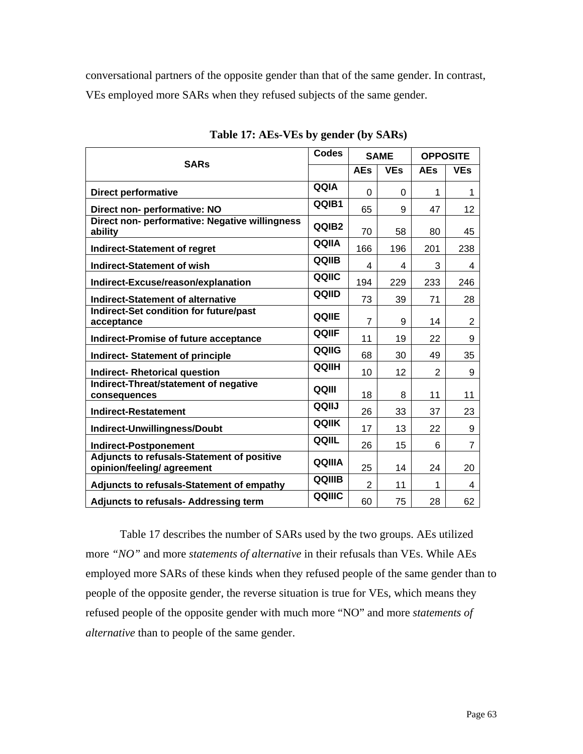conversational partners of the opposite gender than that of the same gender. In contrast, VEs employed more SARs when they refused subjects of the same gender.

| <b>SARs</b>                                                              |              | <b>SAME</b>    |            | <b>OPPOSITE</b> |                |
|--------------------------------------------------------------------------|--------------|----------------|------------|-----------------|----------------|
|                                                                          |              | <b>AEs</b>     | <b>VEs</b> | <b>AEs</b>      | <b>VEs</b>     |
| <b>Direct performative</b>                                               | QQIA         | $\Omega$       | $\Omega$   | 1               | 1              |
| Direct non- performative: NO                                             | QQIB1        | 65             | 9          | 47              | 12             |
| Direct non- performative: Negative willingness<br>ability                | QQIB2        | 70             | 58         | 80              | 45             |
| <b>Indirect-Statement of regret</b>                                      | QQIIA        | 166            | 196        | 201             | 238            |
| <b>Indirect-Statement of wish</b>                                        | QQIIB        | 4              | 4          | 3               | 4              |
| Indirect-Excuse/reason/explanation                                       | QQIIC        | 194            | 229        | 233             | 246            |
| Indirect-Statement of alternative                                        | QQIID        | 73             | 39         | 71              | 28             |
| Indirect-Set condition for future/past<br>acceptance                     | QQIIE        | $\overline{7}$ | 9          | 14              | $\overline{c}$ |
| Indirect-Promise of future acceptance                                    | QQIIF        | 11             | 19         | 22              | 9              |
| <b>Indirect- Statement of principle</b>                                  | QQIIG        | 68             | 30         | 49              | 35             |
| <b>Indirect- Rhetorical question</b>                                     | QQIIH        | 10             | 12         | $\overline{2}$  | 9              |
| Indirect-Threat/statement of negative<br>consequences                    | QQIII        | 18             | 8          | 11              | 11             |
| <b>Indirect-Restatement</b>                                              | QQIIJ        | 26             | 33         | 37              | 23             |
| Indirect-Unwillingness/Doubt                                             | <b>QQIIK</b> | 17             | 13         | 22              | 9              |
| <b>Indirect-Postponement</b>                                             | QQIIL        | 26             | 15         | 6               | $\overline{7}$ |
| Adjuncts to refusals-Statement of positive<br>opinion/feeling/ agreement | QQIIIA       | 25             | 14         | 24              | 20             |
| Adjuncts to refusals-Statement of empathy                                | QQIIIB       | $\overline{2}$ | 11         | 1               | 4              |
| <b>Adjuncts to refusals- Addressing term</b>                             | QQIIIC       | 60             | 75         | 28              | 62             |

**Table 17: AEs-VEs by gender (by SARs)** 

Table 17 describes the number of SARs used by the two groups. AEs utilized more *"NO"* and more *statements of alternative* in their refusals than VEs. While AEs employed more SARs of these kinds when they refused people of the same gender than to people of the opposite gender, the reverse situation is true for VEs, which means they refused people of the opposite gender with much more "NO" and more *statements of alternative* than to people of the same gender.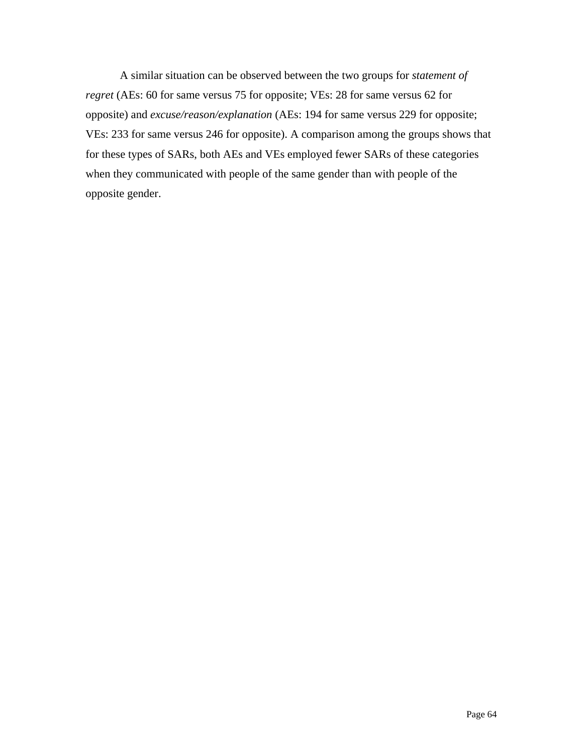A similar situation can be observed between the two groups for *statement of regret* (AEs: 60 for same versus 75 for opposite; VEs: 28 for same versus 62 for opposite) and *excuse/reason/explanation* (AEs: 194 for same versus 229 for opposite; VEs: 233 for same versus 246 for opposite). A comparison among the groups shows that for these types of SARs, both AEs and VEs employed fewer SARs of these categories when they communicated with people of the same gender than with people of the opposite gender.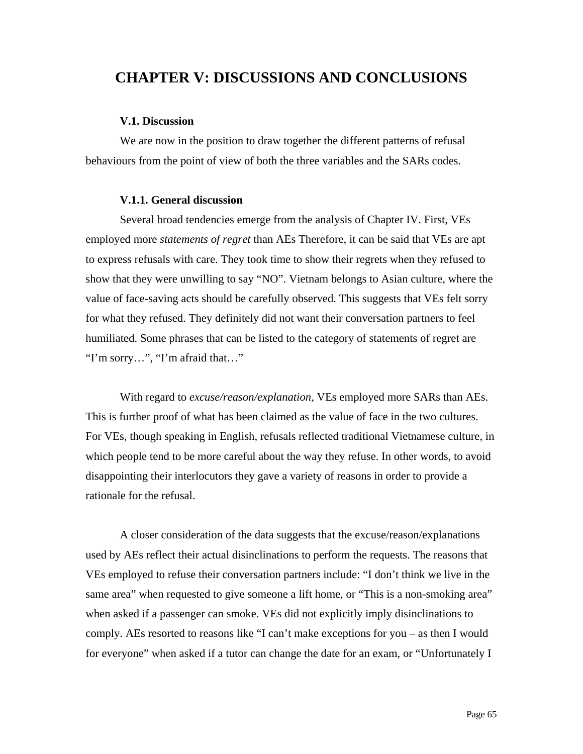# **CHAPTER V: DISCUSSIONS AND CONCLUSIONS**

#### **V.1. Discussion**

We are now in the position to draw together the different patterns of refusal behaviours from the point of view of both the three variables and the SARs codes.

#### **V.1.1. General discussion**

Several broad tendencies emerge from the analysis of Chapter IV. First, VEs employed more *statements of regret* than AEs Therefore, it can be said that VEs are apt to express refusals with care. They took time to show their regrets when they refused to show that they were unwilling to say "NO". Vietnam belongs to Asian culture, where the value of face-saving acts should be carefully observed. This suggests that VEs felt sorry for what they refused. They definitely did not want their conversation partners to feel humiliated. Some phrases that can be listed to the category of statements of regret are "I'm sorry…", "I'm afraid that…"

With regard to *excuse/reason/explanation,* VEs employed more SARs than AEs. This is further proof of what has been claimed as the value of face in the two cultures. For VEs, though speaking in English, refusals reflected traditional Vietnamese culture, in which people tend to be more careful about the way they refuse. In other words, to avoid disappointing their interlocutors they gave a variety of reasons in order to provide a rationale for the refusal.

A closer consideration of the data suggests that the excuse/reason/explanations used by AEs reflect their actual disinclinations to perform the requests. The reasons that VEs employed to refuse their conversation partners include: "I don't think we live in the same area" when requested to give someone a lift home, or "This is a non-smoking area" when asked if a passenger can smoke. VEs did not explicitly imply disinclinations to comply. AEs resorted to reasons like "I can't make exceptions for you – as then I would for everyone" when asked if a tutor can change the date for an exam, or "Unfortunately I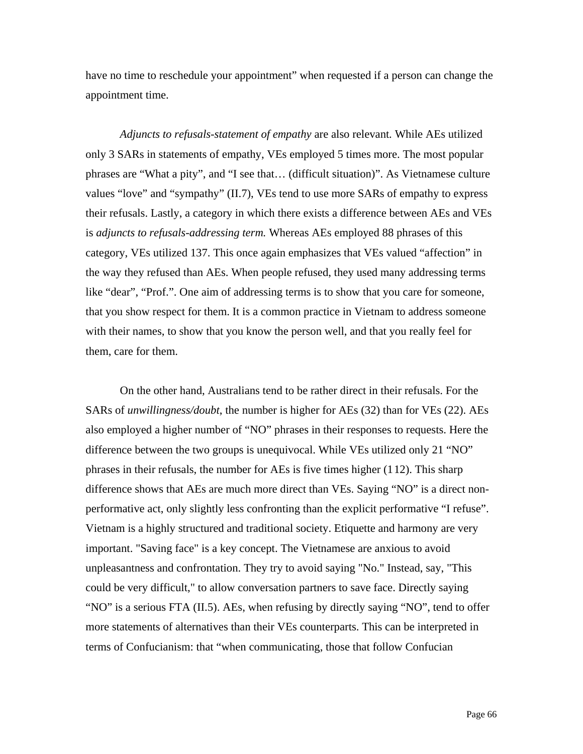have no time to reschedule your appointment" when requested if a person can change the appointment time.

*Adjuncts to refusals-statement of empathy* are also relevant*.* While AEs utilized only 3 SARs in statements of empathy, VEs employed 5 times more. The most popular phrases are "What a pity", and "I see that… (difficult situation)". As Vietnamese culture values "love" and "sympathy" (II.7), VEs tend to use more SARs of empathy to express their refusals. Lastly, a category in which there exists a difference between AEs and VEs is *adjuncts to refusals-addressing term.* Whereas AEs employed 88 phrases of this category, VEs utilized 137. This once again emphasizes that VEs valued "affection" in the way they refused than AEs. When people refused, they used many addressing terms like "dear", "Prof.". One aim of addressing terms is to show that you care for someone, that you show respect for them. It is a common practice in Vietnam to address someone with their names, to show that you know the person well, and that you really feel for them, care for them.

On the other hand, Australians tend to be rather direct in their refusals. For the SARs of *unwillingness/doubt*, the number is higher for AEs (32) than for VEs (22). AEs also employed a higher number of "NO" phrases in their responses to requests. Here the difference between the two groups is unequivocal. While VEs utilized only 21 "NO" phrases in their refusals, the number for AEs is five times higher (1 12). This sharp difference shows that AEs are much more direct than VEs. Saying "NO" is a direct nonperformative act, only slightly less confronting than the explicit performative "I refuse". Vietnam is a highly structured and traditional society. Etiquette and harmony are very important. "Saving face" is a key concept. The Vietnamese are anxious to avoid unpleasantness and confrontation. They try to avoid saying "No." Instead, say, "This could be very difficult," to allow conversation partners to save face. Directly saying "NO" is a serious FTA (II.5). AEs, when refusing by directly saying "NO", tend to offer more statements of alternatives than their VEs counterparts. This can be interpreted in terms of Confucianism: that "when communicating, those that follow Confucian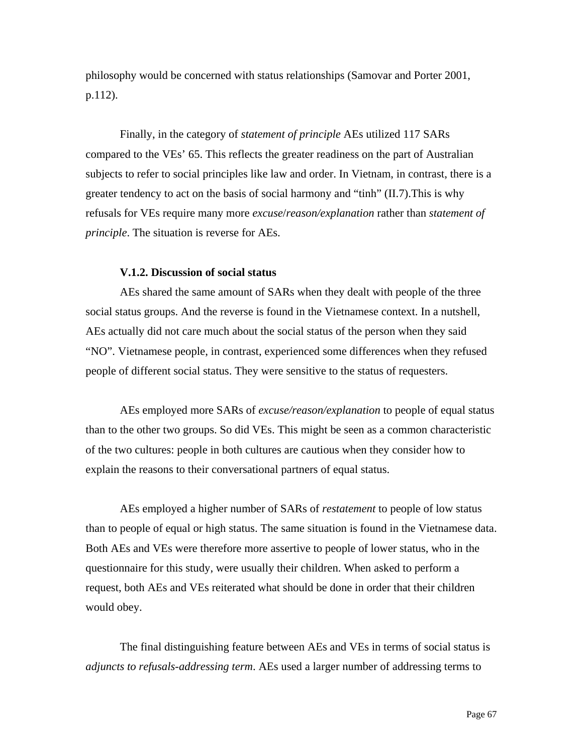philosophy would be concerned with status relationships (Samovar and Porter 2001, p.112).

Finally, in the category of *statement of principle* AEs utilized 117 SARs compared to the VEs' 65. This reflects the greater readiness on the part of Australian subjects to refer to social principles like law and order. In Vietnam, in contrast, there is a greater tendency to act on the basis of social harmony and "tinh" (II.7).This is why refusals for VEs require many more *excuse*/*reason/explanation* rather than *statement of principle*. The situation is reverse for AEs.

#### **V.1.2. Discussion of social status**

AEs shared the same amount of SARs when they dealt with people of the three social status groups. And the reverse is found in the Vietnamese context. In a nutshell, AEs actually did not care much about the social status of the person when they said "NO". Vietnamese people, in contrast, experienced some differences when they refused people of different social status. They were sensitive to the status of requesters.

AEs employed more SARs of *excuse/reason/explanation* to people of equal status than to the other two groups. So did VEs. This might be seen as a common characteristic of the two cultures: people in both cultures are cautious when they consider how to explain the reasons to their conversational partners of equal status.

AEs employed a higher number of SARs of *restatement* to people of low status than to people of equal or high status. The same situation is found in the Vietnamese data. Both AEs and VEs were therefore more assertive to people of lower status, who in the questionnaire for this study, were usually their children. When asked to perform a request, both AEs and VEs reiterated what should be done in order that their children would obey.

The final distinguishing feature between AEs and VEs in terms of social status is *adjuncts to refusals-addressing term*. AEs used a larger number of addressing terms to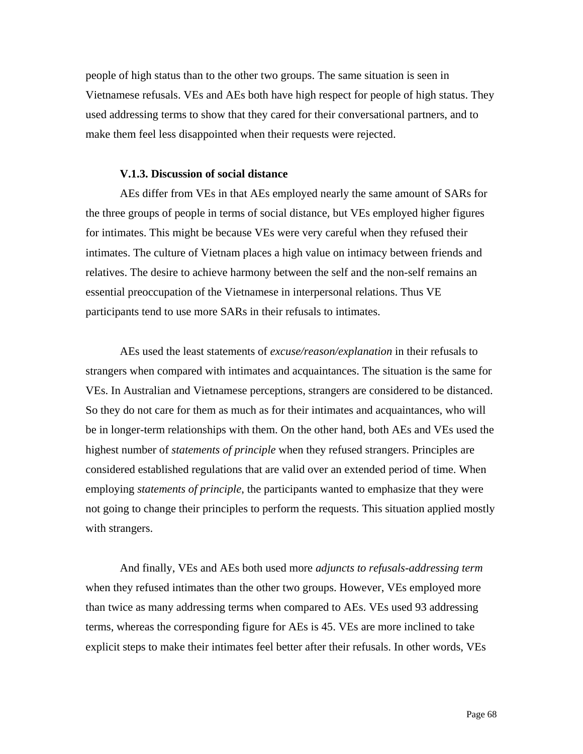people of high status than to the other two groups. The same situation is seen in Vietnamese refusals. VEs and AEs both have high respect for people of high status. They used addressing terms to show that they cared for their conversational partners, and to make them feel less disappointed when their requests were rejected.

#### **V.1.3. Discussion of social distance**

AEs differ from VEs in that AEs employed nearly the same amount of SARs for the three groups of people in terms of social distance, but VEs employed higher figures for intimates. This might be because VEs were very careful when they refused their intimates. The culture of Vietnam places a high value on intimacy between friends and relatives. The desire to achieve harmony between the self and the non-self remains an essential preoccupation of the Vietnamese in interpersonal relations. Thus VE participants tend to use more SARs in their refusals to intimates.

AEs used the least statements of *excuse/reason/explanation* in their refusals to strangers when compared with intimates and acquaintances. The situation is the same for VEs. In Australian and Vietnamese perceptions, strangers are considered to be distanced. So they do not care for them as much as for their intimates and acquaintances, who will be in longer-term relationships with them. On the other hand, both AEs and VEs used the highest number of *statements of principle* when they refused strangers. Principles are considered established regulations that are valid over an extended period of time. When employing *statements of principle*, the participants wanted to emphasize that they were not going to change their principles to perform the requests. This situation applied mostly with strangers.

And finally, VEs and AEs both used more *adjuncts to refusals-addressing term* when they refused intimates than the other two groups. However, VEs employed more than twice as many addressing terms when compared to AEs. VEs used 93 addressing terms, whereas the corresponding figure for AEs is 45. VEs are more inclined to take explicit steps to make their intimates feel better after their refusals. In other words, VEs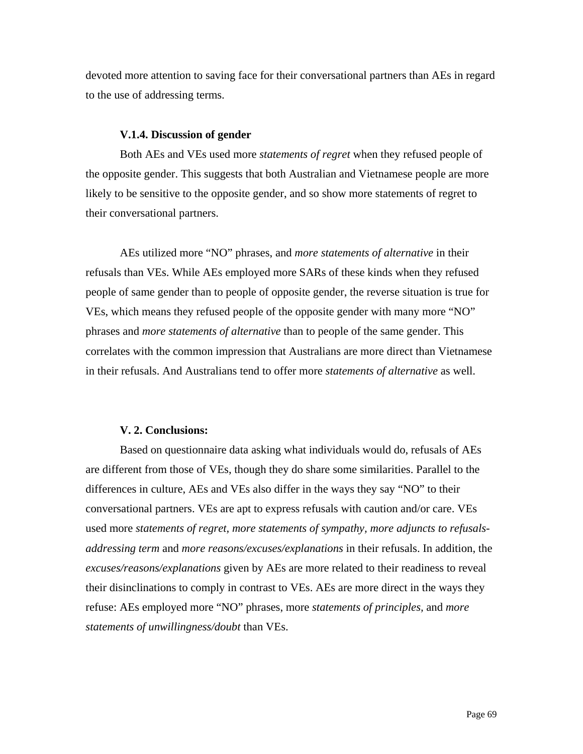devoted more attention to saving face for their conversational partners than AEs in regard to the use of addressing terms.

#### **V.1.4. Discussion of gender**

Both AEs and VEs used more *statements of regret* when they refused people of the opposite gender. This suggests that both Australian and Vietnamese people are more likely to be sensitive to the opposite gender, and so show more statements of regret to their conversational partners.

AEs utilized more "NO" phrases, and *more statements of alternative* in their refusals than VEs. While AEs employed more SARs of these kinds when they refused people of same gender than to people of opposite gender, the reverse situation is true for VEs, which means they refused people of the opposite gender with many more "NO" phrases and *more statements of alternative* than to people of the same gender. This correlates with the common impression that Australians are more direct than Vietnamese in their refusals. And Australians tend to offer more *statements of alternative* as well.

#### **V. 2. Conclusions:**

Based on questionnaire data asking what individuals would do, refusals of AEs are different from those of VEs, though they do share some similarities. Parallel to the differences in culture, AEs and VEs also differ in the ways they say "NO" to their conversational partners. VEs are apt to express refusals with caution and/or care. VEs used more *statements of regret, more statements of sympathy, more adjuncts to refusalsaddressing term* and *more reasons/excuses/explanations* in their refusals. In addition, the *excuses/reasons/explanations* given by AEs are more related to their readiness to reveal their disinclinations to comply in contrast to VEs. AEs are more direct in the ways they refuse: AEs employed more "NO" phrases, more *statements of principles,* and *more statements of unwillingness/doubt* than VEs.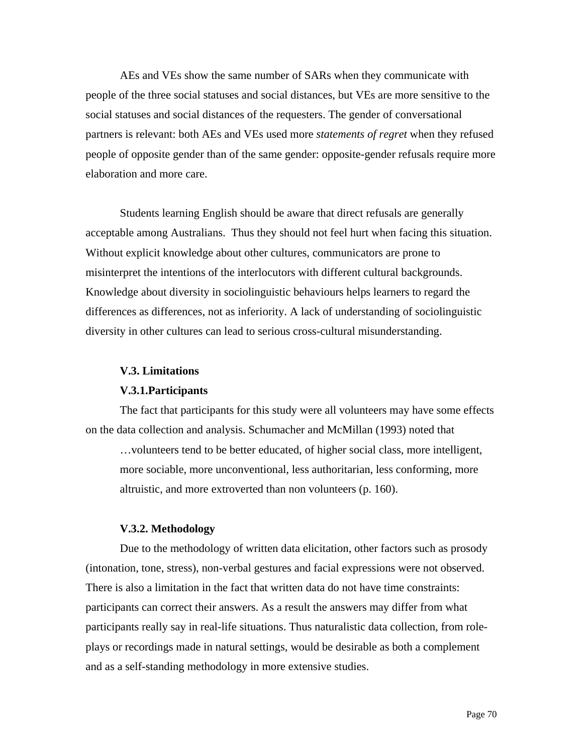AEs and VEs show the same number of SARs when they communicate with people of the three social statuses and social distances, but VEs are more sensitive to the social statuses and social distances of the requesters. The gender of conversational partners is relevant: both AEs and VEs used more *statements of regret* when they refused people of opposite gender than of the same gender: opposite-gender refusals require more elaboration and more care.

Students learning English should be aware that direct refusals are generally acceptable among Australians. Thus they should not feel hurt when facing this situation. Without explicit knowledge about other cultures, communicators are prone to misinterpret the intentions of the interlocutors with different cultural backgrounds. Knowledge about diversity in sociolinguistic behaviours helps learners to regard the differences as differences, not as inferiority. A lack of understanding of sociolinguistic diversity in other cultures can lead to serious cross-cultural misunderstanding.

#### **V.3. Limitations**

#### **V.3.1.Participants**

The fact that participants for this study were all volunteers may have some effects on the data collection and analysis. Schumacher and McMillan (1993) noted that

…volunteers tend to be better educated, of higher social class, more intelligent, more sociable, more unconventional, less authoritarian, less conforming, more altruistic, and more extroverted than non volunteers (p. 160).

#### **V.3.2. Methodology**

Due to the methodology of written data elicitation, other factors such as prosody (intonation, tone, stress), non-verbal gestures and facial expressions were not observed. There is also a limitation in the fact that written data do not have time constraints: participants can correct their answers. As a result the answers may differ from what participants really say in real-life situations. Thus naturalistic data collection, from roleplays or recordings made in natural settings, would be desirable as both a complement and as a self-standing methodology in more extensive studies.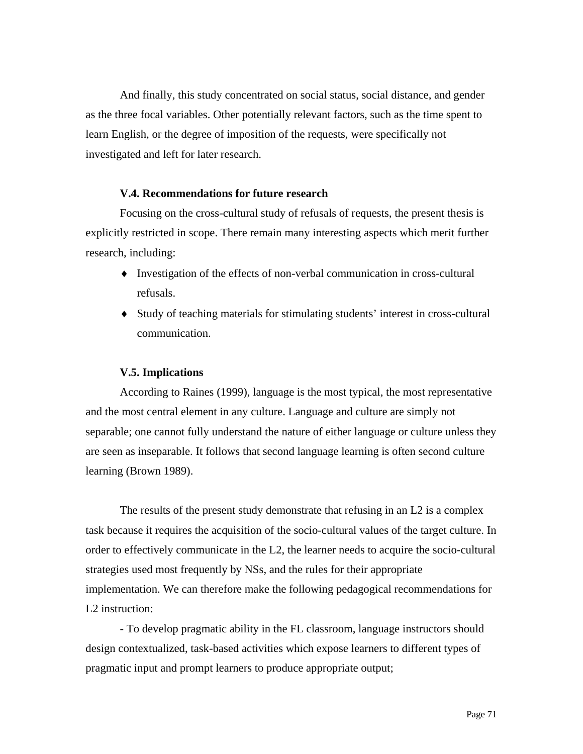And finally, this study concentrated on social status, social distance, and gender as the three focal variables. Other potentially relevant factors, such as the time spent to learn English, or the degree of imposition of the requests, were specifically not investigated and left for later research.

#### **V.4. Recommendations for future research**

Focusing on the cross-cultural study of refusals of requests, the present thesis is explicitly restricted in scope. There remain many interesting aspects which merit further research, including:

- ♦ Investigation of the effects of non-verbal communication in cross-cultural refusals.
- ♦ Study of teaching materials for stimulating students' interest in cross-cultural communication.

#### **V.5. Implications**

According to Raines (1999), language is the most typical, the most representative and the most central element in any culture. Language and culture are simply not separable; one cannot fully understand the nature of either language or culture unless they are seen as inseparable. It follows that second language learning is often second culture learning (Brown 1989).

The results of the present study demonstrate that refusing in an L2 is a complex task because it requires the acquisition of the socio-cultural values of the target culture. In order to effectively communicate in the L2, the learner needs to acquire the socio-cultural strategies used most frequently by NSs, and the rules for their appropriate implementation. We can therefore make the following pedagogical recommendations for L2 instruction:

- To develop pragmatic ability in the FL classroom, language instructors should design contextualized, task-based activities which expose learners to different types of pragmatic input and prompt learners to produce appropriate output;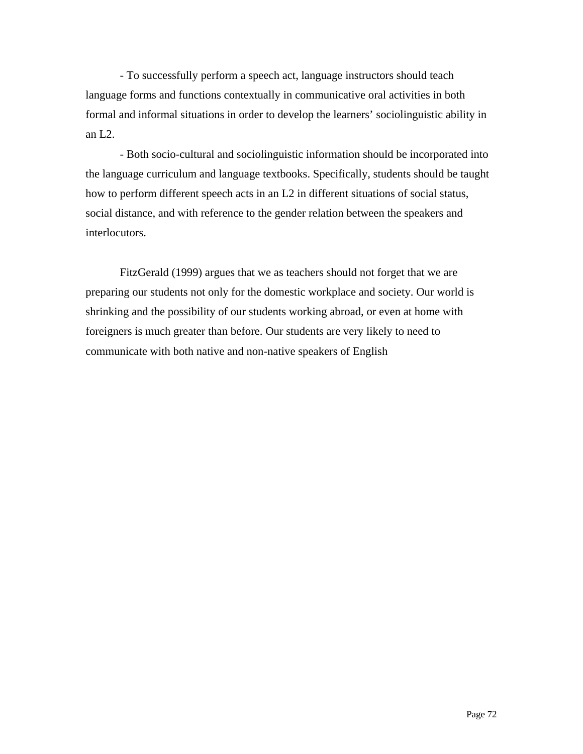- To successfully perform a speech act, language instructors should teach language forms and functions contextually in communicative oral activities in both formal and informal situations in order to develop the learners' sociolinguistic ability in an L2.

- Both socio-cultural and sociolinguistic information should be incorporated into the language curriculum and language textbooks. Specifically, students should be taught how to perform different speech acts in an L2 in different situations of social status, social distance, and with reference to the gender relation between the speakers and interlocutors.

FitzGerald (1999) argues that we as teachers should not forget that we are preparing our students not only for the domestic workplace and society. Our world is shrinking and the possibility of our students working abroad, or even at home with foreigners is much greater than before. Our students are very likely to need to communicate with both native and non-native speakers of English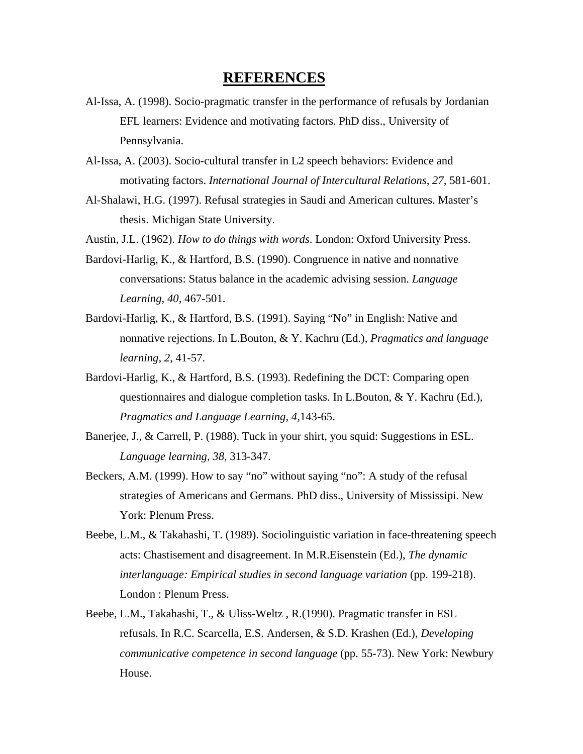# **REFERENCES**

- Al-Issa, A. (1998). Socio-pragmatic transfer in the performance of refusals by Jordanian EFL learners: Evidence and motivating factors. PhD diss., University of Pennsylvania.
- Al-Issa, A. (2003). Socio-cultural transfer in L2 speech behaviors: Evidence and motivating factors. *International Journal of Intercultural Relations, 27,* 581-601.
- Al-Shalawi, H.G. (1997). Refusal strategies in Saudi and American cultures. Master's thesis. Michigan State University.
- Austin, J.L. (1962). *How to do things with words*. London: Oxford University Press.
- Bardovi-Harlig, K., & Hartford, B.S. (1990). Congruence in native and nonnative conversations: Status balance in the academic advising session. *Language Learning, 40,* 467-501.
- Bardovi-Harlig, K., & Hartford, B.S. (1991). Saying "No" in English: Native and nonnative rejections. In L.Bouton, & Y. Kachru (Ed.), *Pragmatics and language learning, 2*, 41-57.
- Bardovi-Harlig, K., & Hartford, B.S. (1993). Redefining the DCT: Comparing open questionnaires and dialogue completion tasks. In L.Bouton, & Y. Kachru (Ed.), *Pragmatics and Language Learning, 4,*143-65.
- Banerjee, J., & Carrell, P. (1988). Tuck in your shirt, you squid: Suggestions in ESL. *Language learning, 38*, 313-347.
- Beckers, A.M. (1999). How to say "no" without saying "no": A study of the refusal strategies of Americans and Germans. PhD diss., University of Mississipi. New York: Plenum Press.
- Beebe, L.M., & Takahashi, T. (1989). Sociolinguistic variation in face-threatening speech acts: Chastisement and disagreement. In M.R.Eisenstein (Ed.), *The dynamic interlanguage: Empirical studies in second language variation* (pp. 199-218). London : Plenum Press.
- Beebe, L.M., Takahashi, T., & Uliss-Weltz , R.(1990). Pragmatic transfer in ESL refusals. In R.C. Scarcella, E.S. Andersen, & S.D. Krashen (Ed.), *Developing communicative competence in second language* (pp. 55-73). New York: Newbury House.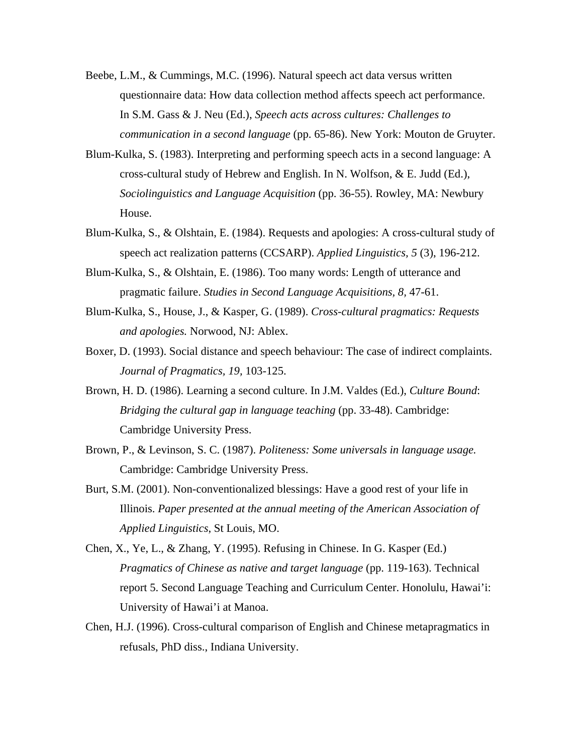- Beebe, L.M., & Cummings, M.C. (1996). Natural speech act data versus written questionnaire data: How data collection method affects speech act performance. In S.M. Gass & J. Neu (Ed.), *Speech acts across cultures: Challenges to communication in a second language* (pp. 65-86). New York: Mouton de Gruyter.
- Blum-Kulka, S. (1983). Interpreting and performing speech acts in a second language: A cross-cultural study of Hebrew and English. In N. Wolfson, & E. Judd (Ed.), *Sociolinguistics and Language Acquisition* (pp. 36-55). Rowley, MA: Newbury House.
- Blum-Kulka, S., & Olshtain, E. (1984). Requests and apologies: A cross-cultural study of speech act realization patterns (CCSARP). *Applied Linguistics, 5* (3), 196-212.
- Blum-Kulka, S., & Olshtain, E. (1986). Too many words: Length of utterance and pragmatic failure. *Studies in Second Language Acquisitions, 8,* 47-61.
- Blum-Kulka, S., House, J., & Kasper, G. (1989). *Cross-cultural pragmatics: Requests and apologies.* Norwood, NJ: Ablex.
- Boxer, D. (1993). Social distance and speech behaviour: The case of indirect complaints. *Journal of Pragmatics, 19,* 103-125.
- Brown, H. D. (1986). Learning a second culture. In J.M. Valdes (Ed.), *Culture Bound*: *Bridging the cultural gap in language teaching (pp. 33-48). Cambridge:* Cambridge University Press.
- Brown, P., & Levinson, S. C. (1987). *Politeness: Some universals in language usage.* Cambridge: Cambridge University Press.
- Burt, S.M. (2001). Non-conventionalized blessings: Have a good rest of your life in Illinois. *Paper presented at the annual meeting of the American Association of Applied Linguistics*, St Louis, MO.
- Chen, X., Ye, L., & Zhang, Y. (1995). Refusing in Chinese. In G. Kasper (Ed.) *Pragmatics of Chinese as native and target language* (pp. 119-163). Technical report 5. Second Language Teaching and Curriculum Center. Honolulu, Hawai'i: University of Hawai'i at Manoa.
- Chen, H.J. (1996). Cross-cultural comparison of English and Chinese metapragmatics in refusals, PhD diss., Indiana University.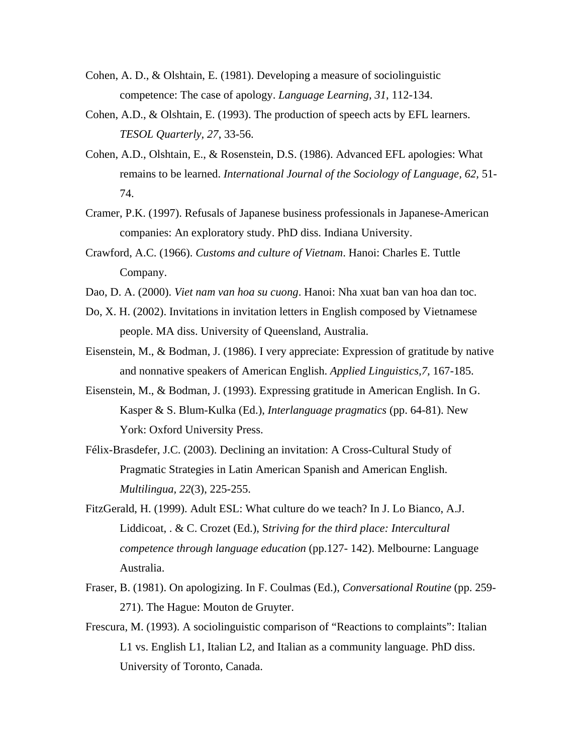- Cohen, A. D., & Olshtain, E. (1981). Developing a measure of sociolinguistic competence: The case of apology. *Language Learning, 31*, 112-134.
- Cohen, A.D., & Olshtain, E. (1993). The production of speech acts by EFL learners. *TESOL Quarterly, 27*, 33-56.
- Cohen, A.D., Olshtain, E., & Rosenstein, D.S. (1986). Advanced EFL apologies: What remains to be learned. *International Journal of the Sociology of Language, 62,* 51- 74.
- Cramer, P.K. (1997). Refusals of Japanese business professionals in Japanese-American companies: An exploratory study. PhD diss. Indiana University.
- Crawford, A.C. (1966). *Customs and culture of Vietnam*. Hanoi: Charles E. Tuttle Company.
- Dao, D. A. (2000). *Viet nam van hoa su cuong*. Hanoi: Nha xuat ban van hoa dan toc.
- Do, X. H. (2002). Invitations in invitation letters in English composed by Vietnamese people. MA diss. University of Queensland, Australia.
- Eisenstein, M., & Bodman, J. (1986). I very appreciate: Expression of gratitude by native and nonnative speakers of American English. *Applied Linguistics,7,* 167-185.
- Eisenstein, M., & Bodman, J. (1993). Expressing gratitude in American English. In G. Kasper & S. Blum-Kulka (Ed.), *Interlanguage pragmatics* (pp. 64-81). New York: Oxford University Press.
- Félix-Brasdefer, J.C. (2003). Declining an invitation: A Cross-Cultural Study of Pragmatic Strategies in Latin American Spanish and American English. *Multilingua, 22*(3), 225-255.
- FitzGerald, H. (1999). Adult ESL: What culture do we teach? In J. Lo Bianco, A.J. Liddicoat, . & C. Crozet (Ed.), S*triving for the third place: Intercultural competence through language education* (pp.127- 142). Melbourne: Language Australia.
- Fraser, B. (1981). On apologizing. In F. Coulmas (Ed.), *Conversational Routine* (pp. 259- 271). The Hague: Mouton de Gruyter.
- Frescura, M. (1993). A sociolinguistic comparison of "Reactions to complaints": Italian L1 vs. English L1, Italian L2, and Italian as a community language. PhD diss. University of Toronto, Canada.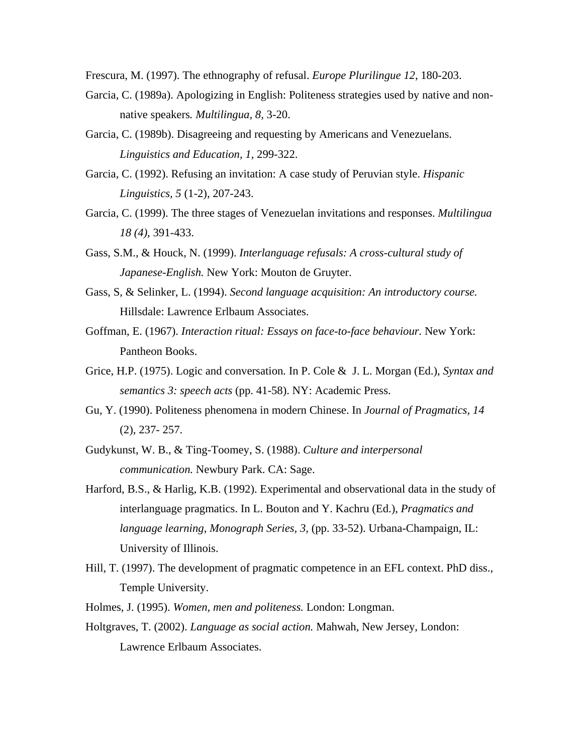Frescura, M. (1997). The ethnography of refusal. *Europe Plurilingue 12*, 180-203.

- Garcia, C. (1989a). Apologizing in English: Politeness strategies used by native and nonnative speakers*. Multilingua, 8,* 3-20.
- Garcia, C. (1989b). Disagreeing and requesting by Americans and Venezuelans. *Linguistics and Education, 1,* 299-322.
- Garcia, C. (1992). Refusing an invitation: A case study of Peruvian style. *Hispanic Linguistics, 5* (1-2), 207-243.
- Garcia, C. (1999). The three stages of Venezuelan invitations and responses. *Multilingua 18 (4),* 391-433.
- Gass, S.M., & Houck, N. (1999). *Interlanguage refusals: A cross-cultural study of Japanese-English.* New York: Mouton de Gruyter.
- Gass, S, & Selinker, L. (1994). *Second language acquisition: An introductory course.*  Hillsdale: Lawrence Erlbaum Associates.
- Goffman, E. (1967). *Interaction ritual: Essays on face-to-face behaviour.* New York: Pantheon Books.
- Grice, H.P. (1975). Logic and conversation*.* In P. Cole & J. L. Morgan (Ed.), *Syntax and semantics 3: speech acts* (pp. 41-58). NY: Academic Press.
- Gu, Y. (1990). Politeness phenomena in modern Chinese. In *Journal of Pragmatics, 14*  (2), 237- 257.
- Gudykunst, W. B., & Ting-Toomey, S. (1988). *Culture and interpersonal communication.* Newbury Park. CA: Sage.
- Harford, B.S., & Harlig, K.B. (1992). Experimental and observational data in the study of interlanguage pragmatics. In L. Bouton and Y. Kachru (Ed.), *Pragmatics and language learning*, *Monograph Series, 3,* (pp. 33-52). Urbana-Champaign, IL: University of Illinois.
- Hill, T. (1997). The development of pragmatic competence in an EFL context. PhD diss., Temple University.
- Holmes, J. (1995). *Women, men and politeness.* London: Longman.
- Holtgraves, T. (2002). *Language as social action.* Mahwah, New Jersey, London: Lawrence Erlbaum Associates.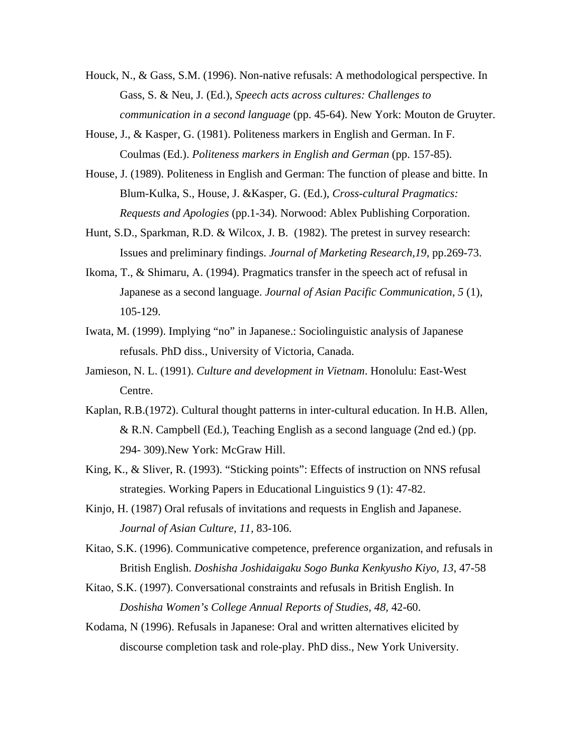- Houck, N., & Gass, S.M. (1996). Non-native refusals: A methodological perspective. In Gass, S. & Neu, J. (Ed.), *Speech acts across cultures: Challenges to communication in a second language* (pp. 45-64). New York: Mouton de Gruyter.
- House, J., & Kasper, G. (1981). Politeness markers in English and German. In F. Coulmas (Ed.). *Politeness markers in English and German* (pp. 157-85).
- House, J. (1989). Politeness in English and German: The function of please and bitte. In Blum-Kulka, S., House, J. &Kasper, G. (Ed.), *Cross-cultural Pragmatics: Requests and Apologies* (pp.1-34). Norwood: Ablex Publishing Corporation.
- Hunt, S.D., Sparkman, R.D. & Wilcox, J. B. (1982). The pretest in survey research: Issues and preliminary findings. *Journal of Marketing Research,19*, pp.269-73.
- Ikoma, T., & Shimaru, A. (1994). Pragmatics transfer in the speech act of refusal in Japanese as a second language. *Journal of Asian Pacific Communication, 5* (1), 105-129.
- Iwata, M. (1999). Implying "no" in Japanese.: Sociolinguistic analysis of Japanese refusals. PhD diss., University of Victoria, Canada.
- Jamieson, N. L. (1991). *Culture and development in Vietnam*. Honolulu: East-West Centre.
- Kaplan, R.B.(1972). Cultural thought patterns in inter-cultural education. In H.B. Allen, & R.N. Campbell (Ed.), Teaching English as a second language (2nd ed.) (pp. 294- 309).New York: McGraw Hill.
- King, K., & Sliver, R. (1993). "Sticking points": Effects of instruction on NNS refusal strategies. Working Papers in Educational Linguistics 9 (1): 47-82.
- Kinjo, H. (1987) Oral refusals of invitations and requests in English and Japanese. *Journal of Asian Culture, 11,* 83-106.
- Kitao, S.K. (1996). Communicative competence, preference organization, and refusals in British English. *Doshisha Joshidaigaku Sogo Bunka Kenkyusho Kiyo, 13,* 47-58
- Kitao, S.K. (1997). Conversational constraints and refusals in British English. In *Doshisha Women's College Annual Reports of Studies, 48,* 42-60.
- Kodama, N (1996). Refusals in Japanese: Oral and written alternatives elicited by discourse completion task and role-play. PhD diss., New York University.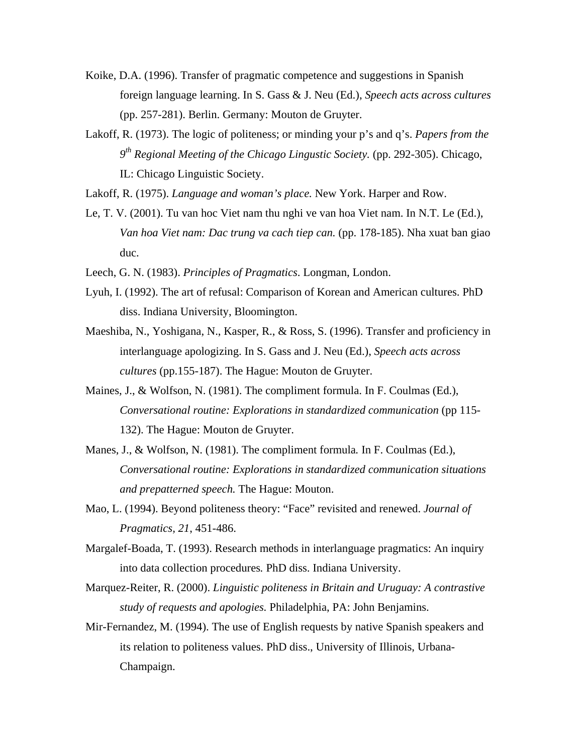- Koike, D.A. (1996). Transfer of pragmatic competence and suggestions in Spanish foreign language learning. In S. Gass & J. Neu (Ed.), *Speech acts across cultures*  (pp. 257-281). Berlin. Germany: Mouton de Gruyter.
- Lakoff, R. (1973). The logic of politeness; or minding your p's and q's. *Papers from the 9th Regional Meeting of the Chicago Lingustic Society.* (pp. 292-305). Chicago, IL: Chicago Linguistic Society.
- Lakoff, R. (1975). *Language and woman's place.* New York. Harper and Row.
- Le, T. V. (2001). Tu van hoc Viet nam thu nghi ve van hoa Viet nam. In N.T. Le (Ed.), *Van hoa Viet nam: Dac trung va cach tiep can.* (pp. 178-185). Nha xuat ban giao duc.
- Leech, G. N. (1983). *Principles of Pragmatics*. Longman, London.
- Lyuh, I. (1992). The art of refusal: Comparison of Korean and American cultures. PhD diss. Indiana University, Bloomington.
- Maeshiba, N., Yoshigana, N., Kasper, R., & Ross, S. (1996). Transfer and proficiency in interlanguage apologizing. In S. Gass and J. Neu (Ed.), *Speech acts across cultures* (pp.155-187). The Hague: Mouton de Gruyter.
- Maines, J., & Wolfson, N. (1981). The compliment formula. In F. Coulmas (Ed.), *Conversational routine: Explorations in standardized communication* (pp 115- 132). The Hague: Mouton de Gruyter.
- Manes, J., & Wolfson, N. (1981). The compliment formula*.* In F. Coulmas (Ed.), *Conversational routine: Explorations in standardized communication situations and prepatterned speech.* The Hague: Mouton.
- Mao, L. (1994). Beyond politeness theory: "Face" revisited and renewed. *Journal of Pragmatics, 21*, 451-486.
- Margalef-Boada, T. (1993). Research methods in interlanguage pragmatics: An inquiry into data collection procedures*.* PhD diss. Indiana University.
- Marquez-Reiter, R. (2000). *Linguistic politeness in Britain and Uruguay: A contrastive study of requests and apologies.* Philadelphia, PA: John Benjamins.
- Mir-Fernandez, M. (1994). The use of English requests by native Spanish speakers and its relation to politeness values. PhD diss., University of Illinois, Urbana-Champaign.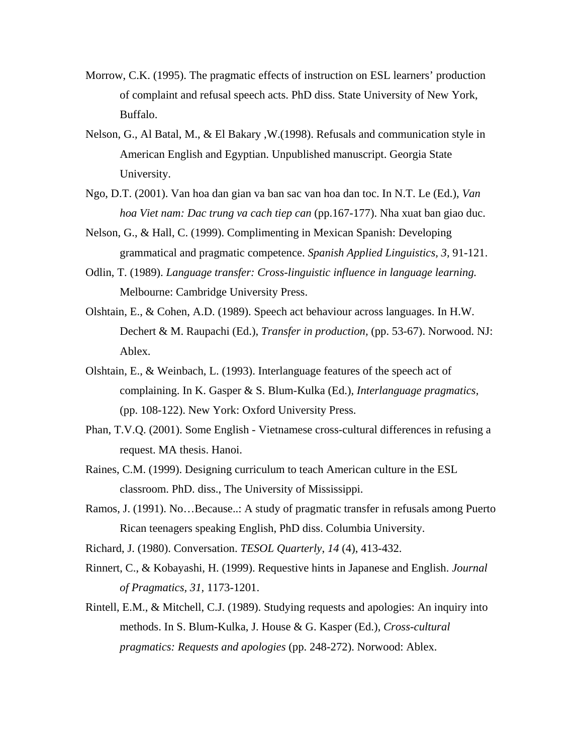- Morrow, C.K. (1995). The pragmatic effects of instruction on ESL learners' production of complaint and refusal speech acts. PhD diss. State University of New York, Buffalo.
- Nelson, G., Al Batal, M., & El Bakary ,W.(1998). Refusals and communication style in American English and Egyptian. Unpublished manuscript. Georgia State University.
- Ngo, D.T. (2001). Van hoa dan gian va ban sac van hoa dan toc. In N.T. Le (Ed.), *Van hoa Viet nam: Dac trung va cach tiep can* (pp.167-177). Nha xuat ban giao duc.
- Nelson, G., & Hall, C. (1999). Complimenting in Mexican Spanish: Developing grammatical and pragmatic competence. *Spanish Applied Linguistics, 3,* 91-121.
- Odlin, T. (1989). *Language transfer: Cross-linguistic influence in language learning.* Melbourne: Cambridge University Press.
- Olshtain, E., & Cohen, A.D. (1989). Speech act behaviour across languages. In H.W. Dechert & M. Raupachi (Ed.), *Transfer in production,* (pp. 53-67). Norwood. NJ: Ablex.
- Olshtain, E., & Weinbach, L. (1993). Interlanguage features of the speech act of complaining. In K. Gasper & S. Blum-Kulka (Ed.), *Interlanguage pragmatics,*  (pp. 108-122). New York: Oxford University Press.
- Phan, T.V.Q. (2001). Some English Vietnamese cross-cultural differences in refusing a request. MA thesis. Hanoi.
- Raines, C.M. (1999). Designing curriculum to teach American culture in the ESL classroom. PhD. diss., The University of Mississippi.
- Ramos, J. (1991). No…Because..: A study of pragmatic transfer in refusals among Puerto Rican teenagers speaking English, PhD diss. Columbia University.
- Richard, J. (1980). Conversation. *TESOL Quarterly*, *14* (4), 413-432.
- Rinnert, C., & Kobayashi, H. (1999). Requestive hints in Japanese and English. *Journal of Pragmatics, 31,* 1173-1201.
- Rintell, E.M., & Mitchell, C.J. (1989). Studying requests and apologies: An inquiry into methods. In S. Blum-Kulka, J. House & G. Kasper (Ed.), *Cross-cultural pragmatics: Requests and apologies* (pp. 248-272). Norwood: Ablex.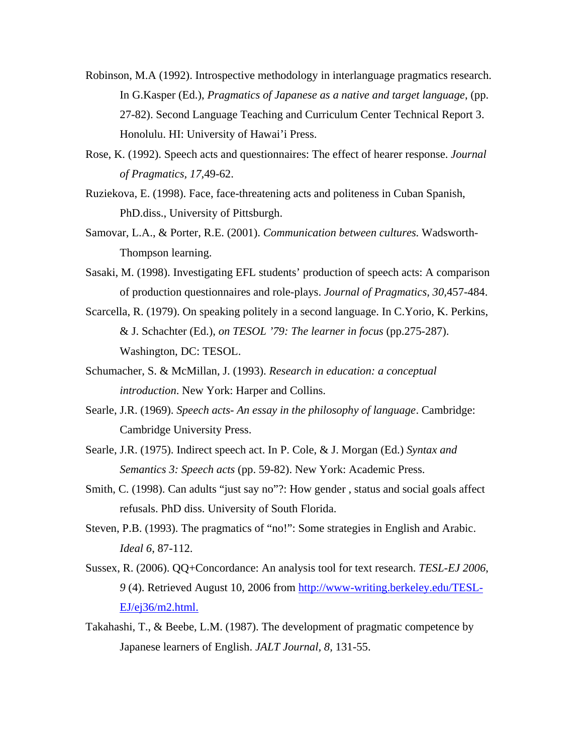- Robinson, M.A (1992). Introspective methodology in interlanguage pragmatics research. In G.Kasper (Ed.), *Pragmatics of Japanese as a native and target language*, (pp. 27-82). Second Language Teaching and Curriculum Center Technical Report 3. Honolulu. HI: University of Hawai'i Press.
- Rose, K. (1992). Speech acts and questionnaires: The effect of hearer response. *Journal of Pragmatics, 17,*49-62.
- Ruziekova, E. (1998). Face, face-threatening acts and politeness in Cuban Spanish, PhD.diss., University of Pittsburgh.
- Samovar, L.A., & Porter, R.E. (2001). *Communication between cultures.* Wadsworth-Thompson learning.
- Sasaki, M. (1998). Investigating EFL students' production of speech acts: A comparison of production questionnaires and role-plays. *Journal of Pragmatics, 30,*457-484.
- Scarcella, R. (1979). On speaking politely in a second language. In C.Yorio, K. Perkins, & J. Schachter (Ed.), *on TESOL '79: The learner in focus* (pp.275-287). Washington, DC: TESOL.
- Schumacher, S. & McMillan, J. (1993). *Research in education: a conceptual introduction*. New York: Harper and Collins.
- Searle, J.R. (1969). *Speech acts- An essay in the philosophy of language*. Cambridge: Cambridge University Press.
- Searle, J.R. (1975). Indirect speech act. In P. Cole, & J. Morgan (Ed.) *Syntax and Semantics 3: Speech acts* (pp. 59-82). New York: Academic Press.
- Smith, C. (1998). Can adults "just say no"?: How gender , status and social goals affect refusals. PhD diss. University of South Florida.
- Steven, P.B. (1993). The pragmatics of "no!": Some strategies in English and Arabic. *Ideal 6*, 87-112.
- Sussex, R. (2006). QQ+Concordance: An analysis tool for text research. *TESL-EJ 2006*, *9* (4). Retrieved August 10, 2006 from [http://www-writing.berkeley.edu/TESL-](http://www-writing.berkeley.edu/TESL-EJ/ej36/m2.html.)[EJ/ej36/m2.html.](http://www-writing.berkeley.edu/TESL-EJ/ej36/m2.html.)
- Takahashi, T., & Beebe, L.M. (1987). The development of pragmatic competence by Japanese learners of English. *JALT Journal, 8,* 131-55.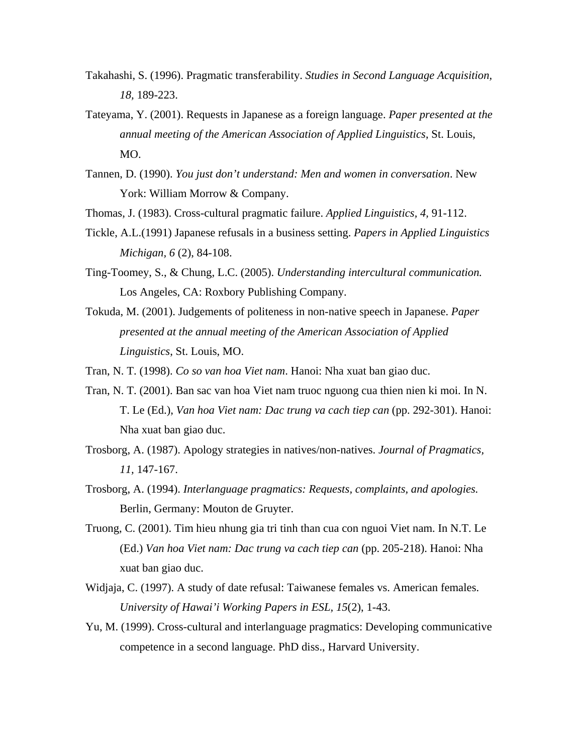- Takahashi, S. (1996). Pragmatic transferability. *Studies in Second Language Acquisition, 18,* 189-223.
- Tateyama, Y. (2001). Requests in Japanese as a foreign language. *Paper presented at the annual meeting of the American Association of Applied Linguistics*, St. Louis, MO.
- Tannen, D. (1990). *You just don't understand: Men and women in conversation*. New York: William Morrow & Company.
- Thomas, J. (1983). Cross-cultural pragmatic failure. *Applied Linguistics, 4,* 91-112.
- Tickle, A.L.(1991) Japanese refusals in a business setting. *Papers in Applied Linguistics Michigan, 6* (2), 84-108.
- Ting-Toomey, S., & Chung, L.C. (2005). *Understanding intercultural communication.*  Los Angeles, CA: Roxbory Publishing Company.
- Tokuda, M. (2001). Judgements of politeness in non-native speech in Japanese. *Paper presented at the annual meeting of the American Association of Applied Linguistics*, St. Louis, MO.

Tran, N. T. (1998). *Co so van hoa Viet nam*. Hanoi: Nha xuat ban giao duc.

- Tran, N. T. (2001). Ban sac van hoa Viet nam truoc nguong cua thien nien ki moi. In N. T. Le (Ed.), *Van hoa Viet nam: Dac trung va cach tiep can* (pp. 292-301). Hanoi: Nha xuat ban giao duc.
- Trosborg, A. (1987). Apology strategies in natives/non-natives. *Journal of Pragmatics, 11,* 147-167.
- Trosborg, A. (1994). *Interlanguage pragmatics: Requests, complaints, and apologies.*  Berlin, Germany: Mouton de Gruyter.
- Truong, C. (2001). Tim hieu nhung gia tri tinh than cua con nguoi Viet nam. In N.T. Le (Ed.) *Van hoa Viet nam: Dac trung va cach tiep can* (pp. 205-218). Hanoi: Nha xuat ban giao duc.
- Widjaja, C. (1997). A study of date refusal: Taiwanese females vs. American females. *University of Hawai'i Working Papers in ESL, 15*(2), 1-43.
- Yu, M. (1999). Cross-cultural and interlanguage pragmatics: Developing communicative competence in a second language. PhD diss., Harvard University.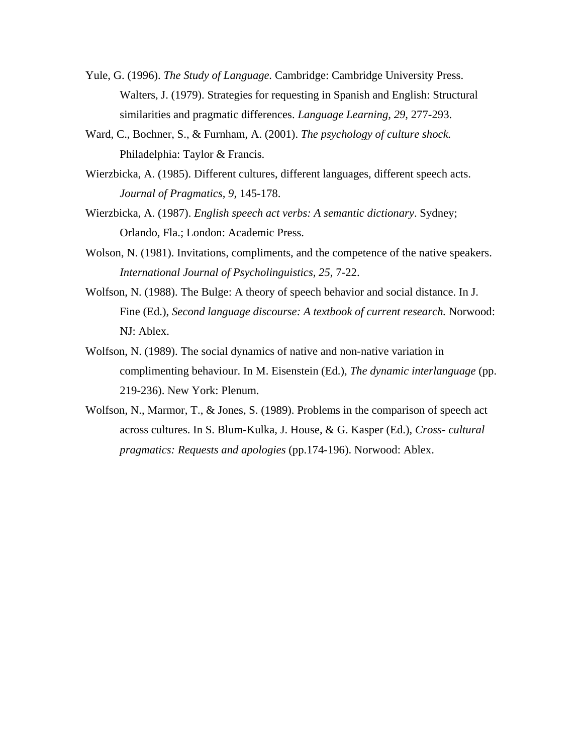- Yule, G. (1996). *The Study of Language.* Cambridge: Cambridge University Press. Walters, J. (1979). Strategies for requesting in Spanish and English: Structural similarities and pragmatic differences. *Language Learning, 29,* 277-293.
- Ward, C., Bochner, S., & Furnham, A. (2001). *The psychology of culture shock.* Philadelphia: Taylor & Francis.
- Wierzbicka, A. (1985). Different cultures, different languages, different speech acts. *Journal of Pragmatics, 9,* 145-178.
- Wierzbicka, A. (1987). *English speech act verbs: A semantic dictionary*. Sydney; Orlando, Fla.; London: Academic Press.
- Wolson, N. (1981). Invitations, compliments, and the competence of the native speakers. *International Journal of Psycholinguistics, 25,* 7-22.
- Wolfson, N. (1988). The Bulge: A theory of speech behavior and social distance. In J. Fine (Ed.), *Second language discourse: A textbook of current research.* Norwood: NJ: Ablex.
- Wolfson, N. (1989). The social dynamics of native and non-native variation in complimenting behaviour. In M. Eisenstein (Ed.), *The dynamic interlanguage* (pp. 219-236). New York: Plenum.
- Wolfson, N., Marmor, T., & Jones, S. (1989). Problems in the comparison of speech act across cultures. In S. Blum-Kulka, J. House, & G. Kasper (Ed.), *Cross- cultural pragmatics: Requests and apologies* (pp.174-196). Norwood: Ablex.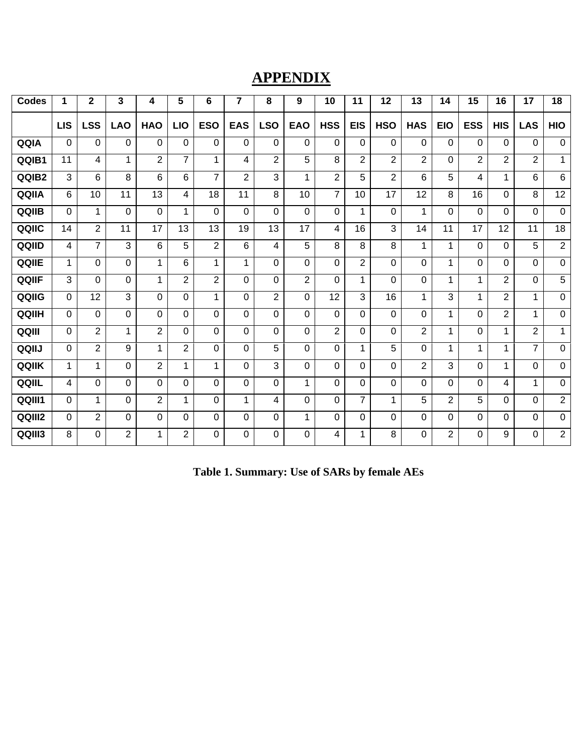# **APPENDIX**

| <b>Codes</b> | 1          | $\mathbf 2$    | 3              | 4              | 5              | 6              | $\overline{\mathbf{7}}$ | 8              | 9              | 10             | 11             | 12             | 13             | 14             | 15             | 16             | 17             | 18             |
|--------------|------------|----------------|----------------|----------------|----------------|----------------|-------------------------|----------------|----------------|----------------|----------------|----------------|----------------|----------------|----------------|----------------|----------------|----------------|
|              | <b>LIS</b> | <b>LSS</b>     | <b>LAO</b>     | <b>HAO</b>     | <b>LIO</b>     | <b>ESO</b>     | <b>EAS</b>              | <b>LSO</b>     | <b>EAO</b>     | <b>HSS</b>     | <b>EIS</b>     | <b>HSO</b>     | <b>HAS</b>     | <b>EIO</b>     | <b>ESS</b>     | <b>HIS</b>     | <b>LAS</b>     | <b>HIO</b>     |
| QQIA         | $\Omega$   | $\Omega$       | $\Omega$       | $\Omega$       | $\Omega$       | $\Omega$       | $\Omega$                | $\Omega$       | $\Omega$       | 0              | $\Omega$       | $\mathbf 0$    | $\mathbf 0$    | $\Omega$       | $\Omega$       | 0              | $\mathbf 0$    | $\mathbf 0$    |
| QQIB1        | 11         | 4              | 1              | 2              | $\overline{7}$ | 1              | 4                       | $\overline{2}$ | 5              | 8              | $\overline{2}$ | $\overline{2}$ | $\overline{2}$ | $\Omega$       | $\overline{2}$ | $\overline{2}$ | 2              | $\mathbf{1}$   |
| QQIB2        | 3          | 6              | 8              | 6              | 6              | $\overline{7}$ | $\overline{2}$          | 3              | 1              | $\overline{2}$ | 5              | $\overline{2}$ | 6              | 5              | 4              | $\mathbf{1}$   | 6              | 6              |
| QQIIA        | 6          | 10             | 11             | 13             | 4              | 18             | 11                      | 8              | 10             | $\overline{7}$ | 10             | 17             | 12             | 8              | 16             | $\mathbf 0$    | 8              | 12             |
| QQIIB        | $\Omega$   | 1              | $\Omega$       | $\Omega$       | 1              | $\Omega$       | $\Omega$                | $\Omega$       | $\Omega$       | 0              | 1              | $\mathbf 0$    | 1              | $\Omega$       | $\Omega$       | $\mathbf 0$    | $\mathbf 0$    | $\mathbf 0$    |
| QQIIC        | 14         | 2              | 11             | 17             | 13             | 13             | 19                      | 13             | 17             | 4              | 16             | 3              | 14             | 11             | 17             | 12             | 11             | 18             |
| QQIID        | 4          | $\overline{7}$ | 3              | 6              | 5              | $\overline{2}$ | 6                       | 4              | 5              | 8              | 8              | 8              | 1              | 1              | $\Omega$       | $\mathbf 0$    | 5              | $\overline{2}$ |
| QQIIE        | 1          | $\Omega$       | $\Omega$       | 1              | 6              | 1              | 1                       | $\Omega$       | $\Omega$       | $\Omega$       | $\overline{2}$ | $\Omega$       | $\Omega$       | 1              | $\Omega$       | $\mathbf 0$    | $\Omega$       | $\mathbf 0$    |
| QQIIF        | 3          | $\Omega$       | $\Omega$       | 1              | $\overline{2}$ | $\overline{2}$ | $\Omega$                | $\Omega$       | $\overline{2}$ | $\Omega$       | 1              | $\Omega$       | $\Omega$       | 1              | 1              | $\overline{2}$ | $\mathbf 0$    | 5              |
| QQIIG        | 0          | 12             | 3              | $\Omega$       | $\Omega$       | 1              | $\Omega$                | $\overline{2}$ | $\Omega$       | 12             | 3              | 16             | 1.             | 3              | 1              | $\overline{2}$ | $\mathbf{1}$   | $\Omega$       |
| QQIIH        | $\Omega$   | $\Omega$       | $\Omega$       | $\Omega$       | $\Omega$       | $\Omega$       | $\Omega$                | $\Omega$       | $\Omega$       | $\Omega$       | $\Omega$       | $\Omega$       | 0              | 1              | $\Omega$       | $\overline{2}$ | $\mathbf 1$    | $\Omega$       |
| QQIII        | $\Omega$   | $\overline{2}$ | 1              | $\overline{2}$ | $\Omega$       | $\Omega$       | $\Omega$                | $\Omega$       | $\Omega$       | $\overline{2}$ | 0              | $\Omega$       | $\overline{2}$ | 1              | $\Omega$       | $\mathbf{1}$   | 2              | 1              |
| QQIIJ        | 0          | 2              | 9              | 1              | $\overline{2}$ | $\Omega$       | $\Omega$                | 5              | $\Omega$       | $\Omega$       | 1              | 5              | $\Omega$       | 1              | $\mathbf{1}$   | 1              | $\overline{7}$ | $\mathbf 0$    |
| QQIIK        | 1          | 1              | $\Omega$       | $\overline{2}$ | $\mathbf{1}$   | 1              | $\Omega$                | 3              | $\Omega$       | $\Omega$       | 0              | $\Omega$       | $\overline{2}$ | 3              | $\Omega$       | $\mathbf 1$    | $\Omega$       | $\Omega$       |
| QQIIL        | 4          | $\Omega$       | $\Omega$       | $\Omega$       | $\Omega$       | $\Omega$       | $\Omega$                | $\Omega$       | 1              | $\Omega$       | 0              | $\Omega$       | 0              | $\Omega$       | $\Omega$       | $\overline{4}$ | 1              | $\mathbf 0$    |
| QQIII1       | 0          | 1              | $\Omega$       | $\overline{2}$ | 1              | $\Omega$       | 1                       | 4              | $\Omega$       | 0              | $\overline{7}$ | 1              | 5              | $\overline{2}$ | 5              | $\mathbf 0$    | $\mathbf 0$    | $\overline{2}$ |
| QQIII2       | 0          | $\overline{2}$ | $\Omega$       | $\Omega$       | $\Omega$       | $\Omega$       | $\Omega$                | $\Omega$       | $\mathbf 1$    | 0              | 0              | $\Omega$       | $\mathbf 0$    | $\Omega$       | $\Omega$       | $\mathbf 0$    | $\mathbf 0$    | $\mathbf 0$    |
| QQIII3       | 8          | $\Omega$       | $\overline{2}$ | 1              | $\overline{2}$ | $\Omega$       | $\Omega$                | $\Omega$       | $\Omega$       | 4              | 1              | 8              | 0              | $\overline{2}$ | $\mathbf 0$    | 9              | $\mathbf 0$    | $\overline{2}$ |

| Table 1. Summary: Use of SARs by female AEs |  |  |
|---------------------------------------------|--|--|
|                                             |  |  |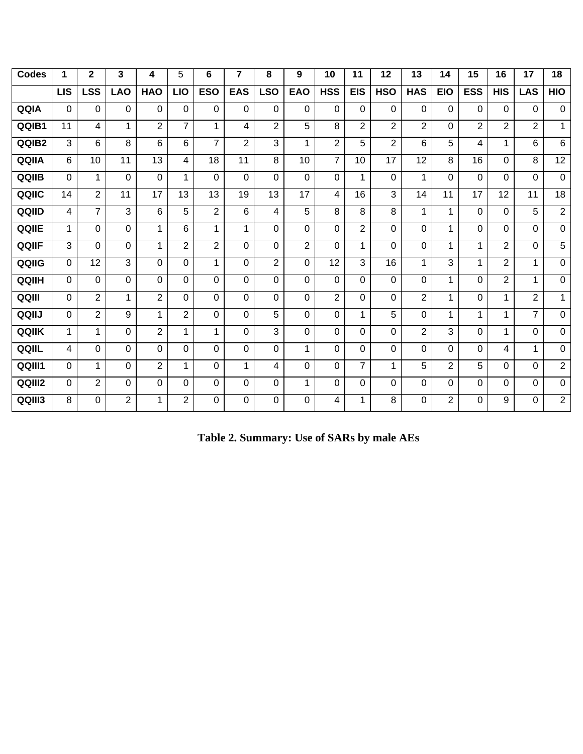| <b>Codes</b> | 1          | 2              | 3              | 4              | 5              | 6              | 7          | 8              | 9              | 10             | 11             | 12             | 13             | 14             | 15         | 16             | 17             | 18             |
|--------------|------------|----------------|----------------|----------------|----------------|----------------|------------|----------------|----------------|----------------|----------------|----------------|----------------|----------------|------------|----------------|----------------|----------------|
|              | <b>LIS</b> | LSS            | <b>LAO</b>     | <b>HAO</b>     | <b>LIO</b>     | <b>ESO</b>     | <b>EAS</b> | <b>LSO</b>     | <b>EAO</b>     | <b>HSS</b>     | <b>EIS</b>     | <b>HSO</b>     | <b>HAS</b>     | <b>EIO</b>     | <b>ESS</b> | <b>HIS</b>     | <b>LAS</b>     | HIO            |
| QQIA         | $\Omega$   | $\Omega$       | $\Omega$       | $\Omega$       | 0              | $\Omega$       | $\Omega$   | $\Omega$       | $\Omega$       | 0              | $\Omega$       | $\mathbf 0$    | $\mathbf 0$    | $\Omega$       | 0          | $\mathbf 0$    | 0              | $\mathbf 0$    |
| QQIB1        | 11         | 4              | 1              | 2              | $\overline{7}$ | 1              | 4          | $\overline{2}$ | 5              | 8              | $\overline{2}$ | $\overline{2}$ | $\overline{2}$ | $\Omega$       | 2          | $\overline{2}$ | $\overline{2}$ | 1              |
| QQIB2        | 3          | 6              | 8              | 6              | 6              | $\overline{7}$ | 2          | 3              | 1              | $\overline{2}$ | 5              | $\overline{2}$ | 6              | 5              | 4          | 1              | 6              | 6              |
| QQIIA        | 6          | 10             | 11             | 13             | 4              | 18             | 11         | 8              | 10             | $\overline{7}$ | 10             | 17             | 12             | 8              | 16         | $\mathbf 0$    | 8              | 12             |
| QQIIB        | 0          | 1              | $\Omega$       | $\Omega$       | 1              | $\Omega$       | $\Omega$   | $\Omega$       | $\Omega$       | 0              | 1              | $\Omega$       | 1              | $\Omega$       | $\Omega$   | $\mathbf 0$    | $\Omega$       | $\Omega$       |
| QQIIC        | 14         | $\overline{2}$ | 11             | 17             | 13             | 13             | 19         | 13             | 17             | 4              | 16             | 3              | 14             | 11             | 17         | 12             | 11             | 18             |
| QQIID        | 4          | $\overline{7}$ | 3              | 6              | 5              | $\overline{2}$ | 6          | 4              | 5              | 8              | 8              | 8              | 1              | 1              | $\Omega$   | $\mathbf 0$    | 5              | $\overline{2}$ |
| QQIIE        | 1          | $\Omega$       | $\Omega$       | 1              | 6              | 1              | 1          | $\Omega$       | $\Omega$       | $\Omega$       | $\overline{2}$ | $\Omega$       | 0              | 1              | $\Omega$   | $\mathbf 0$    | $\Omega$       | $\mathbf 0$    |
| QQIIF        | 3          | $\Omega$       | $\Omega$       | 1              | $\overline{2}$ | $\overline{2}$ | $\Omega$   | $\Omega$       | $\overline{2}$ | 0              | 1              | $\Omega$       | $\Omega$       | 1              | 1          | $\overline{2}$ | $\mathbf 0$    | 5              |
| QQIIG        | 0          | 12             | 3              | $\Omega$       | 0              | 1              | $\Omega$   | $\overline{2}$ | $\Omega$       | 12             | 3              | 16             | 1              | 3              | 1          | $\overline{2}$ | 1              | $\mathbf 0$    |
| QQIIH        | $\Omega$   | $\Omega$       | $\Omega$       | $\Omega$       | $\Omega$       | $\Omega$       | $\Omega$   | $\Omega$       | $\Omega$       | $\Omega$       | $\Omega$       | $\Omega$       | $\Omega$       | 1              | $\Omega$   | $\overline{2}$ | $\mathbf 1$    | $\mathbf 0$    |
| QQIII        | $\Omega$   | $\overline{2}$ | 1              | $\overline{2}$ | $\Omega$       | $\Omega$       | $\Omega$   | $\Omega$       | $\Omega$       | $\overline{2}$ | $\Omega$       | $\Omega$       | $\overline{2}$ | 1              | $\Omega$   | $\mathbf{1}$   | $\overline{2}$ | 1              |
| QQIIJ        | 0          | $\overline{2}$ | 9              | 1              | $\overline{2}$ | $\Omega$       | $\Omega$   | 5              | 0              | 0              | 1              | 5              | $\mathbf 0$    | 1              | 1          | 1              | $\overline{7}$ | $\mathbf{0}$   |
| QQIIK        | 1          | 1              | $\Omega$       | $\overline{2}$ | 1              | 1              | $\Omega$   | 3              | $\Omega$       | $\Omega$       | $\Omega$       | $\Omega$       | $\overline{2}$ | 3              | 0          | 1              | 0              | $\mathbf 0$    |
| QQIIL        | 4          | $\Omega$       | $\Omega$       | $\Omega$       | $\Omega$       | $\Omega$       | $\Omega$   | $\Omega$       | $\mathbf 1$    | 0              | $\Omega$       | $\Omega$       | $\Omega$       | $\Omega$       | 0          | 4              | 1              | $\Omega$       |
| QQIII1       | 0          | 1              | $\Omega$       | $\overline{2}$ | 1              | $\Omega$       | 1          | 4              | $\Omega$       | 0              | $\overline{7}$ | $\mathbf 1$    | 5              | $\overline{2}$ | 5          | $\mathbf 0$    | 0              | 2              |
| QQIII2       | 0          | $\overline{2}$ | $\Omega$       | $\Omega$       | 0              | $\Omega$       | 0          | 0              | 1              | 0              | $\Omega$       | $\mathbf 0$    | $\mathbf 0$    | $\Omega$       | $\Omega$   | $\mathbf 0$    | 0              | $\mathbf 0$    |
| QQIII3       | 8          | $\Omega$       | $\overline{2}$ | 1              | $\overline{2}$ | $\Omega$       | $\Omega$   | $\Omega$       | $\Omega$       | 4              | 1              | 8              | 0              | $\overline{2}$ | $\Omega$   | 9              | 0              | $\overline{2}$ |

| Table 2. Summary: Use of SARs by male AEs |  |
|-------------------------------------------|--|
|                                           |  |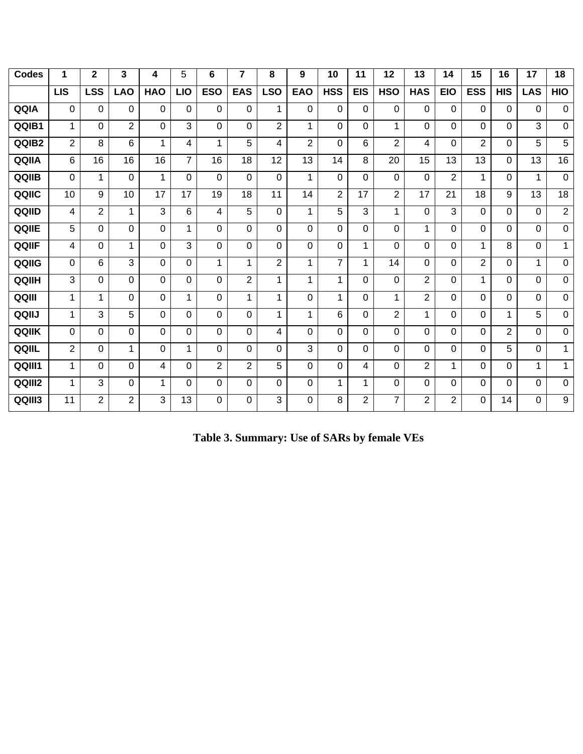| <b>Codes</b> | 1              | $\mathbf{2}$   | 3              | 4              | 5              | 6              | 7              | 8                       | 9              | 10             | 11             | 12             | 13             | 14             | 15             | 16          | 17          | 18               |
|--------------|----------------|----------------|----------------|----------------|----------------|----------------|----------------|-------------------------|----------------|----------------|----------------|----------------|----------------|----------------|----------------|-------------|-------------|------------------|
|              | <b>LIS</b>     | <b>LSS</b>     | <b>LAO</b>     | <b>HAO</b>     | <b>LIO</b>     | <b>ESO</b>     | <b>EAS</b>     | <b>LSO</b>              | <b>EAO</b>     | <b>HSS</b>     | <b>EIS</b>     | <b>HSO</b>     | <b>HAS</b>     | <b>EIO</b>     | <b>ESS</b>     | <b>HIS</b>  | <b>LAS</b>  | <b>HIO</b>       |
| QQIA         | $\Omega$       | 0              | 0              | 0              | $\Omega$       | $\Omega$       | $\Omega$       | 1                       | $\Omega$       | $\Omega$       | 0              | $\Omega$       | 0              | $\Omega$       | 0              | 0           | $\Omega$    | $\mathbf 0$      |
| QQIB1        | $\mathbf 1$    | 0              | $\overline{2}$ | $\Omega$       | 3              | $\Omega$       | $\Omega$       | $\overline{2}$          | 1              | $\Omega$       | 0              | 1              | $\Omega$       | $\Omega$       | $\Omega$       | 0           | 3           | $\Omega$         |
| QQIB2        | $\overline{2}$ | 8              | 6              | 1              | 4              | 1              | 5              | $\overline{\mathbf{4}}$ | $\overline{2}$ | $\Omega$       | 6              | $\overline{2}$ | 4              | $\Omega$       | $\overline{2}$ | $\Omega$    | 5           | 5                |
| QQIIA        | 6              | 16             | 16             | 16             | $\overline{7}$ | 16             | 18             | 12                      | 13             | 14             | 8              | 20             | 15             | 13             | 13             | 0           | 13          | 16               |
| QQIIB        | $\Omega$       | $\mathbf 1$    | 0              | 1              | $\Omega$       | $\Omega$       | $\Omega$       | $\Omega$                | 1              | $\Omega$       | 0              | $\Omega$       | 0              | $\overline{2}$ | $\mathbf 1$    | 0           | 1           | $\mathbf 0$      |
| QQIIC        | 10             | 9              | 10             | 17             | 17             | 19             | 18             | 11                      | 14             | $\overline{2}$ | 17             | $\overline{2}$ | 17             | 21             | 18             | 9           | 13          | 18               |
| QQIID        | 4              | $\overline{2}$ | $\mathbf{1}$   | 3              | 6              | 4              | 5              | $\Omega$                | 1              | 5              | 3              | 1              | $\Omega$       | 3              | 0              | 0           | $\Omega$    | $\overline{2}$   |
| QQIIE        | 5              | 0              | 0              | $\mathbf 0$    | $\mathbf{1}$   | $\Omega$       | 0              | $\overline{0}$          | $\overline{0}$ | $\mathbf 0$    | 0              | 0              | $\mathbf{1}$   | $\Omega$       | 0              | 0           | $\mathbf 0$ | $\mathbf 0$      |
| QQIIF        | 4              | 0              | $\mathbf 1$    | $\Omega$       | 3              | $\Omega$       | 0              | $\Omega$                | $\Omega$       | $\Omega$       | 1              | 0              | 0              | $\Omega$       | $\mathbf 1$    | 8           | $\Omega$    | 1                |
| QQIIG        | $\mathbf 0$    | 6              | 3              | $\overline{0}$ | $\Omega$       | 1              | 1              | $\overline{2}$          | 1              | $\overline{7}$ | 1.             | 14             | $\Omega$       | $\Omega$       | $\overline{2}$ | 0           | 1           | $\overline{0}$   |
| QQIIH        | 3              | 0              | 0              | $\Omega$       | $\Omega$       | $\overline{0}$ | $\overline{2}$ | 1                       | 1              | 1              | $\Omega$       | $\Omega$       | $\overline{2}$ | $\Omega$       | $\mathbf{1}$   | 0           | 0           | $\overline{0}$   |
| QQIII        | 1              | 1              | 0              | $\mathbf 0$    | $\mathbf 1$    | $\Omega$       | 1              | 1                       | $\Omega$       | $\mathbf 1$    | 0              | $\mathbf{1}$   | $\overline{2}$ | $\Omega$       | 0              | 0           | 0           | $\mathbf 0$      |
| QQIIJ        | 1              | 3              | 5              | $\Omega$       | $\Omega$       | $\Omega$       | $\Omega$       | 1                       | 1              | 6              | 0              | $\overline{2}$ | 1              | $\Omega$       | 0              | $\mathbf 1$ | 5           | $\mathbf 0$      |
| QQIIK        | $\Omega$       | 0              | 0              | $\Omega$       | $\Omega$       | $\Omega$       | $\Omega$       | 4                       | $\Omega$       | $\Omega$       | 0              | $\Omega$       | $\Omega$       | $\Omega$       | 0              | 2           | 0           | $\mathbf 0$      |
| QQIIL        | $\overline{2}$ | 0              | 1              | 0              | 1              | $\Omega$       | $\Omega$       | $\Omega$                | 3              | $\Omega$       | 0              | $\Omega$       | $\Omega$       | $\Omega$       | 0              | 5           | $\Omega$    | 1                |
| QQIII1       | $\mathbf{1}$   | 0              | 0              | 4              | $\Omega$       | 2              | $\overline{2}$ | 5                       | $\Omega$       | $\Omega$       | 4              | $\Omega$       | $\overline{2}$ | 1              | 0              | 0           | 1           | 1                |
| QQIII2       | 1              | 3              | 0              | 1              | $\Omega$       | $\Omega$       | 0              | $\Omega$                | $\Omega$       | 1              | 1              | 0              | 0              | $\Omega$       | $\Omega$       | 0           | $\Omega$    | 0                |
| QQIII3       | 11             | $\overline{2}$ | $\overline{2}$ | 3              | 13             | $\Omega$       | $\Omega$       | 3                       | $\Omega$       | 8              | $\overline{2}$ | $\overline{7}$ | $\overline{2}$ | $\overline{2}$ | 0              | 14          | 0           | $\boldsymbol{9}$ |

| Table 3. Summary: Use of SARs by female VEs |  |
|---------------------------------------------|--|
|                                             |  |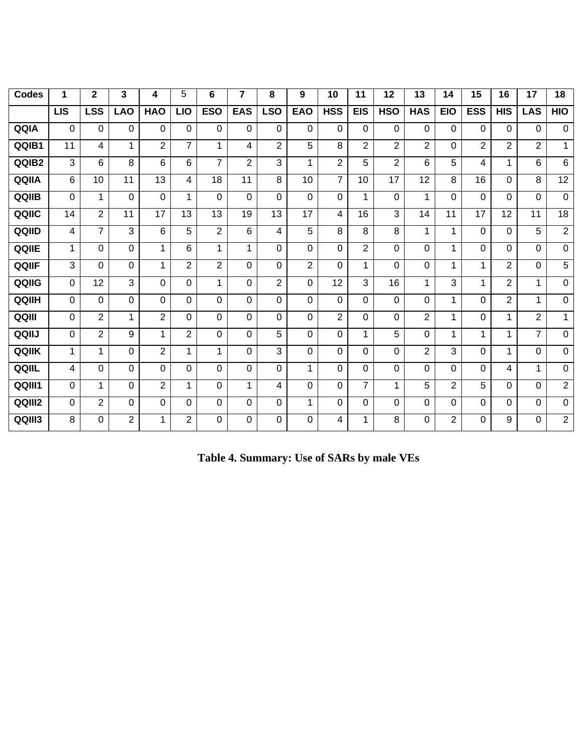| <b>Codes</b> | 1              | $\overline{2}$          | 3              | 4               | 5              | 6              | 7              | 8                         | 9              | 10             | 11             | 12             | 13             | 14             | 15              | 16              | 17             | 18             |
|--------------|----------------|-------------------------|----------------|-----------------|----------------|----------------|----------------|---------------------------|----------------|----------------|----------------|----------------|----------------|----------------|-----------------|-----------------|----------------|----------------|
|              | $\overline{L}$ | $\overline{\text{LSS}}$ | <b>LAO</b>     | <b>HAO</b>      | <b>LIO</b>     | <b>ESO</b>     | <b>EAS</b>     | $\overline{\textsf{LSO}}$ | <b>EAO</b>     | <b>HSS</b>     | <b>EIS</b>     | <b>HSO</b>     | <b>HAS</b>     | <b>EIO</b>     | <b>ESS</b>      | <b>HIS</b>      | <b>LAS</b>     | HIO            |
| QQIA         | 0              | $\Omega$                | 0              | 0               | $\Omega$       | $\Omega$       | $\Omega$       | $\Omega$                  | $\Omega$       | $\Omega$       | 0              | $\mathbf 0$    | $\mathbf 0$    | $\Omega$       | $\Omega$        | 0               | 0              | $\mathbf 0$    |
| QQIB1        | 11             | 4                       | $\mathbf{1}$   | $\overline{2}$  | $\overline{7}$ | 1              | $\overline{4}$ | $\overline{2}$            | 5              | 8              | $\overline{2}$ | $\overline{2}$ | $\overline{2}$ | $\Omega$       | $\overline{2}$  | $\overline{2}$  | $\overline{2}$ | 1              |
| QQIB2        | 3              | 6                       | 8              | 6               | 6              | $\overline{7}$ | $\overline{2}$ | 3                         | 1              | $\overline{2}$ | 5              | $\overline{2}$ | 6              | 5              | 4               | 1               | 6              | 6              |
| QQIIA        | 6              | 10                      | 11             | 13              | 4              | 18             | 11             | 8                         | 10             | $\overline{7}$ | 10             | 17             | 12             | 8              | 16              | 0               | 8              | 12             |
| QQIIB        | $\Omega$       | 1                       | 0              | $\mathbf 0$     | 1              | $\Omega$       | $\overline{0}$ | $\Omega$                  | $\Omega$       | $\Omega$       | 1              | $\Omega$       | 1              | 0              | $\Omega$        | $\Omega$        | $\Omega$       | $\mathbf 0$    |
| QQIIC        | 14             | $\overline{2}$          | 11             | $\overline{17}$ | 13             | 13             | 19             | 13                        | 17             | 4              | 16             | 3              | 14             | 11             | $\overline{17}$ | $\overline{12}$ | 11             | 18             |
| QQIID        | 4              | $\overline{7}$          | $\overline{3}$ | 6               | 5              | $\overline{2}$ | 6              | 4                         | 5              | 8              | 8              | 8              | $\mathbf{1}$   | 1              | $\overline{0}$  | 0               | $\overline{5}$ | $\overline{2}$ |
| QQIIE        | $\mathbf 1$    | $\mathbf 0$             | $\mathbf 0$    | $\mathbf{1}$    | 6              | 1              | 1              | 0                         | $\mathbf 0$    | $\overline{0}$ | $\overline{2}$ | 0              | 0              | 1              | $\overline{0}$  | 0               | $\mathbf 0$    | $\mathbf 0$    |
| QQIIF        | 3              | $\mathbf 0$             | $\mathbf 0$    | 1               | $\overline{2}$ | $\overline{2}$ | $\Omega$       | $\Omega$                  | $\overline{2}$ | $\Omega$       | 1              | $\Omega$       | 0              | 1              | 1               | $\overline{2}$  | $\Omega$       | $\overline{5}$ |
| QQIIG        | 0              | 12                      | 3              | 0               | $\Omega$       | $\mathbf{1}$   | $\Omega$       | $\overline{2}$            | $\Omega$       | 12             | 3              | 16             | $\mathbf{1}$   | 3              | $\mathbf{1}$    | $\overline{2}$  | $\mathbf{1}$   | $\mathbf 0$    |
| QQIIH        | $\Omega$       | 0                       | 0              | 0               | $\Omega$       | $\Omega$       | $\Omega$       | $\Omega$                  | $\Omega$       | $\Omega$       | $\Omega$       | $\Omega$       | $\mathbf 0$    | 1              | 0               | $\overline{2}$  | $\mathbf 1$    | $\mathbf 0$    |
| QQIII        | $\Omega$       | $\overline{2}$          | 1              | $\overline{2}$  | $\Omega$       | $\Omega$       | $\Omega$       | $\Omega$                  | $\Omega$       | $\overline{2}$ | 0              | $\Omega$       | $\overline{2}$ | 1              | $\Omega$        | 1.              | $\overline{2}$ | $\mathbf{1}$   |
| QQIIJ        | $\Omega$       | $\overline{2}$          | 9              | 1               | $\overline{2}$ | $\Omega$       | $\Omega$       | 5                         | $\Omega$       | $\Omega$       | $\mathbf 1$    | 5              | 0              | 1              | 1               | 1.              | $\overline{7}$ | $\mathbf 0$    |
| QQIIK        | $\mathbf{1}$   | $\mathbf{1}$            | 0              | $\overline{2}$  | 1              | 1              | $\Omega$       | 3                         | $\Omega$       | $\Omega$       | 0              | $\Omega$       | $\overline{2}$ | 3              | $\Omega$        | 1               | $\Omega$       | $\mathbf 0$    |
| QQIIL        | 4              | $\Omega$                | 0              | 0               | $\Omega$       | $\Omega$       | $\Omega$       | $\Omega$                  | 1              | $\Omega$       | 0              | $\Omega$       | 0              | $\Omega$       | $\Omega$        | 4               | $\mathbf 1$    | $\mathbf 0$    |
| QQIII1       | $\Omega$       | 1                       | 0              | $\overline{2}$  | 1              | $\Omega$       | 1              | 4                         | $\Omega$       | $\Omega$       | $\overline{7}$ | 1              | 5              | $\overline{2}$ | 5               | $\Omega$        | $\Omega$       | $\overline{2}$ |
| QQIII2       | 0              | $\overline{2}$          | $\mathbf 0$    | 0               | $\Omega$       | $\Omega$       | $\Omega$       | 0                         | 1              | $\mathbf 0$    | 0              | 0              | 0              | $\Omega$       | $\overline{0}$  | 0               | 0              | $\mathbf 0$    |
| QQIII3       | 8              | 0                       | $\overline{2}$ | 1               | $\overline{2}$ | $\Omega$       | $\Omega$       | 0                         | $\Omega$       | 4              | $\mathbf 1$    | 8              | 0              | $\overline{2}$ | 0               | 9               | 0              | $\overline{2}$ |

**Table 4. Summary: Use of SARs by male VEs**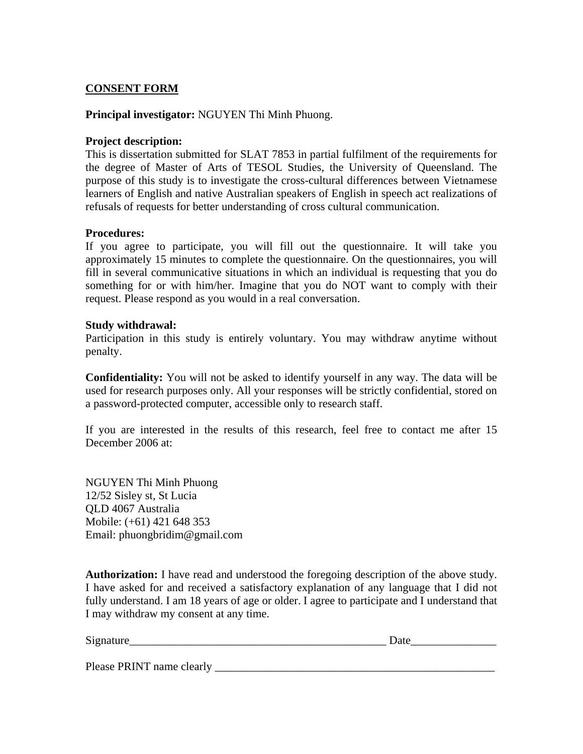### **CONSENT FORM**

#### **Principal investigator:** NGUYEN Thi Minh Phuong.

#### **Project description:**

This is dissertation submitted for SLAT 7853 in partial fulfilment of the requirements for the degree of Master of Arts of TESOL Studies, the University of Queensland. The purpose of this study is to investigate the cross-cultural differences between Vietnamese learners of English and native Australian speakers of English in speech act realizations of refusals of requests for better understanding of cross cultural communication.

#### **Procedures:**

If you agree to participate, you will fill out the questionnaire. It will take you approximately 15 minutes to complete the questionnaire. On the questionnaires, you will fill in several communicative situations in which an individual is requesting that you do something for or with him/her. Imagine that you do NOT want to comply with their request. Please respond as you would in a real conversation.

#### **Study withdrawal:**

Participation in this study is entirely voluntary. You may withdraw anytime without penalty.

**Confidentiality:** You will not be asked to identify yourself in any way. The data will be used for research purposes only. All your responses will be strictly confidential, stored on a password-protected computer, accessible only to research staff.

If you are interested in the results of this research, feel free to contact me after 15 December 2006 at:

NGUYEN Thi Minh Phuong 12/52 Sisley st, St Lucia QLD 4067 Australia Mobile: (+61) 421 648 353 Email: phuongbridim@gmail.com

**Authorization:** I have read and understood the foregoing description of the above study. I have asked for and received a satisfactory explanation of any language that I did not fully understand. I am 18 years of age or older. I agree to participate and I understand that I may withdraw my consent at any time.

| Signature_                | Date |
|---------------------------|------|
| Please PRINT name clearly |      |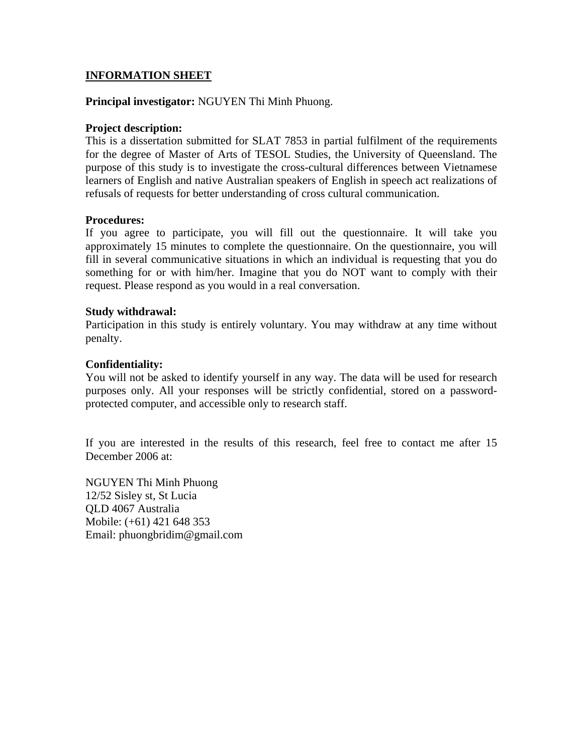### **INFORMATION SHEET**

#### **Principal investigator:** NGUYEN Thi Minh Phuong.

#### **Project description:**

This is a dissertation submitted for SLAT 7853 in partial fulfilment of the requirements for the degree of Master of Arts of TESOL Studies, the University of Queensland. The purpose of this study is to investigate the cross-cultural differences between Vietnamese learners of English and native Australian speakers of English in speech act realizations of refusals of requests for better understanding of cross cultural communication.

#### **Procedures:**

If you agree to participate, you will fill out the questionnaire. It will take you approximately 15 minutes to complete the questionnaire. On the questionnaire, you will fill in several communicative situations in which an individual is requesting that you do something for or with him/her. Imagine that you do NOT want to comply with their request. Please respond as you would in a real conversation.

#### **Study withdrawal:**

Participation in this study is entirely voluntary. You may withdraw at any time without penalty.

#### **Confidentiality:**

You will not be asked to identify yourself in any way. The data will be used for research purposes only. All your responses will be strictly confidential, stored on a passwordprotected computer, and accessible only to research staff.

If you are interested in the results of this research, feel free to contact me after 15 December 2006 at:

NGUYEN Thi Minh Phuong 12/52 Sisley st, St Lucia QLD 4067 Australia Mobile: (+61) 421 648 353 Email: phuongbridim@gmail.com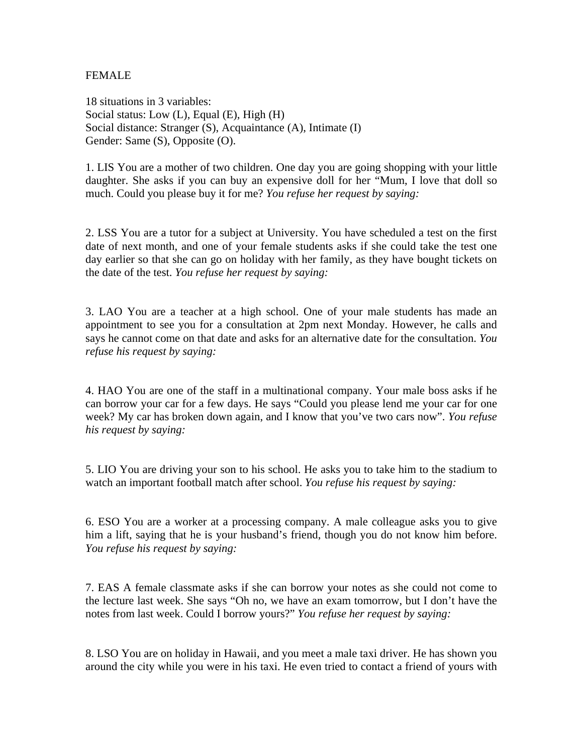### FEMALE

18 situations in 3 variables: Social status: Low (L), Equal (E), High (H) Social distance: Stranger (S), Acquaintance (A), Intimate (I) Gender: Same (S), Opposite (O).

1. LIS You are a mother of two children. One day you are going shopping with your little daughter. She asks if you can buy an expensive doll for her "Mum, I love that doll so much. Could you please buy it for me? *You refuse her request by saying:*

2. LSS You are a tutor for a subject at University. You have scheduled a test on the first date of next month, and one of your female students asks if she could take the test one day earlier so that she can go on holiday with her family, as they have bought tickets on the date of the test. *You refuse her request by saying:* 

3. LAO You are a teacher at a high school. One of your male students has made an appointment to see you for a consultation at 2pm next Monday. However, he calls and says he cannot come on that date and asks for an alternative date for the consultation. *You refuse his request by saying:* 

4. HAO You are one of the staff in a multinational company. Your male boss asks if he can borrow your car for a few days. He says "Could you please lend me your car for one week? My car has broken down again, and I know that you've two cars now". *You refuse his request by saying:* 

5. LIO You are driving your son to his school. He asks you to take him to the stadium to watch an important football match after school. *You refuse his request by saying:* 

6. ESO You are a worker at a processing company. A male colleague asks you to give him a lift, saying that he is your husband's friend, though you do not know him before. *You refuse his request by saying:* 

7. EAS A female classmate asks if she can borrow your notes as she could not come to the lecture last week. She says "Oh no, we have an exam tomorrow, but I don't have the notes from last week. Could I borrow yours?" *You refuse her request by saying:* 

8. LSO You are on holiday in Hawaii, and you meet a male taxi driver. He has shown you around the city while you were in his taxi. He even tried to contact a friend of yours with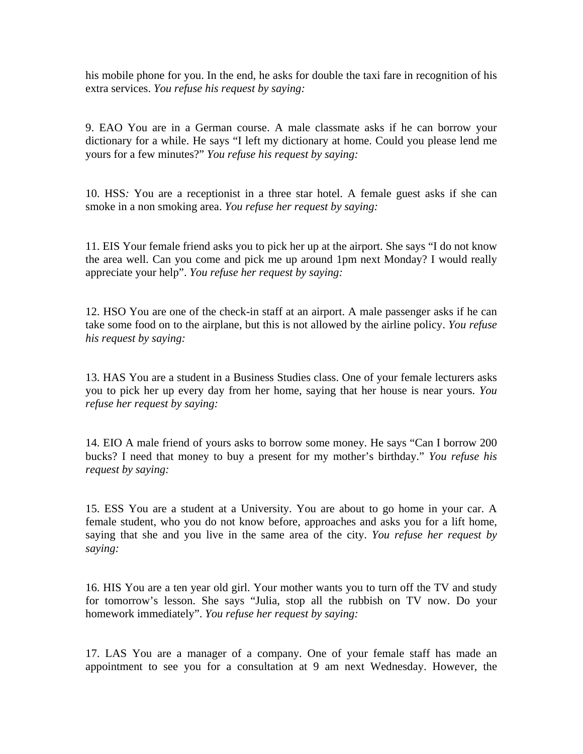his mobile phone for you. In the end, he asks for double the taxi fare in recognition of his extra services. *You refuse his request by saying:* 

9. EAO You are in a German course. A male classmate asks if he can borrow your dictionary for a while. He says "I left my dictionary at home. Could you please lend me yours for a few minutes?" *You refuse his request by saying:* 

10. HSS*:* You are a receptionist in a three star hotel. A female guest asks if she can smoke in a non smoking area. *You refuse her request by saying:* 

11. EIS Your female friend asks you to pick her up at the airport. She says "I do not know the area well. Can you come and pick me up around 1pm next Monday? I would really appreciate your help". *You refuse her request by saying:* 

12. HSO You are one of the check-in staff at an airport. A male passenger asks if he can take some food on to the airplane, but this is not allowed by the airline policy. *You refuse his request by saying:* 

13. HAS You are a student in a Business Studies class. One of your female lecturers asks you to pick her up every day from her home, saying that her house is near yours. *You refuse her request by saying:* 

14. EIO A male friend of yours asks to borrow some money. He says "Can I borrow 200 bucks? I need that money to buy a present for my mother's birthday." *You refuse his request by saying:* 

15. ESS You are a student at a University. You are about to go home in your car. A female student, who you do not know before, approaches and asks you for a lift home, saying that she and you live in the same area of the city. *You refuse her request by saying:* 

16. HIS You are a ten year old girl. Your mother wants you to turn off the TV and study for tomorrow's lesson. She says "Julia, stop all the rubbish on TV now. Do your homework immediately". *You refuse her request by saying:* 

17. LAS You are a manager of a company. One of your female staff has made an appointment to see you for a consultation at 9 am next Wednesday. However, the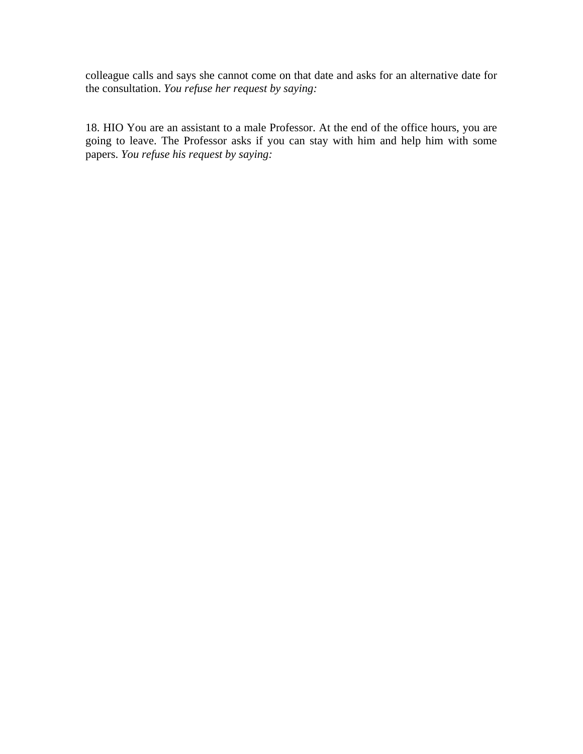colleague calls and says she cannot come on that date and asks for an alternative date for the consultation. *You refuse her request by saying:* 

18. HIO You are an assistant to a male Professor. At the end of the office hours, you are going to leave. The Professor asks if you can stay with him and help him with some papers. *You refuse his request by saying:*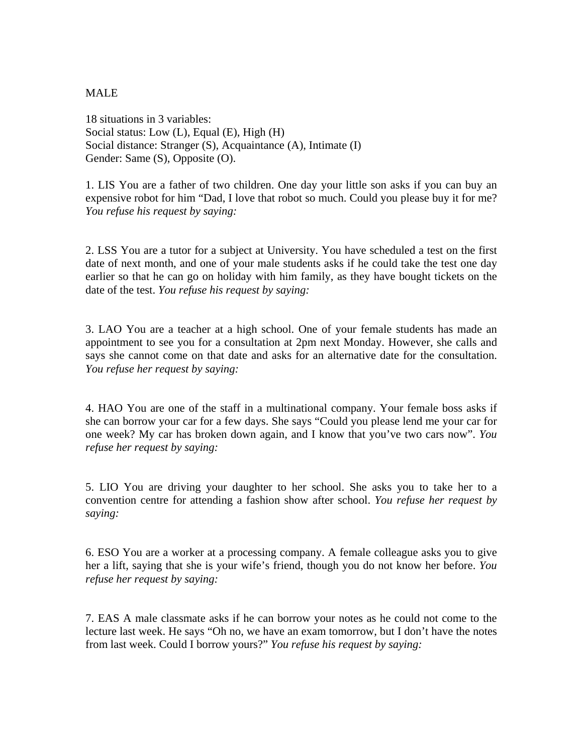### MALE

18 situations in 3 variables: Social status: Low (L), Equal (E), High (H) Social distance: Stranger (S), Acquaintance (A), Intimate (I) Gender: Same (S), Opposite (O).

1. LIS You are a father of two children. One day your little son asks if you can buy an expensive robot for him "Dad, I love that robot so much. Could you please buy it for me? *You refuse his request by saying:*

2. LSS You are a tutor for a subject at University. You have scheduled a test on the first date of next month, and one of your male students asks if he could take the test one day earlier so that he can go on holiday with him family, as they have bought tickets on the date of the test. *You refuse his request by saying:* 

3. LAO You are a teacher at a high school. One of your female students has made an appointment to see you for a consultation at 2pm next Monday. However, she calls and says she cannot come on that date and asks for an alternative date for the consultation. *You refuse her request by saying:* 

4. HAO You are one of the staff in a multinational company. Your female boss asks if she can borrow your car for a few days. She says "Could you please lend me your car for one week? My car has broken down again, and I know that you've two cars now". *You refuse her request by saying:* 

5. LIO You are driving your daughter to her school. She asks you to take her to a convention centre for attending a fashion show after school. *You refuse her request by saying:* 

6. ESO You are a worker at a processing company. A female colleague asks you to give her a lift, saying that she is your wife's friend, though you do not know her before. *You refuse her request by saying:* 

7. EAS A male classmate asks if he can borrow your notes as he could not come to the lecture last week. He says "Oh no, we have an exam tomorrow, but I don't have the notes from last week. Could I borrow yours?" *You refuse his request by saying:*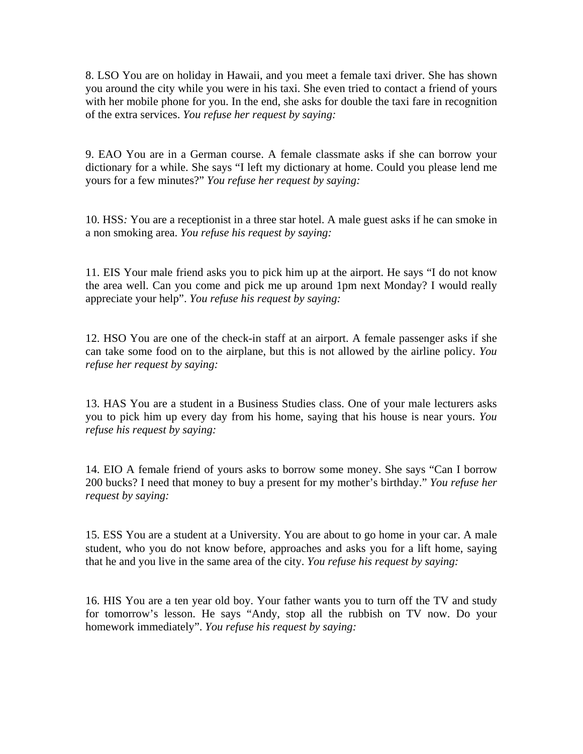8. LSO You are on holiday in Hawaii, and you meet a female taxi driver. She has shown you around the city while you were in his taxi. She even tried to contact a friend of yours with her mobile phone for you. In the end, she asks for double the taxi fare in recognition of the extra services. *You refuse her request by saying:* 

9. EAO You are in a German course. A female classmate asks if she can borrow your dictionary for a while. She says "I left my dictionary at home. Could you please lend me yours for a few minutes?" *You refuse her request by saying:* 

10. HSS*:* You are a receptionist in a three star hotel. A male guest asks if he can smoke in a non smoking area. *You refuse his request by saying:* 

11. EIS Your male friend asks you to pick him up at the airport. He says "I do not know the area well. Can you come and pick me up around 1pm next Monday? I would really appreciate your help". *You refuse his request by saying:* 

12. HSO You are one of the check-in staff at an airport. A female passenger asks if she can take some food on to the airplane, but this is not allowed by the airline policy. *You refuse her request by saying:* 

13. HAS You are a student in a Business Studies class. One of your male lecturers asks you to pick him up every day from his home, saying that his house is near yours. *You refuse his request by saying:* 

14. EIO A female friend of yours asks to borrow some money. She says "Can I borrow 200 bucks? I need that money to buy a present for my mother's birthday." *You refuse her request by saying:* 

15. ESS You are a student at a University. You are about to go home in your car. A male student, who you do not know before, approaches and asks you for a lift home, saying that he and you live in the same area of the city. *You refuse his request by saying:* 

16. HIS You are a ten year old boy. Your father wants you to turn off the TV and study for tomorrow's lesson. He says "Andy, stop all the rubbish on TV now. Do your homework immediately". *You refuse his request by saying:*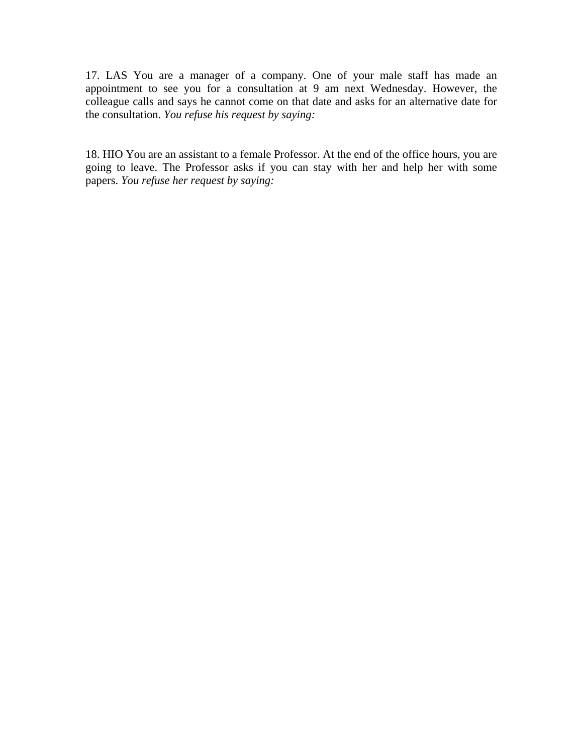17. LAS You are a manager of a company. One of your male staff has made an appointment to see you for a consultation at 9 am next Wednesday. However, the colleague calls and says he cannot come on that date and asks for an alternative date for the consultation. *You refuse his request by saying:* 

18. HIO You are an assistant to a female Professor. At the end of the office hours, you are going to leave. The Professor asks if you can stay with her and help her with some papers. *You refuse her request by saying:*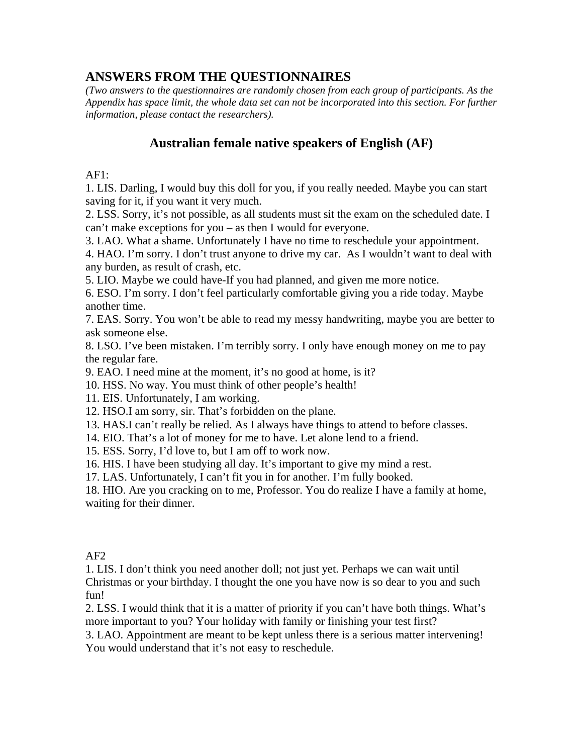# **ANSWERS FROM THE QUESTIONNAIRES**

*(Two answers to the questionnaires are randomly chosen from each group of participants. As the Appendix has space limit, the whole data set can not be incorporated into this section. For further information, please contact the researchers).* 

# **Australian female native speakers of English (AF)**

#### $AF1:$

1. LIS. Darling, I would buy this doll for you, if you really needed. Maybe you can start saving for it, if you want it very much.

2. LSS. Sorry, it's not possible, as all students must sit the exam on the scheduled date. I can't make exceptions for you – as then I would for everyone.

3. LAO. What a shame. Unfortunately I have no time to reschedule your appointment.

4. HAO. I'm sorry. I don't trust anyone to drive my car. As I wouldn't want to deal with any burden, as result of crash, etc.

5. LIO. Maybe we could have-If you had planned, and given me more notice.

6. ESO. I'm sorry. I don't feel particularly comfortable giving you a ride today. Maybe another time.

7. EAS. Sorry. You won't be able to read my messy handwriting, maybe you are better to ask someone else.

8. LSO. I've been mistaken. I'm terribly sorry. I only have enough money on me to pay the regular fare.

9. EAO. I need mine at the moment, it's no good at home, is it?

10. HSS. No way. You must think of other people's health!

11. EIS. Unfortunately, I am working.

12. HSO.I am sorry, sir. That's forbidden on the plane.

13. HAS.I can't really be relied. As I always have things to attend to before classes.

14. EIO. That's a lot of money for me to have. Let alone lend to a friend.

15. ESS. Sorry, I'd love to, but I am off to work now.

16. HIS. I have been studying all day. It's important to give my mind a rest.

17. LAS. Unfortunately, I can't fit you in for another. I'm fully booked.

18. HIO. Are you cracking on to me, Professor. You do realize I have a family at home, waiting for their dinner.

# AF2

1. LIS. I don't think you need another doll; not just yet. Perhaps we can wait until Christmas or your birthday. I thought the one you have now is so dear to you and such fun!

2. LSS. I would think that it is a matter of priority if you can't have both things. What's more important to you? Your holiday with family or finishing your test first?

3. LAO. Appointment are meant to be kept unless there is a serious matter intervening! You would understand that it's not easy to reschedule.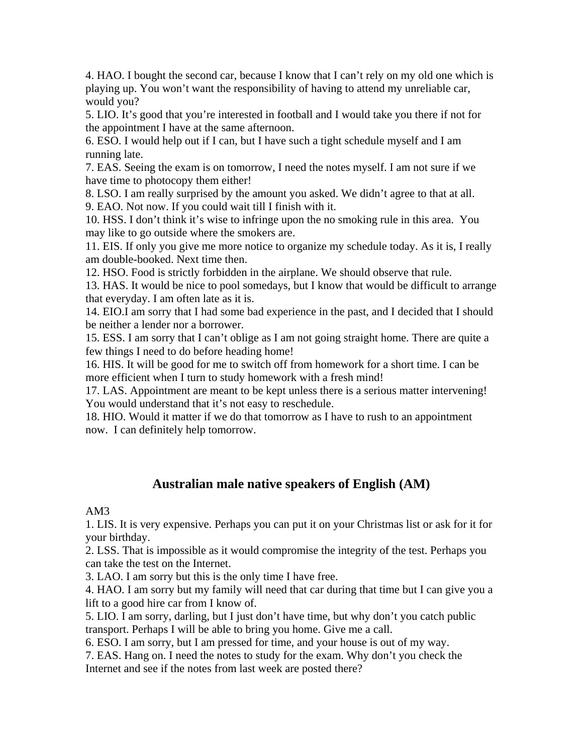4. HAO. I bought the second car, because I know that I can't rely on my old one which is playing up. You won't want the responsibility of having to attend my unreliable car, would you?

5. LIO. It's good that you're interested in football and I would take you there if not for the appointment I have at the same afternoon.

6. ESO. I would help out if I can, but I have such a tight schedule myself and I am running late.

7. EAS. Seeing the exam is on tomorrow, I need the notes myself. I am not sure if we have time to photocopy them either!

8. LSO. I am really surprised by the amount you asked. We didn't agree to that at all. 9. EAO. Not now. If you could wait till I finish with it.

10. HSS. I don't think it's wise to infringe upon the no smoking rule in this area. You may like to go outside where the smokers are.

11. EIS. If only you give me more notice to organize my schedule today. As it is, I really am double-booked. Next time then.

12. HSO. Food is strictly forbidden in the airplane. We should observe that rule.

13. HAS. It would be nice to pool somedays, but I know that would be difficult to arrange that everyday. I am often late as it is.

14. EIO.I am sorry that I had some bad experience in the past, and I decided that I should be neither a lender nor a borrower.

15. ESS. I am sorry that I can't oblige as I am not going straight home. There are quite a few things I need to do before heading home!

16. HIS. It will be good for me to switch off from homework for a short time. I can be more efficient when I turn to study homework with a fresh mind!

17. LAS. Appointment are meant to be kept unless there is a serious matter intervening! You would understand that it's not easy to reschedule.

18. HIO. Would it matter if we do that tomorrow as I have to rush to an appointment now. I can definitely help tomorrow.

# **Australian male native speakers of English (AM)**

#### AM3

1. LIS. It is very expensive. Perhaps you can put it on your Christmas list or ask for it for your birthday.

2. LSS. That is impossible as it would compromise the integrity of the test. Perhaps you can take the test on the Internet.

3. LAO. I am sorry but this is the only time I have free.

4. HAO. I am sorry but my family will need that car during that time but I can give you a lift to a good hire car from I know of.

5. LIO. I am sorry, darling, but I just don't have time, but why don't you catch public transport. Perhaps I will be able to bring you home. Give me a call.

6. ESO. I am sorry, but I am pressed for time, and your house is out of my way.

7. EAS. Hang on. I need the notes to study for the exam. Why don't you check the Internet and see if the notes from last week are posted there?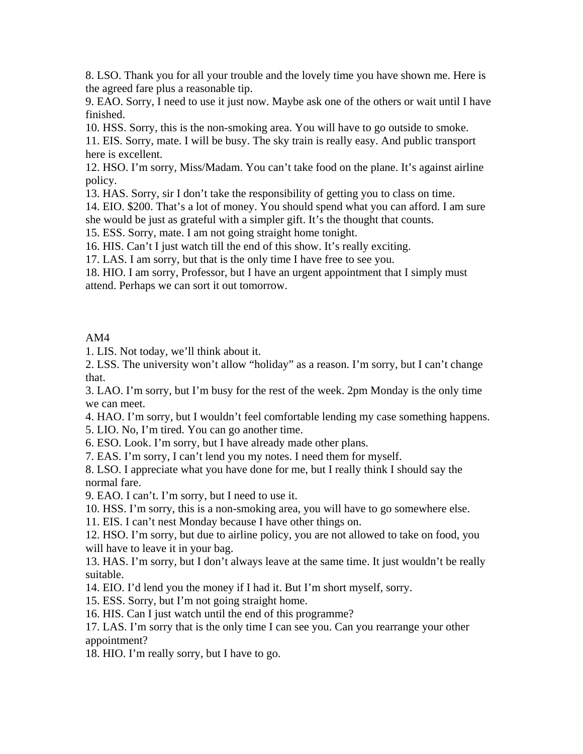8. LSO. Thank you for all your trouble and the lovely time you have shown me. Here is the agreed fare plus a reasonable tip.

9. EAO. Sorry, I need to use it just now. Maybe ask one of the others or wait until I have finished.

10. HSS. Sorry, this is the non-smoking area. You will have to go outside to smoke.

11. EIS. Sorry, mate. I will be busy. The sky train is really easy. And public transport here is excellent.

12. HSO. I'm sorry, Miss/Madam. You can't take food on the plane. It's against airline policy.

13. HAS. Sorry, sir I don't take the responsibility of getting you to class on time.

14. EIO. \$200. That's a lot of money. You should spend what you can afford. I am sure she would be just as grateful with a simpler gift. It's the thought that counts.

15. ESS. Sorry, mate. I am not going straight home tonight.

16. HIS. Can't I just watch till the end of this show. It's really exciting.

17. LAS. I am sorry, but that is the only time I have free to see you.

18. HIO. I am sorry, Professor, but I have an urgent appointment that I simply must attend. Perhaps we can sort it out tomorrow.

#### AM4

1. LIS. Not today, we'll think about it.

2. LSS. The university won't allow "holiday" as a reason. I'm sorry, but I can't change that.

3. LAO. I'm sorry, but I'm busy for the rest of the week. 2pm Monday is the only time we can meet.

4. HAO. I'm sorry, but I wouldn't feel comfortable lending my case something happens.

5. LIO. No, I'm tired. You can go another time.

6. ESO. Look. I'm sorry, but I have already made other plans.

7. EAS. I'm sorry, I can't lend you my notes. I need them for myself.

8. LSO. I appreciate what you have done for me, but I really think I should say the normal fare.

9. EAO. I can't. I'm sorry, but I need to use it.

10. HSS. I'm sorry, this is a non-smoking area, you will have to go somewhere else.

11. EIS. I can't nest Monday because I have other things on.

12. HSO. I'm sorry, but due to airline policy, you are not allowed to take on food, you will have to leave it in your bag.

13. HAS. I'm sorry, but I don't always leave at the same time. It just wouldn't be really suitable.

14. EIO. I'd lend you the money if I had it. But I'm short myself, sorry.

15. ESS. Sorry, but I'm not going straight home.

16. HIS. Can I just watch until the end of this programme?

17. LAS. I'm sorry that is the only time I can see you. Can you rearrange your other appointment?

18. HIO. I'm really sorry, but I have to go.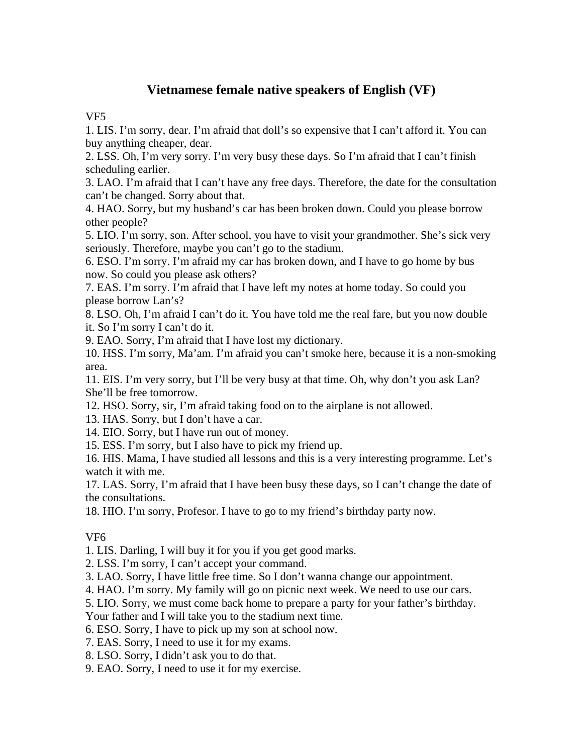# **Vietnamese female native speakers of English (VF)**

VF5

1. LIS. I'm sorry, dear. I'm afraid that doll's so expensive that I can't afford it. You can buy anything cheaper, dear.

2. LSS. Oh, I'm very sorry. I'm very busy these days. So I'm afraid that I can't finish scheduling earlier.

3. LAO. I'm afraid that I can't have any free days. Therefore, the date for the consultation can't be changed. Sorry about that.

4. HAO. Sorry, but my husband's car has been broken down. Could you please borrow other people?

5. LIO. I'm sorry, son. After school, you have to visit your grandmother. She's sick very seriously. Therefore, maybe you can't go to the stadium.

6. ESO. I'm sorry. I'm afraid my car has broken down, and I have to go home by bus now. So could you please ask others?

7. EAS. I'm sorry. I'm afraid that I have left my notes at home today. So could you please borrow Lan's?

8. LSO. Oh, I'm afraid I can't do it. You have told me the real fare, but you now double it. So I'm sorry I can't do it.

9. EAO. Sorry, I'm afraid that I have lost my dictionary.

10. HSS. I'm sorry, Ma'am. I'm afraid you can't smoke here, because it is a non-smoking area.

11. EIS. I'm very sorry, but I'll be very busy at that time. Oh, why don't you ask Lan? She'll be free tomorrow.

12. HSO. Sorry, sir, I'm afraid taking food on to the airplane is not allowed.

13. HAS. Sorry, but I don't have a car.

14. EIO. Sorry, but I have run out of money.

15. ESS. I'm sorry, but I also have to pick my friend up.

16. HIS. Mama, I have studied all lessons and this is a very interesting programme. Let's watch it with me.

17. LAS. Sorry, I'm afraid that I have been busy these days, so I can't change the date of the consultations.

18. HIO. I'm sorry, Profesor. I have to go to my friend's birthday party now.

# VF6

1. LIS. Darling, I will buy it for you if you get good marks.

2. LSS. I'm sorry, I can't accept your command.

3. LAO. Sorry, I have little free time. So I don't wanna change our appointment.

4. HAO. I'm sorry. My family will go on picnic next week. We need to use our cars.

5. LIO. Sorry, we must come back home to prepare a party for your father's birthday.

Your father and I will take you to the stadium next time.

6. ESO. Sorry, I have to pick up my son at school now.

7. EAS. Sorry, I need to use it for my exams.

8. LSO. Sorry, I didn't ask you to do that.

9. EAO. Sorry, I need to use it for my exercise.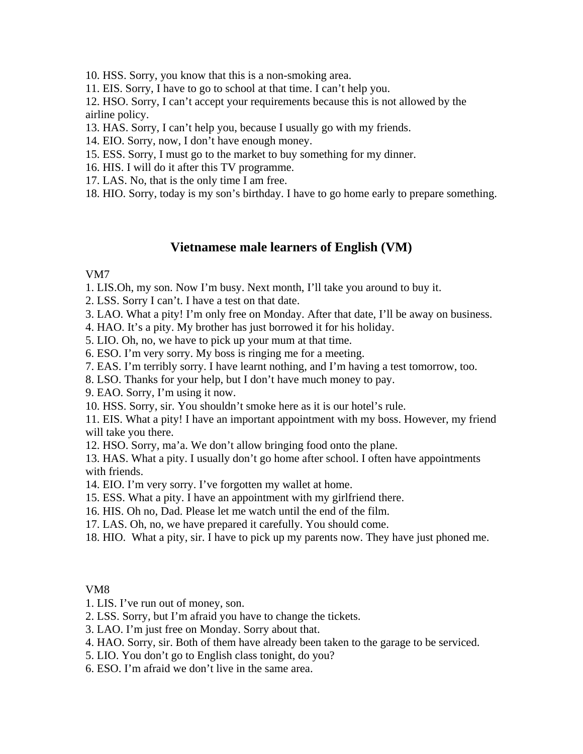10. HSS. Sorry, you know that this is a non-smoking area.

11. EIS. Sorry, I have to go to school at that time. I can't help you.

12. HSO. Sorry, I can't accept your requirements because this is not allowed by the airline policy.

13. HAS. Sorry, I can't help you, because I usually go with my friends.

14. EIO. Sorry, now, I don't have enough money.

- 15. ESS. Sorry, I must go to the market to buy something for my dinner.
- 16. HIS. I will do it after this TV programme.
- 17. LAS. No, that is the only time I am free.
- 18. HIO. Sorry, today is my son's birthday. I have to go home early to prepare something.

# **Vietnamese male learners of English (VM)**

#### VM7

1. LIS.Oh, my son. Now I'm busy. Next month, I'll take you around to buy it.

- 2. LSS. Sorry I can't. I have a test on that date.
- 3. LAO. What a pity! I'm only free on Monday. After that date, I'll be away on business.
- 4. HAO. It's a pity. My brother has just borrowed it for his holiday.
- 5. LIO. Oh, no, we have to pick up your mum at that time.
- 6. ESO. I'm very sorry. My boss is ringing me for a meeting.
- 7. EAS. I'm terribly sorry. I have learnt nothing, and I'm having a test tomorrow, too.
- 8. LSO. Thanks for your help, but I don't have much money to pay.
- 9. EAO. Sorry, I'm using it now.
- 10. HSS. Sorry, sir. You shouldn't smoke here as it is our hotel's rule.

11. EIS. What a pity! I have an important appointment with my boss. However, my friend will take you there.

12. HSO. Sorry, ma'a. We don't allow bringing food onto the plane.

13. HAS. What a pity. I usually don't go home after school. I often have appointments with friends.

- 14. EIO. I'm very sorry. I've forgotten my wallet at home.
- 15. ESS. What a pity. I have an appointment with my girlfriend there.
- 16. HIS. Oh no, Dad. Please let me watch until the end of the film.
- 17. LAS. Oh, no, we have prepared it carefully. You should come.
- 18. HIO. What a pity, sir. I have to pick up my parents now. They have just phoned me.

#### VM8

1. LIS. I've run out of money, son.

- 2. LSS. Sorry, but I'm afraid you have to change the tickets.
- 3. LAO. I'm just free on Monday. Sorry about that.
- 4. HAO. Sorry, sir. Both of them have already been taken to the garage to be serviced.
- 5. LIO. You don't go to English class tonight, do you?
- 6. ESO. I'm afraid we don't live in the same area.